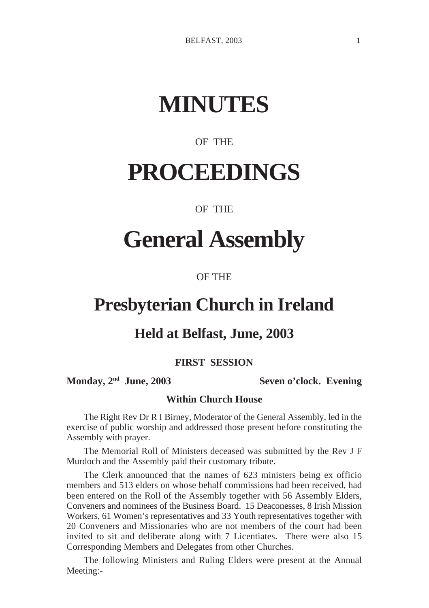# **MINUTES**

### OF THE

# **PROCEEDINGS**

#### OF THE

# **General Assembly**

#### OF THE

## **Presbyterian Church in Ireland**

### **Held at Belfast, June, 2003**

#### **FIRST SESSION**

**Monday, 2nd June, 2003 Seven o'clock. Evening**

#### **Within Church House**

The Right Rev Dr R I Birney, Moderator of the General Assembly, led in the exercise of public worship and addressed those present before constituting the Assembly with prayer.

The Memorial Roll of Ministers deceased was submitted by the Rev J F Murdoch and the Assembly paid their customary tribute.

The Clerk announced that the names of 623 ministers being ex officio members and 513 elders on whose behalf commissions had been received, had been entered on the Roll of the Assembly together with 56 Assembly Elders, Conveners and nominees of the Business Board. 15 Deaconesses, 8 Irish Mission Workers, 61 Women's representatives and 33 Youth representatives together with 20 Conveners and Missionaries who are not members of the court had been invited to sit and deliberate along with 7 Licentiates. There were also 15 Corresponding Members and Delegates from other Churches.

The following Ministers and Ruling Elders were present at the Annual Meeting:-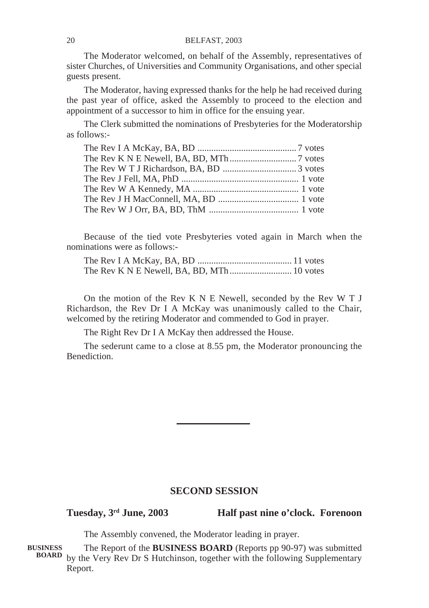The Moderator welcomed, on behalf of the Assembly, representatives of sister Churches, of Universities and Community Organisations, and other special guests present.

The Moderator, having expressed thanks for the help he had received during the past year of office, asked the Assembly to proceed to the election and appointment of a successor to him in office for the ensuing year.

The Clerk submitted the nominations of Presbyteries for the Moderatorship as follows:-

Because of the tied vote Presbyteries voted again in March when the nominations were as follows:-

The Rev I A McKay, BA, BD ......................................... 11 votes The Rev K N E Newell, BA, BD, MTh ........................... 10 votes

On the motion of the Rev K N E Newell, seconded by the Rev W T J Richardson, the Rev Dr I A McKay was unanimously called to the Chair, welcomed by the retiring Moderator and commended to God in prayer.

The Right Rev Dr I A McKay then addressed the House.

The sederunt came to a close at 8.55 pm, the Moderator pronouncing the Benediction.

#### **SECOND SESSION**

**Tuesday, 3rd June, 2003 Half past nine o'clock. Forenoon**

The Assembly convened, the Moderator leading in prayer.

The Report of the **BUSINESS BOARD** (Reports pp 90-97) was submitted by the Very Rev Dr S Hutchinson, together with the following Supplementary **BOARD**Report. **BUSINESS**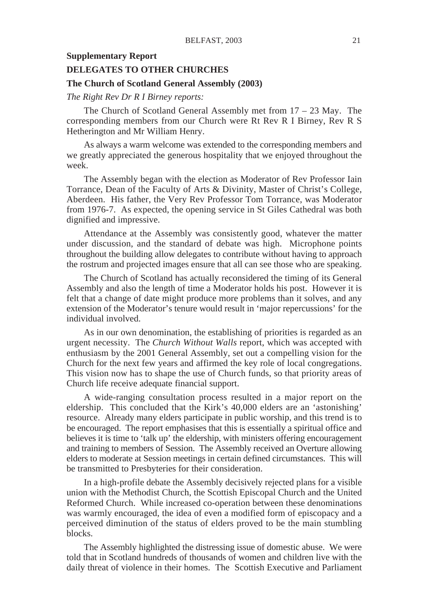#### **Supplementary Report**

#### **DELEGATES TO OTHER CHURCHES**

#### **The Church of Scotland General Assembly (2003)**

#### *The Right Rev Dr R I Birney reports:*

The Church of Scotland General Assembly met from 17 – 23 May. The corresponding members from our Church were Rt Rev R I Birney, Rev R S Hetherington and Mr William Henry.

As always a warm welcome was extended to the corresponding members and we greatly appreciated the generous hospitality that we enjoyed throughout the week.

The Assembly began with the election as Moderator of Rev Professor Iain Torrance, Dean of the Faculty of Arts & Divinity, Master of Christ's College, Aberdeen. His father, the Very Rev Professor Tom Torrance, was Moderator from 1976-7. As expected, the opening service in St Giles Cathedral was both dignified and impressive.

Attendance at the Assembly was consistently good, whatever the matter under discussion, and the standard of debate was high. Microphone points throughout the building allow delegates to contribute without having to approach the rostrum and projected images ensure that all can see those who are speaking.

The Church of Scotland has actually reconsidered the timing of its General Assembly and also the length of time a Moderator holds his post. However it is felt that a change of date might produce more problems than it solves, and any extension of the Moderator's tenure would result in 'major repercussions' for the individual involved.

As in our own denomination, the establishing of priorities is regarded as an urgent necessity. The *Church Without Walls* report, which was accepted with enthusiasm by the 2001 General Assembly, set out a compelling vision for the Church for the next few years and affirmed the key role of local congregations. This vision now has to shape the use of Church funds, so that priority areas of Church life receive adequate financial support.

A wide-ranging consultation process resulted in a major report on the eldership. This concluded that the Kirk's 40,000 elders are an 'astonishing' resource. Already many elders participate in public worship, and this trend is to be encouraged. The report emphasises that this is essentially a spiritual office and believes it is time to 'talk up' the eldership, with ministers offering encouragement and training to members of Session. The Assembly received an Overture allowing elders to moderate at Session meetings in certain defined circumstances. This will be transmitted to Presbyteries for their consideration.

In a high-profile debate the Assembly decisively rejected plans for a visible union with the Methodist Church, the Scottish Episcopal Church and the United Reformed Church. While increased co-operation between these denominations was warmly encouraged, the idea of even a modified form of episcopacy and a perceived diminution of the status of elders proved to be the main stumbling blocks.

The Assembly highlighted the distressing issue of domestic abuse. We were told that in Scotland hundreds of thousands of women and children live with the daily threat of violence in their homes. The Scottish Executive and Parliament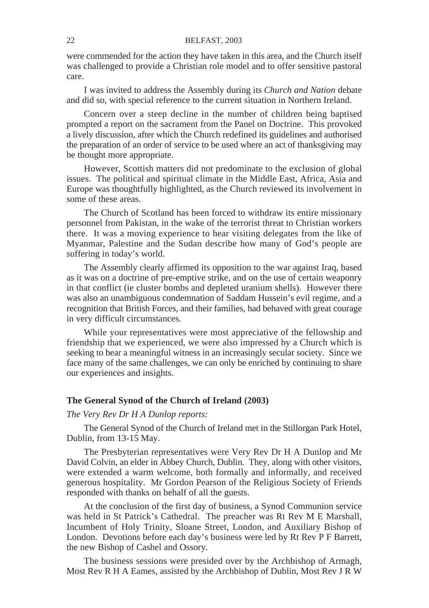were commended for the action they have taken in this area, and the Church itself was challenged to provide a Christian role model and to offer sensitive pastoral care.

I was invited to address the Assembly during its *Church and Nation* debate and did so, with special reference to the current situation in Northern Ireland.

Concern over a steep decline in the number of children being baptised prompted a report on the sacrament from the Panel on Doctrine. This provoked a lively discussion, after which the Church redefined its guidelines and authorised the preparation of an order of service to be used where an act of thanksgiving may be thought more appropriate.

However, Scottish matters did not predominate to the exclusion of global issues. The political and spiritual climate in the Middle East, Africa, Asia and Europe was thoughtfully highlighted, as the Church reviewed its involvement in some of these areas.

The Church of Scotland has been forced to withdraw its entire missionary personnel from Pakistan, in the wake of the terrorist threat to Christian workers there. It was a moving experience to hear visiting delegates from the like of Myanmar, Palestine and the Sudan describe how many of God's people are suffering in today's world.

The Assembly clearly affirmed its opposition to the war against Iraq, based as it was on a doctrine of pre-emptive strike, and on the use of certain weaponry in that conflict (ie cluster bombs and depleted uranium shells). However there was also an unambiguous condemnation of Saddam Hussein's evil regime, and a recognition that British Forces, and their families, had behaved with great courage in very difficult circumstances.

While your representatives were most appreciative of the fellowship and friendship that we experienced, we were also impressed by a Church which is seeking to bear a meaningful witness in an increasingly secular society. Since we face many of the same challenges, we can only be enriched by continuing to share our experiences and insights.

#### **The General Synod of the Church of Ireland (2003)**

#### *The Very Rev Dr H A Dunlop reports:*

The General Synod of the Church of Ireland met in the Stillorgan Park Hotel, Dublin, from 13-15 May.

The Presbyterian representatives were Very Rev Dr H A Dunlop and Mr David Colvin, an elder in Abbey Church, Dublin. They, along with other visitors, were extended a warm welcome, both formally and informally, and received generous hospitality. Mr Gordon Pearson of the Religious Society of Friends responded with thanks on behalf of all the guests.

At the conclusion of the first day of business, a Synod Communion service was held in St Patrick's Cathedral. The preacher was Rt Rev M E Marshall, Incumbent of Holy Trinity, Sloane Street, London, and Auxiliary Bishop of London. Devotions before each day's business were led by Rt Rev P F Barrett, the new Bishop of Cashel and Ossory.

The business sessions were presided over by the Archbishop of Armagh, Most Rev R H A Eames, assisted by the Archbishop of Dublin, Most Rev J R W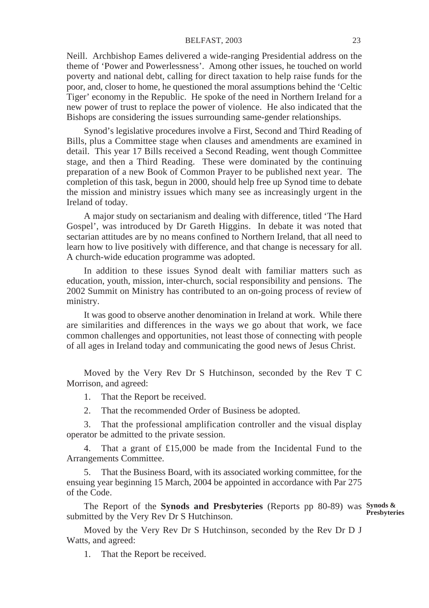#### BELFAST, 2003 23

Neill. Archbishop Eames delivered a wide-ranging Presidential address on the theme of 'Power and Powerlessness'. Among other issues, he touched on world poverty and national debt, calling for direct taxation to help raise funds for the poor, and, closer to home, he questioned the moral assumptions behind the 'Celtic Tiger' economy in the Republic. He spoke of the need in Northern Ireland for a new power of trust to replace the power of violence. He also indicated that the Bishops are considering the issues surrounding same-gender relationships.

Synod's legislative procedures involve a First, Second and Third Reading of Bills, plus a Committee stage when clauses and amendments are examined in detail. This year 17 Bills received a Second Reading, went though Committee stage, and then a Third Reading. These were dominated by the continuing preparation of a new Book of Common Prayer to be published next year. The completion of this task, begun in 2000, should help free up Synod time to debate the mission and ministry issues which many see as increasingly urgent in the Ireland of today.

A major study on sectarianism and dealing with difference, titled 'The Hard Gospel', was introduced by Dr Gareth Higgins. In debate it was noted that sectarian attitudes are by no means confined to Northern Ireland, that all need to learn how to live positively with difference, and that change is necessary for all. A church-wide education programme was adopted.

In addition to these issues Synod dealt with familiar matters such as education, youth, mission, inter-church, social responsibility and pensions. The 2002 Summit on Ministry has contributed to an on-going process of review of ministry.

It was good to observe another denomination in Ireland at work. While there are similarities and differences in the ways we go about that work, we face common challenges and opportunities, not least those of connecting with people of all ages in Ireland today and communicating the good news of Jesus Christ.

Moved by the Very Rev Dr S Hutchinson, seconded by the Rev T C Morrison, and agreed:

1. That the Report be received.

2. That the recommended Order of Business be adopted.

3. That the professional amplification controller and the visual display operator be admitted to the private session.

4. That a grant of £15,000 be made from the Incidental Fund to the Arrangements Committee.

5. That the Business Board, with its associated working committee, for the ensuing year beginning 15 March, 2004 be appointed in accordance with Par 275 of the Code.

The Report of the **Synods and Presbyteries** (Reports pp 80-89) was **Synods & Presbyteries**submitted by the Very Rev Dr S Hutchinson.

Moved by the Very Rev Dr S Hutchinson, seconded by the Rev Dr D J Watts, and agreed:

1. That the Report be received.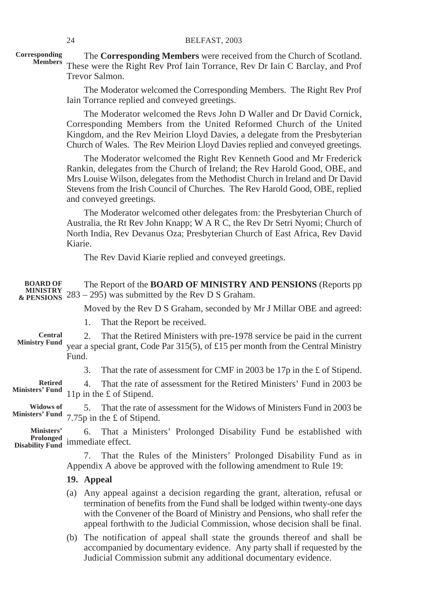**Corresponding Members**

The **Corresponding Members** were received from the Church of Scotland. These were the Right Rev Prof Iain Torrance, Rev Dr Iain C Barclay, and Prof Trevor Salmon.

The Moderator welcomed the Corresponding Members. The Right Rev Prof Iain Torrance replied and conveyed greetings.

The Moderator welcomed the Revs John D Waller and Dr David Cornick, Corresponding Members from the United Reformed Church of the United Kingdom, and the Rev Meirion Lloyd Davies, a delegate from the Presbyterian Church of Wales. The Rev Meirion Lloyd Davies replied and conveyed greetings.

The Moderator welcomed the Right Rev Kenneth Good and Mr Frederick Rankin, delegates from the Church of Ireland; the Rev Harold Good, OBE, and Mrs Louise Wilson, delegates from the Methodist Church in Ireland and Dr David Stevens from the Irish Council of Churches. The Rev Harold Good, OBE, replied and conveyed greetings.

The Moderator welcomed other delegates from: the Presbyterian Church of Australia, the Rt Rev John Knapp; W A R C, the Rev Dr Setri Nyomi; Church of North India, Rev Devanus Oza; Presbyterian Church of East Africa, Rev David Kiarie.

The Rev David Kiarie replied and conveyed greetings.

| <b>BOARD OF</b><br><b>MINISTRY</b>                |       | The Report of the <b>BOARD OF MINISTRY AND PENSIONS</b> (Reports pp<br>$\&$ PENSIONS 283 – 295) was submitted by the Rev D S Graham.                                                                                                                                                                                     |
|---------------------------------------------------|-------|--------------------------------------------------------------------------------------------------------------------------------------------------------------------------------------------------------------------------------------------------------------------------------------------------------------------------|
|                                                   |       | Moved by the Rev D S Graham, seconded by Mr J Millar OBE and agreed:                                                                                                                                                                                                                                                     |
|                                                   |       | That the Report be received.<br>1.                                                                                                                                                                                                                                                                                       |
| <b>Central</b><br><b>Ministry Fund</b>            | Fund. | That the Retired Ministers with pre-1978 service be paid in the current<br>2.<br>year a special grant, Code Par $315(5)$ , of £15 per month from the Central Ministry                                                                                                                                                    |
|                                                   |       | That the rate of assessment for CMF in 2003 be 17p in the £ of Stipend.<br>3.                                                                                                                                                                                                                                            |
| <b>Retired</b><br><b>Ministers' Fund</b>          |       | That the rate of assessment for the Retired Ministers' Fund in 2003 be<br>4.<br>11p in the £ of Stipend.                                                                                                                                                                                                                 |
| <b>Widows of</b><br><b>Ministers' Fund</b>        |       | That the rate of assessment for the Widows of Ministers Fund in 2003 be<br>5.<br>7.75p in the £ of Stipend.                                                                                                                                                                                                              |
| Ministers'<br>Prolonged<br><b>Disability Fund</b> |       | That a Ministers' Prolonged Disability Fund be established with<br>6.<br>immediate effect.                                                                                                                                                                                                                               |
|                                                   |       | That the Rules of the Ministers' Prolonged Disability Fund as in<br>7.<br>Appendix A above be approved with the following amendment to Rule 19:                                                                                                                                                                          |
|                                                   |       | 19. Appeal                                                                                                                                                                                                                                                                                                               |
|                                                   | (a)   | Any appeal against a decision regarding the grant, alteration, refusal or<br>termination of benefits from the Fund shall be lodged within twenty-one days<br>with the Convener of the Board of Ministry and Pensions, who shall refer the<br>appeal forthwith to the Judicial Commission, whose decision shall be final. |
|                                                   | (b)   | The notification of appeal shall state the grounds thereof and shall be<br>accompanied by documentary evidence. Any party shall if requested by the                                                                                                                                                                      |

Judicial Commission submit any additional documentary evidence.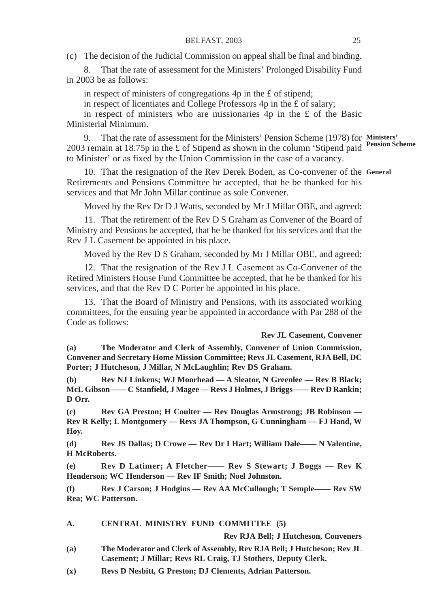(c) The decision of the Judicial Commission on appeal shall be final and binding.

8. That the rate of assessment for the Ministers' Prolonged Disability Fund in 2003 be as follows:

in respect of ministers of congregations 4p in the £ of stipend;

in respect of licentiates and College Professors 4p in the  $\hat{\mathbf{f}}$  of salary;

in respect of ministers who are missionaries  $4p$  in the £ of the Basic Ministerial Minimum.

9. That the rate of assessment for the Ministers' Pension Scheme (1978) for **Ministers'** 2003 remain at 18.75p in the £ of Stipend as shown in the column 'Stipend paid **Pension Scheme** to Minister' or as fixed by the Union Commission in the case of a vacancy.

10. That the resignation of the Rev Derek Boden, as Co-convener of the **General**Retirements and Pensions Committee be accepted, that he be thanked for his services and that Mr John Millar continue as sole Convener.

Moved by the Rev Dr D J Watts, seconded by Mr J Millar OBE, and agreed:

11. That the retirement of the Rev D S Graham as Convener of the Board of Ministry and Pensions be accepted, that he be thanked for his services and that the Rev J L Casement be appointed in his place.

Moved by the Rev D S Graham, seconded by Mr J Millar OBE, and agreed:

12. That the resignation of the Rev J L Casement as Co-Convener of the Retired Ministers House Fund Committee be accepted, that he be thanked for his services, and that the Rev D C Porter be appointed in his place.

13. That the Board of Ministry and Pensions, with its associated working committees, for the ensuing year be appointed in accordance with Par 288 of the Code as follows:

#### **Rev JL Casement, Convener**

**(a) The Moderator and Clerk of Assembly, Convener of Union Commission, Convener and Secretary Home Mission Committee; Revs JL Casement, RJA Bell, DC Porter; J Hutcheson, J Millar, N McLaughlin; Rev DS Graham.**

**(b) Rev NJ Linkens; WJ Moorhead — A Sleator, N Greenlee — Rev B Black; McL Gibson—— C Stanfield, J Magee — Revs J Holmes, J Briggs—— Rev D Rankin; D Orr.**

**(c) Rev GA Preston; H Coulter — Rev Douglas Armstrong; JB Robinson — Rev R Kelly; L Montgomery — Revs JA Thompson, G Cunningham — FJ Hand, W Hoy.**

**(d) Rev JS Dallas; D Crowe — Rev Dr I Hart; William Dale—— N Valentine, H McRoberts.**

**(e) Rev D Latimer; A Fletcher—— Rev S Stewart; J Boggs — Rev K Henderson; WC Henderson — Rev IF Smith; Noel Johnston.**

**(f) Rev J Carson; J Hodgins — Rev AA McCullough; T Semple—— Rev SW Rea; WC Patterson.**

#### **A. CENTRAL MINISTRY FUND COMMITTEE (5)**

**Rev RJA Bell; J Hutcheson, Conveners**

- **(a) The Moderator and Clerk of Assembly, Rev RJA Bell; J Hutcheson; Rev JL Casement; J Millar; Revs RL Craig, TJ Stothers, Deputy Clerk.**
- **(x) Revs D Nesbitt, G Preston; DJ Clements, Adrian Patterson.**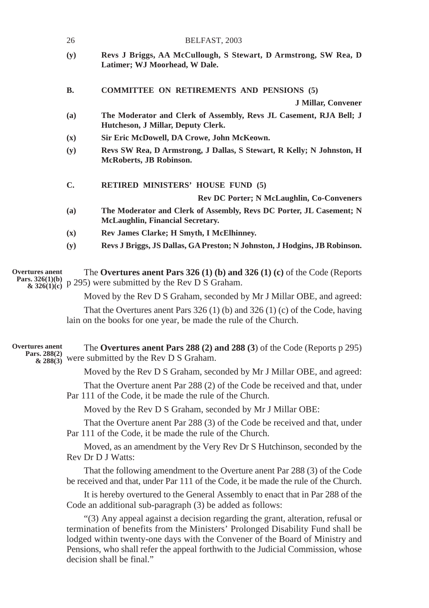|                                                    | 26             | BELFAST, 2003                                                                                                                                                                                                                                                                                                                                                     |
|----------------------------------------------------|----------------|-------------------------------------------------------------------------------------------------------------------------------------------------------------------------------------------------------------------------------------------------------------------------------------------------------------------------------------------------------------------|
|                                                    | (y)            | Revs J Briggs, AA McCullough, S Stewart, D Armstrong, SW Rea, D<br>Latimer; WJ Moorhead, W Dale.                                                                                                                                                                                                                                                                  |
|                                                    | <b>B.</b>      | <b>COMMITTEE ON RETIREMENTS AND PENSIONS (5)</b>                                                                                                                                                                                                                                                                                                                  |
|                                                    |                | <b>J Millar, Convener</b>                                                                                                                                                                                                                                                                                                                                         |
|                                                    | (a)            | The Moderator and Clerk of Assembly, Revs JL Casement, RJA Bell; J<br>Hutcheson, J Millar, Deputy Clerk.                                                                                                                                                                                                                                                          |
|                                                    | $(\mathbf{x})$ | Sir Eric McDowell, DA Crowe, John McKeown.                                                                                                                                                                                                                                                                                                                        |
|                                                    | (y)            | Revs SW Rea, D Armstrong, J Dallas, S Stewart, R Kelly; N Johnston, H<br>McRoberts, JB Robinson.                                                                                                                                                                                                                                                                  |
|                                                    | C.             | RETIRED MINISTERS' HOUSE FUND (5)                                                                                                                                                                                                                                                                                                                                 |
|                                                    |                | Rev DC Porter; N McLaughlin, Co-Conveners                                                                                                                                                                                                                                                                                                                         |
|                                                    | (a)            | The Moderator and Clerk of Assembly, Revs DC Porter, JL Casement; N<br>McLaughlin, Financial Secretary.                                                                                                                                                                                                                                                           |
|                                                    | $(\mathbf{x})$ | Rev James Clarke; H Smyth, I McElhinney.                                                                                                                                                                                                                                                                                                                          |
|                                                    | (y)            | Revs J Briggs, JS Dallas, GA Preston; N Johnston, J Hodgins, JB Robinson.                                                                                                                                                                                                                                                                                         |
| Overtures anent<br>Pars. $326(1)(b)$               |                | The Overtures anent Pars 326 (1) (b) and 326 (1) (c) of the Code (Reports<br>$\frac{\partial}{\partial x}$ 326(1)(e) p 295) were submitted by the Rev D S Graham.                                                                                                                                                                                                 |
|                                                    |                | Moved by the Rev D S Graham, seconded by Mr J Millar OBE, and agreed:                                                                                                                                                                                                                                                                                             |
|                                                    |                | That the Overtures anent Pars $326(1)$ (b) and $326(1)$ (c) of the Code, having<br>lain on the books for one year, be made the rule of the Church.                                                                                                                                                                                                                |
| <b>Overtures</b> anent<br>Pars. 288(2)<br>& 288(3) |                | The Overtures and Pars 288 (2) and 288 (3) of the Code (Reports $p$ 295)<br>were submitted by the Rev D S Graham.                                                                                                                                                                                                                                                 |
|                                                    |                | Moved by the Rev D S Graham, seconded by Mr J Millar OBE, and agreed:                                                                                                                                                                                                                                                                                             |
|                                                    |                | That the Overture anent Par 288 (2) of the Code be received and that, under<br>Par 111 of the Code, it be made the rule of the Church.                                                                                                                                                                                                                            |
|                                                    |                | Moved by the Rev D S Graham, seconded by Mr J Millar OBE:                                                                                                                                                                                                                                                                                                         |
|                                                    |                | That the Overture anent Par 288 (3) of the Code be received and that, under<br>Par 111 of the Code, it be made the rule of the Church.                                                                                                                                                                                                                            |
|                                                    |                | Moved, as an amendment by the Very Rev Dr S Hutchinson, seconded by the<br>Rev Dr D J Watts:                                                                                                                                                                                                                                                                      |
|                                                    |                | That the following amendment to the Overture anent Par 288 (3) of the Code<br>be received and that, under Par 111 of the Code, it be made the rule of the Church.                                                                                                                                                                                                 |
|                                                    |                | It is hereby overtured to the General Assembly to enact that in Par 288 of the<br>Code an additional sub-paragraph (3) be added as follows:                                                                                                                                                                                                                       |
|                                                    |                | "(3) Any appeal against a decision regarding the grant, alteration, refusal or<br>termination of benefits from the Ministers' Prolonged Disability Fund shall be<br>lodged within twenty-one days with the Convener of the Board of Ministry and<br>Pensions, who shall refer the appeal forthwith to the Judicial Commission, whose<br>decision shall be final." |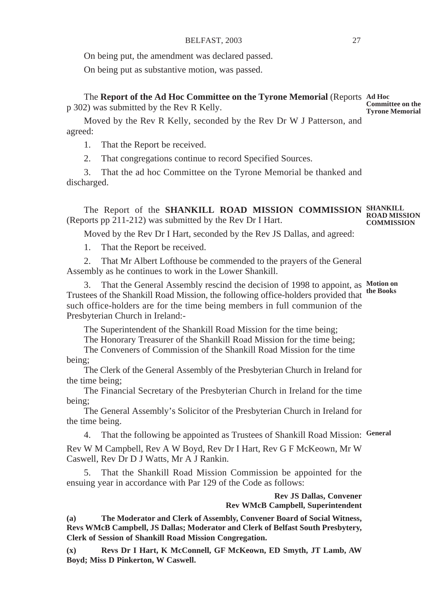On being put, the amendment was declared passed.

On being put as substantive motion, was passed.

The **Report of the Ad Hoc Committee on the Tyrone Memorial** (Reports **Ad Hoc** p 302) was submitted by the Rev R Kelly. **Committee on the Tyrone Memorial**

Moved by the Rev R Kelly, seconded by the Rev Dr W J Patterson, and agreed:

1. That the Report be received.

2. That congregations continue to record Specified Sources.

3. That the ad hoc Committee on the Tyrone Memorial be thanked and discharged.

The Report of the **SHANKILL ROAD MISSION COMMISSION SHANKILL** (Reports pp  $211-212$ ) was submitted by the Rev Dr I Hart. **ROAD MISSION COMMISSION**

Moved by the Rev Dr I Hart, seconded by the Rev JS Dallas, and agreed:

1. That the Report be received.

2. That Mr Albert Lofthouse be commended to the prayers of the General Assembly as he continues to work in the Lower Shankill.

3. That the General Assembly rescind the decision of 1998 to appoint, as **Motion on** Trustees of the Shankill Road Mission, the following office-holders provided that such office-holders are for the time being members in full communion of the Presbyterian Church in Ireland: **the Books**

The Superintendent of the Shankill Road Mission for the time being;

The Honorary Treasurer of the Shankill Road Mission for the time being;

The Conveners of Commission of the Shankill Road Mission for the time being;

The Clerk of the General Assembly of the Presbyterian Church in Ireland for the time being;

The Financial Secretary of the Presbyterian Church in Ireland for the time being;

The General Assembly's Solicitor of the Presbyterian Church in Ireland for the time being.

4. That the following be appointed as Trustees of Shankill Road Mission: **General**

Rev W M Campbell, Rev A W Boyd, Rev Dr I Hart, Rev G F McKeown, Mr W Caswell, Rev Dr D J Watts, Mr A J Rankin.

5. That the Shankill Road Mission Commission be appointed for the ensuing year in accordance with Par 129 of the Code as follows:

> **Rev JS Dallas, Convener Rev WMcB Campbell, Superintendent**

**(a) The Moderator and Clerk of Assembly, Convener Board of Social Witness, Revs WMcB Campbell, JS Dallas; Moderator and Clerk of Belfast South Presbytery, Clerk of Session of Shankill Road Mission Congregation.**

**(x) Revs Dr I Hart, K McConnell, GF McKeown, ED Smyth, JT Lamb, AW Boyd; Miss D Pinkerton, W Caswell.**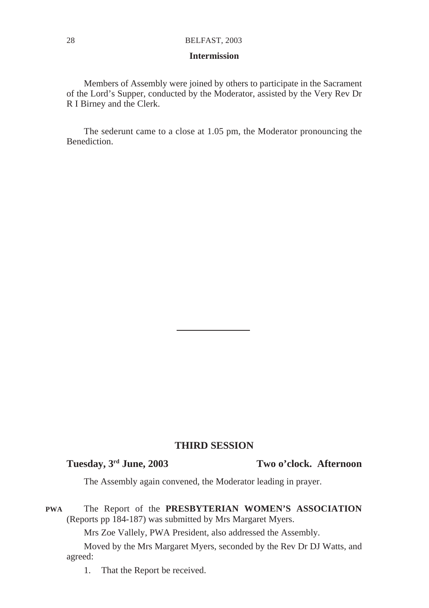#### **Intermission**

Members of Assembly were joined by others to participate in the Sacrament of the Lord's Supper, conducted by the Moderator, assisted by the Very Rev Dr R I Birney and the Clerk.

The sederunt came to a close at 1.05 pm, the Moderator pronouncing the Benediction.

#### **THIRD SESSION**

#### **Tuesday, 3rd June, 2003 Two o'clock. Afternoon**

The Assembly again convened, the Moderator leading in prayer.

#### The Report of the **PRESBYTERIAN WOMEN'S ASSOCIATION** (Reports pp 184-187) was submitted by Mrs Margaret Myers. **PWA**

Mrs Zoe Vallely, PWA President, also addressed the Assembly.

Moved by the Mrs Margaret Myers, seconded by the Rev Dr DJ Watts, and agreed:

1. That the Report be received.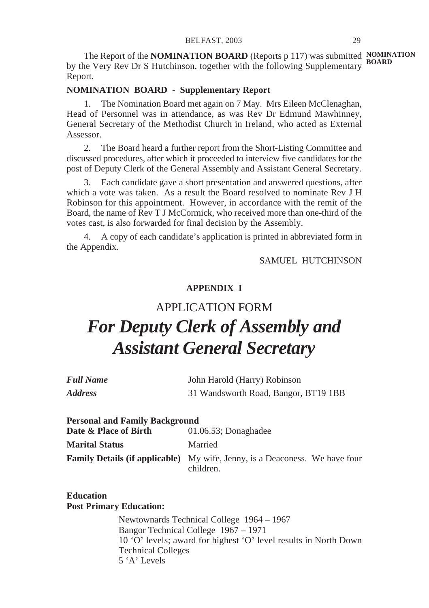The Report of the **NOMINATION BOARD** (Reports p 117) was submitted **NOMINATION** by the Very Rev Dr S Hutchinson, together with the following Supplementary **BOARD** Report.

#### **NOMINATION BOARD - Supplementary Report**

1. The Nomination Board met again on 7 May. Mrs Eileen McClenaghan, Head of Personnel was in attendance, as was Rev Dr Edmund Mawhinney, General Secretary of the Methodist Church in Ireland, who acted as External Assessor.

2. The Board heard a further report from the Short-Listing Committee and discussed procedures, after which it proceeded to interview five candidates for the post of Deputy Clerk of the General Assembly and Assistant General Secretary.

3. Each candidate gave a short presentation and answered questions, after which a vote was taken. As a result the Board resolved to nominate Rev J H Robinson for this appointment. However, in accordance with the remit of the Board, the name of Rev T J McCormick, who received more than one-third of the votes cast, is also forwarded for final decision by the Assembly.

4. A copy of each candidate's application is printed in abbreviated form in the Appendix.

SAMUEL HUTCHINSON

#### **APPENDIX I**

## APPLICATION FORM *For Deputy Clerk of Assembly and Assistant General Secretary*

| <b>Full Name</b>      | John Harold (Harry) Robinson         |
|-----------------------|--------------------------------------|
| <i><b>Address</b></i> | 31 Wandsworth Road, Bangor, BT19 1BB |

| <b>Personal and Family Background</b> |                                                                                                 |
|---------------------------------------|-------------------------------------------------------------------------------------------------|
| Date & Place of Birth                 | $01.06.53$ ; Donaghadee                                                                         |
| <b>Marital Status</b>                 | Married                                                                                         |
|                                       | <b>Family Details (if applicable)</b> My wife, Jenny, is a Deaconess. We have four<br>children. |

**Education Post Primary Education:**

> Newtownards Technical College 1964 – 1967 Bangor Technical College 1967 – 1971 10 'O' levels; award for highest 'O' level results in North Down Technical Colleges 5 'A' Levels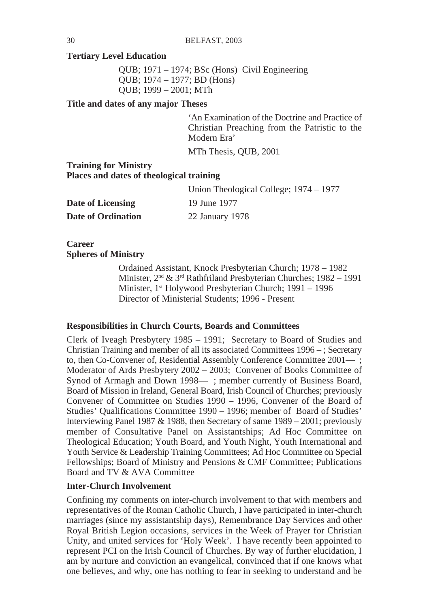#### **Tertiary Level Education**

QUB; 1971 – 1974; BSc (Hons) Civil Engineering QUB; 1974 – 1977; BD (Hons) QUB; 1999 – 2001; MTh

**Title and dates of any major Theses**

'An Examination of the Doctrine and Practice of Christian Preaching from the Patristic to the Modern Era'

MTh Thesis, QUB, 2001

#### **Training for Ministry Places and dates of theological training**

|                    | Union Theological College; 1974 – 1977 |
|--------------------|----------------------------------------|
| Date of Licensing  | 19 June 1977                           |
| Date of Ordination | 22 January 1978                        |

**Career Spheres of Ministry**

> Ordained Assistant, Knock Presbyterian Church; 1978 – 1982 Minister, 2<sup>nd</sup> & 3<sup>rd</sup> Rathfriland Presbyterian Churches; 1982 – 1991 Minister, 1<sup>st</sup> Holywood Presbyterian Church; 1991 – 1996 Director of Ministerial Students; 1996 - Present

#### **Responsibilities in Church Courts, Boards and Committees**

Clerk of Iveagh Presbytery 1985 – 1991; Secretary to Board of Studies and Christian Training and member of all its associated Committees 1996 – ; Secretary to, then Co-Convener of, Residential Assembly Conference Committee 2001—; Moderator of Ards Presbytery 2002 – 2003; Convener of Books Committee of Synod of Armagh and Down 1998—; member currently of Business Board, Board of Mission in Ireland, General Board, Irish Council of Churches; previously Convener of Committee on Studies 1990 – 1996, Convener of the Board of Studies' Qualifications Committee 1990 – 1996; member of Board of Studies' Interviewing Panel 1987 & 1988, then Secretary of same 1989 – 2001; previously member of Consultative Panel on Assistantships; Ad Hoc Committee on Theological Education; Youth Board, and Youth Night, Youth International and Youth Service & Leadership Training Committees; Ad Hoc Committee on Special Fellowships; Board of Ministry and Pensions & CMF Committee; Publications Board and TV & AVA Committee

#### **Inter-Church Involvement**

Confining my comments on inter-church involvement to that with members and representatives of the Roman Catholic Church, I have participated in inter-church marriages (since my assistantship days), Remembrance Day Services and other Royal British Legion occasions, services in the Week of Prayer for Christian Unity, and united services for 'Holy Week'. I have recently been appointed to represent PCI on the Irish Council of Churches. By way of further elucidation, I am by nurture and conviction an evangelical, convinced that if one knows what one believes, and why, one has nothing to fear in seeking to understand and be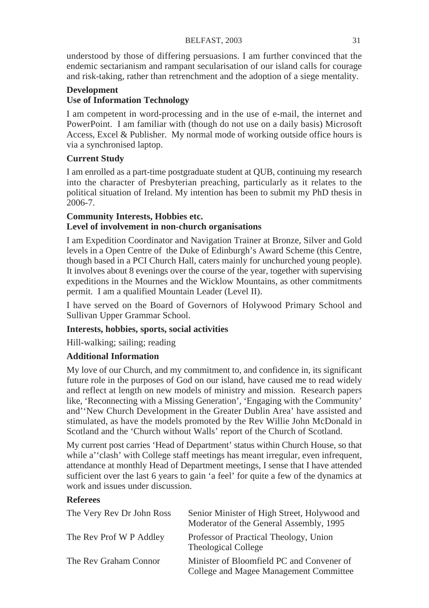#### BELFAST, 2003 31

understood by those of differing persuasions. I am further convinced that the endemic sectarianism and rampant secularisation of our island calls for courage and risk-taking, rather than retrenchment and the adoption of a siege mentality.

#### **Development Use of Information Technology**

I am competent in word-processing and in the use of e-mail, the internet and PowerPoint. I am familiar with (though do not use on a daily basis) Microsoft Access, Excel & Publisher. My normal mode of working outside office hours is via a synchronised laptop.

#### **Current Study**

I am enrolled as a part-time postgraduate student at QUB, continuing my research into the character of Presbyterian preaching, particularly as it relates to the political situation of Ireland. My intention has been to submit my PhD thesis in 2006-7.

#### **Community Interests, Hobbies etc. Level of involvement in non-church organisations**

I am Expedition Coordinator and Navigation Trainer at Bronze, Silver and Gold levels in a Open Centre of the Duke of Edinburgh's Award Scheme (this Centre, though based in a PCI Church Hall, caters mainly for unchurched young people). It involves about 8 evenings over the course of the year, together with supervising expeditions in the Mournes and the Wicklow Mountains, as other commitments permit. I am a qualified Mountain Leader (Level II).

I have served on the Board of Governors of Holywood Primary School and Sullivan Upper Grammar School.

#### **Interests, hobbies, sports, social activities**

Hill-walking; sailing; reading

#### **Additional Information**

My love of our Church, and my commitment to, and confidence in, its significant future role in the purposes of God on our island, have caused me to read widely and reflect at length on new models of ministry and mission. Research papers like, 'Reconnecting with a Missing Generation', 'Engaging with the Community' and''New Church Development in the Greater Dublin Area' have assisted and stimulated, as have the models promoted by the Rev Willie John McDonald in Scotland and the 'Church without Walls' report of the Church of Scotland.

My current post carries 'Head of Department' status within Church House, so that while a' clash' with College staff meetings has meant irregular, even infrequent, attendance at monthly Head of Department meetings, I sense that I have attended sufficient over the last 6 years to gain 'a feel' for quite a few of the dynamics at work and issues under discussion.

#### **Referees**

| The Very Rev Dr John Ross | Senior Minister of High Street, Holywood and<br>Moderator of the General Assembly, 1995 |
|---------------------------|-----------------------------------------------------------------------------------------|
| The Rev Prof W P Addley   | Professor of Practical Theology, Union<br>Theological College                           |
| The Rev Graham Connor     | Minister of Bloomfield PC and Convener of<br>College and Magee Management Committee     |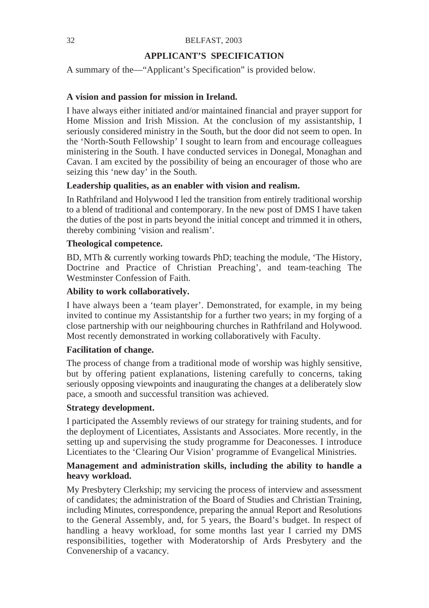#### **APPLICANT'S SPECIFICATION**

A summary of the—"Applicant's Specification" is provided below.

#### **A vision and passion for mission in Ireland.**

I have always either initiated and/or maintained financial and prayer support for Home Mission and Irish Mission. At the conclusion of my assistantship, I seriously considered ministry in the South, but the door did not seem to open. In the 'North-South Fellowship' I sought to learn from and encourage colleagues ministering in the South. I have conducted services in Donegal, Monaghan and Cavan. I am excited by the possibility of being an encourager of those who are seizing this 'new day' in the South.

#### **Leadership qualities, as an enabler with vision and realism.**

In Rathfriland and Holywood I led the transition from entirely traditional worship to a blend of traditional and contemporary. In the new post of DMS I have taken the duties of the post in parts beyond the initial concept and trimmed it in others, thereby combining 'vision and realism'.

#### **Theological competence.**

BD, MTh & currently working towards PhD; teaching the module, 'The History, Doctrine and Practice of Christian Preaching', and team-teaching The Westminster Confession of Faith.

#### **Ability to work collaboratively.**

I have always been a 'team player'. Demonstrated, for example, in my being invited to continue my Assistantship for a further two years; in my forging of a close partnership with our neighbouring churches in Rathfriland and Holywood. Most recently demonstrated in working collaboratively with Faculty.

#### **Facilitation of change.**

The process of change from a traditional mode of worship was highly sensitive, but by offering patient explanations, listening carefully to concerns, taking seriously opposing viewpoints and inaugurating the changes at a deliberately slow pace, a smooth and successful transition was achieved.

#### **Strategy development.**

I participated the Assembly reviews of our strategy for training students, and for the deployment of Licentiates, Assistants and Associates. More recently, in the setting up and supervising the study programme for Deaconesses. I introduce Licentiates to the 'Clearing Our Vision' programme of Evangelical Ministries.

#### **Management and administration skills, including the ability to handle a heavy workload.**

My Presbytery Clerkship; my servicing the process of interview and assessment of candidates; the administration of the Board of Studies and Christian Training, including Minutes, correspondence, preparing the annual Report and Resolutions to the General Assembly, and, for 5 years, the Board's budget. In respect of handling a heavy workload, for some months last year I carried my DMS responsibilities, together with Moderatorship of Ards Presbytery and the Convenership of a vacancy.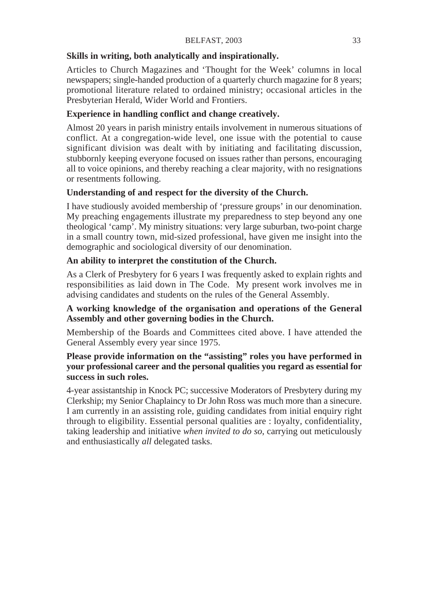#### **Skills in writing, both analytically and inspirationally.**

Articles to Church Magazines and 'Thought for the Week' columns in local newspapers; single-handed production of a quarterly church magazine for 8 years; promotional literature related to ordained ministry; occasional articles in the Presbyterian Herald, Wider World and Frontiers.

#### **Experience in handling conflict and change creatively.**

Almost 20 years in parish ministry entails involvement in numerous situations of conflict. At a congregation-wide level, one issue with the potential to cause significant division was dealt with by initiating and facilitating discussion, stubbornly keeping everyone focused on issues rather than persons, encouraging all to voice opinions, and thereby reaching a clear majority, with no resignations or resentments following.

#### **Understanding of and respect for the diversity of the Church.**

I have studiously avoided membership of 'pressure groups' in our denomination. My preaching engagements illustrate my preparedness to step beyond any one theological 'camp'. My ministry situations: very large suburban, two-point charge in a small country town, mid-sized professional, have given me insight into the demographic and sociological diversity of our denomination.

#### **An ability to interpret the constitution of the Church.**

As a Clerk of Presbytery for 6 years I was frequently asked to explain rights and responsibilities as laid down in The Code. My present work involves me in advising candidates and students on the rules of the General Assembly.

#### **A working knowledge of the organisation and operations of the General Assembly and other governing bodies in the Church.**

Membership of the Boards and Committees cited above. I have attended the General Assembly every year since 1975.

#### **Please provide information on the "assisting" roles you have performed in your professional career and the personal qualities you regard as essential for success in such roles.**

4-year assistantship in Knock PC; successive Moderators of Presbytery during my Clerkship; my Senior Chaplaincy to Dr John Ross was much more than a sinecure. I am currently in an assisting role, guiding candidates from initial enquiry right through to eligibility. Essential personal qualities are : loyalty, confidentiality, taking leadership and initiative *when invited to do so*, carrying out meticulously and enthusiastically *all* delegated tasks.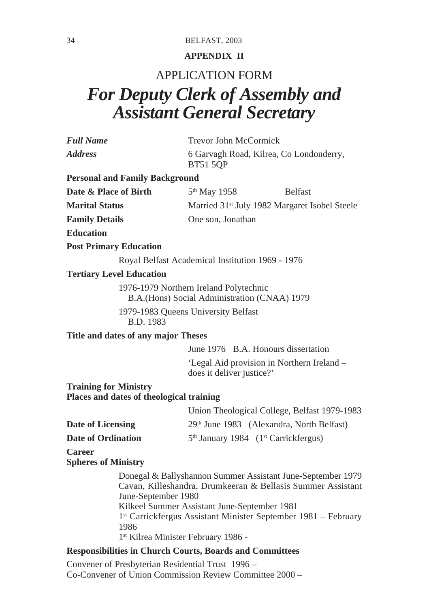#### **APPENDIX II**

### APPLICATION FORM *For Deputy Clerk of Assembly and Assistant General Secretary*

| Full Name | Trevor John McCormick                                      |
|-----------|------------------------------------------------------------|
| Address   | 6 Garvagh Road, Kilrea, Co Londonderry,<br><b>BT51 5OP</b> |
|           |                                                            |

#### **Personal and Family Background**

| Date & Place of Birth | 5 <sup>th</sup> May 1958                                  | <b>Belfast</b> |
|-----------------------|-----------------------------------------------------------|----------------|
| <b>Marital Status</b> | Married 31 <sup>st</sup> July 1982 Margaret Isobel Steele |                |
| <b>Family Details</b> | One son, Jonathan                                         |                |

**Education**

#### **Post Primary Education**

Royal Belfast Academical Institution 1969 - 1976

#### **Tertiary Level Education**

1976-1979 Northern Ireland Polytechnic B.A.(Hons) Social Administration (CNAA) 1979

1979-1983 Queens University Belfast B.D. 1983

**Title and dates of any major Theses**

June 1976 B.A. Honours dissertation

'Legal Aid provision in Northern Ireland – does it deliver justice?'

**Training for Ministry Places and dates of theological training**

|                    | Union Theological College, Belfast 1979-1983       |
|--------------------|----------------------------------------------------|
| Date of Licensing  | 29th June 1983 (Alexandra, North Belfast)          |
| Date of Ordination | $5th$ January 1984 (1 <sup>st</sup> Carrickfergus) |

**Career**

**Spheres of Ministry**

Donegal & Ballyshannon Summer Assistant June-September 1979 Cavan, Killeshandra, Drumkeeran & Bellasis Summer Assistant June-September 1980 Kilkeel Summer Assistant June-September 1981 1st Carrickfergus Assistant Minister September 1981 – February 1986 1st Kilrea Minister February 1986 -

#### **Responsibilities in Church Courts, Boards and Committees**

Convener of Presbyterian Residential Trust 1996 – Co-Convener of Union Commission Review Committee 2000 –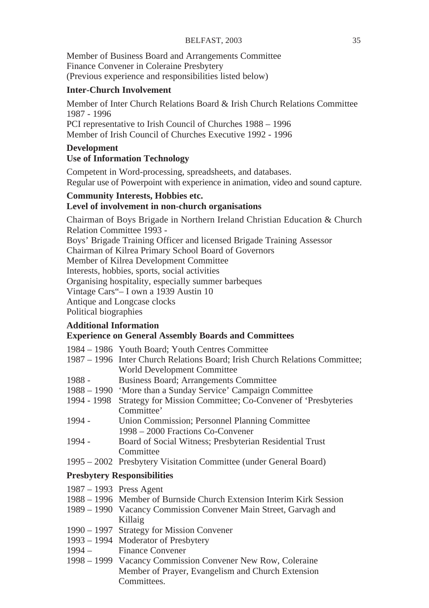Member of Business Board and Arrangements Committee Finance Convener in Coleraine Presbytery (Previous experience and responsibilities listed below)

#### **Inter-Church Involvement**

Member of Inter Church Relations Board & Irish Church Relations Committee 1987 - 1996 PCI representative to Irish Council of Churches 1988 – 1996 Member of Irish Council of Churches Executive 1992 - 1996

#### **Development**

#### **Use of Information Technology**

Competent in Word-processing, spreadsheets, and databases. Regular use of Powerpoint with experience in animation, video and sound capture.

#### **Community Interests, Hobbies etc. Level of involvement in non-church organisations**

Chairman of Boys Brigade in Northern Ireland Christian Education & Church Relation Committee 1993 -

Boys' Brigade Training Officer and licensed Brigade Training Assessor Chairman of Kilrea Primary School Board of Governors

Member of Kilrea Development Committee

Interests, hobbies, sports, social activities

Organising hospitality, especially summer barbeques

Vintage Cars"– I own a 1939 Austin 10

Antique and Longcase clocks

Political biographies

#### **Additional Information Experience on General Assembly Boards and Committees**

| 1984 – 1986 Youth Board: Youth Centres Committee |  |  |  |  |  |  |  |
|--------------------------------------------------|--|--|--|--|--|--|--|
|--------------------------------------------------|--|--|--|--|--|--|--|

| 1987 – 1996 Inter Church Relations Board; Irish Church Relations Committee; |
|-----------------------------------------------------------------------------|
| World Development Committee                                                 |

- 1988 Business Board; Arrangements Committee
- 1988 1990 'More than a Sunday Service' Campaign Committee
- 1994 1998 Strategy for Mission Committee; Co-Convener of 'Presbyteries Committee'
- 1994 Union Commission; Personnel Planning Committee 1998 – 2000 Fractions Co-Convener
- 1994 Board of Social Witness; Presbyterian Residential Trust **Committee**
- 1995 2002 Presbytery Visitation Committee (under General Board)

#### **Presbytery Responsibilities**

- 1987 1993 Press Agent
- 1988 1996 Member of Burnside Church Extension Interim Kirk Session
- 1989 1990 Vacancy Commission Convener Main Street, Garvagh and Killaig
- 1990 1997 Strategy for Mission Convener
- 1993 1994 Moderator of Presbytery
- 1994 Finance Convener
- 1998 1999 Vacancy Commission Convener New Row, Coleraine Member of Prayer, Evangelism and Church Extension Committees.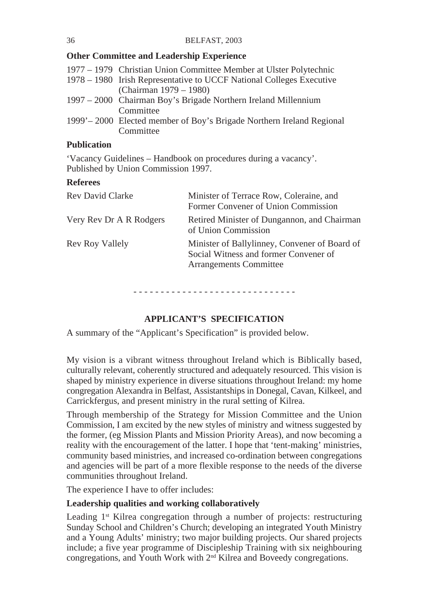#### **Other Committee and Leadership Experience**

| 1977 – 1979 Christian Union Committee Member at Ulster Polytechnic     |
|------------------------------------------------------------------------|
| 1978 – 1980 Irish Representative to UCCF National Colleges Executive   |
| (Chairman 1979 – 1980)                                                 |
| 1997 – 2000 Chairman Boy's Brigade Northern Ireland Millennium         |
| Committee                                                              |
| 1999' – 2000 Elected member of Boy's Brigade Northern Ireland Regional |
| Committee                                                              |

#### **Publication**

'Vacancy Guidelines – Handbook on procedures during a vacancy'. Published by Union Commission 1997.

#### **Referees**

| Rev David Clarke        | Minister of Terrace Row, Coleraine, and<br>Former Convener of Union Commission                                   |
|-------------------------|------------------------------------------------------------------------------------------------------------------|
| Very Rev Dr A R Rodgers | Retired Minister of Dungannon, and Chairman<br>of Union Commission                                               |
| Rev Roy Vallely         | Minister of Ballylinney, Convener of Board of<br>Social Witness and former Convener of<br>Arrangements Committee |

- - - - - - - - - - - - - - - - - - - - - - - - - - - - - -

#### **APPLICANT'S SPECIFICATION**

A summary of the "Applicant's Specification" is provided below.

My vision is a vibrant witness throughout Ireland which is Biblically based, culturally relevant, coherently structured and adequately resourced. This vision is shaped by ministry experience in diverse situations throughout Ireland: my home congregation Alexandra in Belfast, Assistantships in Donegal, Cavan, Kilkeel, and Carrickfergus, and present ministry in the rural setting of Kilrea.

Through membership of the Strategy for Mission Committee and the Union Commission, I am excited by the new styles of ministry and witness suggested by the former, (eg Mission Plants and Mission Priority Areas), and now becoming a reality with the encouragement of the latter. I hope that 'tent-making' ministries, community based ministries, and increased co-ordination between congregations and agencies will be part of a more flexible response to the needs of the diverse communities throughout Ireland.

The experience I have to offer includes:

#### **Leadership qualities and working collaboratively**

Leading 1<sup>st</sup> Kilrea congregation through a number of projects: restructuring Sunday School and Children's Church; developing an integrated Youth Ministry and a Young Adults' ministry; two major building projects. Our shared projects include; a five year programme of Discipleship Training with six neighbouring congregations, and Youth Work with 2<sup>nd</sup> Kilrea and Boveedy congregations.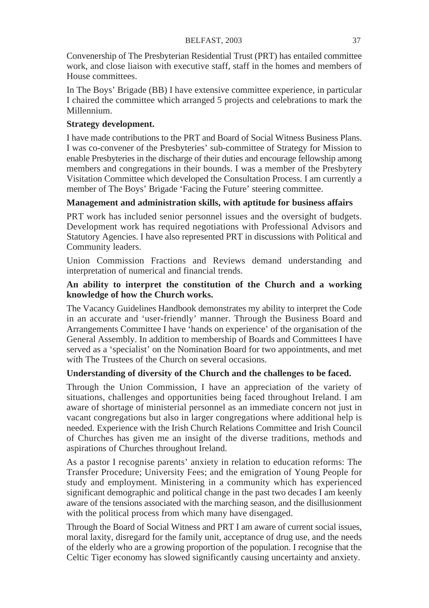Convenership of The Presbyterian Residential Trust (PRT) has entailed committee work, and close liaison with executive staff, staff in the homes and members of House committees.

In The Boys' Brigade (BB) I have extensive committee experience, in particular I chaired the committee which arranged 5 projects and celebrations to mark the Millennium.

## **Strategy development.**

I have made contributions to the PRT and Board of Social Witness Business Plans. I was co-convener of the Presbyteries' sub-committee of Strategy for Mission to enable Presbyteries in the discharge of their duties and encourage fellowship among members and congregations in their bounds. I was a member of the Presbytery Visitation Committee which developed the Consultation Process. I am currently a member of The Boys' Brigade 'Facing the Future' steering committee.

## **Management and administration skills, with aptitude for business affairs**

PRT work has included senior personnel issues and the oversight of budgets. Development work has required negotiations with Professional Advisors and Statutory Agencies. I have also represented PRT in discussions with Political and Community leaders.

Union Commission Fractions and Reviews demand understanding and interpretation of numerical and financial trends.

## **An ability to interpret the constitution of the Church and a working knowledge of how the Church works.**

The Vacancy Guidelines Handbook demonstrates my ability to interpret the Code in an accurate and 'user-friendly' manner. Through the Business Board and Arrangements Committee I have 'hands on experience' of the organisation of the General Assembly. In addition to membership of Boards and Committees I have served as a 'specialist' on the Nomination Board for two appointments, and met with The Trustees of the Church on several occasions.

# **Understanding of diversity of the Church and the challenges to be faced.**

Through the Union Commission, I have an appreciation of the variety of situations, challenges and opportunities being faced throughout Ireland. I am aware of shortage of ministerial personnel as an immediate concern not just in vacant congregations but also in larger congregations where additional help is needed. Experience with the Irish Church Relations Committee and Irish Council of Churches has given me an insight of the diverse traditions, methods and aspirations of Churches throughout Ireland.

As a pastor I recognise parents' anxiety in relation to education reforms: The Transfer Procedure; University Fees; and the emigration of Young People for study and employment. Ministering in a community which has experienced significant demographic and political change in the past two decades I am keenly aware of the tensions associated with the marching season, and the disillusionment with the political process from which many have disengaged.

Through the Board of Social Witness and PRT I am aware of current social issues, moral laxity, disregard for the family unit, acceptance of drug use, and the needs of the elderly who are a growing proportion of the population. I recognise that the Celtic Tiger economy has slowed significantly causing uncertainty and anxiety.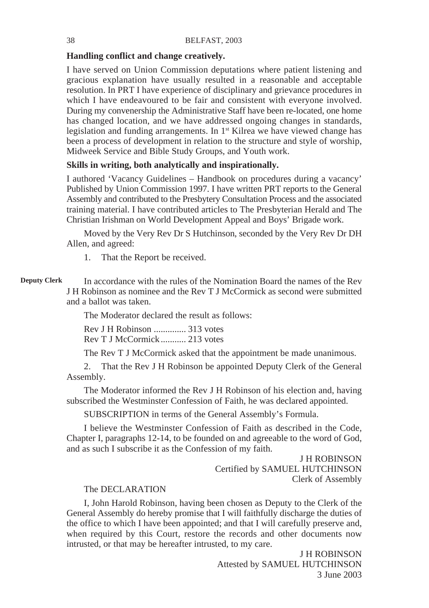## **Handling conflict and change creatively.**

I have served on Union Commission deputations where patient listening and gracious explanation have usually resulted in a reasonable and acceptable resolution. In PRT I have experience of disciplinary and grievance procedures in which I have endeavoured to be fair and consistent with everyone involved. During my convenership the Administrative Staff have been re-located, one home has changed location, and we have addressed ongoing changes in standards, legislation and funding arrangements. In  $1<sup>st</sup>$  Kilrea we have viewed change has been a process of development in relation to the structure and style of worship, Midweek Service and Bible Study Groups, and Youth work.

## **Skills in writing, both analytically and inspirationally.**

I authored 'Vacancy Guidelines – Handbook on procedures during a vacancy' Published by Union Commission 1997. I have written PRT reports to the General Assembly and contributed to the Presbytery Consultation Process and the associated training material. I have contributed articles to The Presbyterian Herald and The Christian Irishman on World Development Appeal and Boys' Brigade work.

Moved by the Very Rev Dr S Hutchinson, seconded by the Very Rev Dr DH Allen, and agreed:

1. That the Report be received.

#### In accordance with the rules of the Nomination Board the names of the Rev J H Robinson as nominee and the Rev T J McCormick as second were submitted and a ballot was taken. **Deputy Clerk**

The Moderator declared the result as follows:

Rev J H Robinson .............. 313 votes Rev T J McCormick ........... 213 votes

The Rev T J McCormick asked that the appointment be made unanimous.

2. That the Rev J H Robinson be appointed Deputy Clerk of the General Assembly.

The Moderator informed the Rev J H Robinson of his election and, having subscribed the Westminster Confession of Faith, he was declared appointed.

SUBSCRIPTION in terms of the General Assembly's Formula.

I believe the Westminster Confession of Faith as described in the Code, Chapter I, paragraphs 12-14, to be founded on and agreeable to the word of God, and as such I subscribe it as the Confession of my faith.

> J H ROBINSON Certified by SAMUEL HUTCHINSON Clerk of Assembly

## The DECLARATION

I, John Harold Robinson, having been chosen as Deputy to the Clerk of the General Assembly do hereby promise that I will faithfully discharge the duties of the office to which I have been appointed; and that I will carefully preserve and, when required by this Court, restore the records and other documents now intrusted, or that may be hereafter intrusted, to my care.

> J H ROBINSON Attested by SAMUEL HUTCHINSON 3 June 2003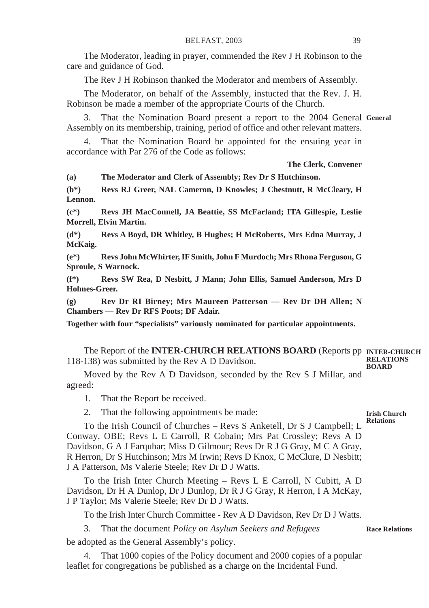The Moderator, leading in prayer, commended the Rev J H Robinson to the care and guidance of God.

The Rev J H Robinson thanked the Moderator and members of Assembly.

The Moderator, on behalf of the Assembly, instucted that the Rev. J. H. Robinson be made a member of the appropriate Courts of the Church.

3. That the Nomination Board present a report to the 2004 General **General** Assembly on its membership, training, period of office and other relevant matters.

That the Nomination Board be appointed for the ensuing year in accordance with Par 276 of the Code as follows:

**The Clerk, Convener**

**(a) The Moderator and Clerk of Assembly; Rev Dr S Hutchinson.**

**(b\*) Revs RJ Greer, NAL Cameron, D Knowles; J Chestnutt, R McCleary, H Lennon.**

**(c\*) Revs JH MacConnell, JA Beattie, SS McFarland; ITA Gillespie, Leslie Morrell, Elvin Martin.**

**(d\*) Revs A Boyd, DR Whitley, B Hughes; H McRoberts, Mrs Edna Murray, J McKaig.**

**(e\*) Revs John McWhirter, IF Smith, John F Murdoch; Mrs Rhona Ferguson, G Sproule, S Warnock.**

**(f\*) Revs SW Rea, D Nesbitt, J Mann; John Ellis, Samuel Anderson, Mrs D Holmes-Greer.**

**(g) Rev Dr RI Birney; Mrs Maureen Patterson — Rev Dr DH Allen; N Chambers — Rev Dr RFS Poots; DF Adair.**

**Together with four "specialists" variously nominated for particular appointments.**

The Report of the **INTER-CHURCH RELATIONS BOARD** (Reports pp **INTER-CHURCH** 118-138) was submitted by the Rev A D Davidson. **RELATIONS BOARD**

Moved by the Rev A D Davidson, seconded by the Rev S J Millar, and agreed:

1. That the Report be received.

2. That the following appointments be made:

#### **Irish Church Relations**

To the Irish Council of Churches – Revs S Anketell, Dr S J Campbell; L Conway, OBE; Revs L E Carroll, R Cobain; Mrs Pat Crossley; Revs A D Davidson, G A J Farquhar; Miss D Gilmour; Revs Dr R J G Gray, M C A Gray, R Herron, Dr S Hutchinson; Mrs M Irwin; Revs D Knox, C McClure, D Nesbitt; J A Patterson, Ms Valerie Steele; Rev Dr D J Watts.

To the Irish Inter Church Meeting – Revs L E Carroll, N Cubitt, A D Davidson, Dr H A Dunlop, Dr J Dunlop, Dr R J G Gray, R Herron, I A McKay, J P Taylor; Ms Valerie Steele; Rev Dr D J Watts.

To the Irish Inter Church Committee - Rev A D Davidson, Rev Dr D J Watts.

3. That the document *Policy on Asylum Seekers and Refugees*

be adopted as the General Assembly's policy.

4. That 1000 copies of the Policy document and 2000 copies of a popular leaflet for congregations be published as a charge on the Incidental Fund.

**Race Relations**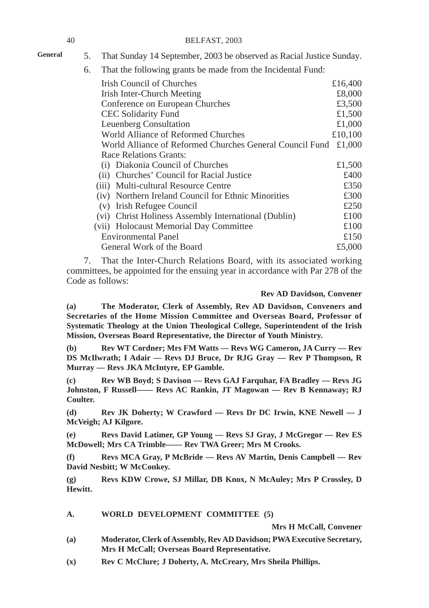# **General**

- 5. That Sunday 14 September, 2003 be observed as Racial Justice Sunday.
- 6. That the following grants be made from the Incidental Fund:

| Irish Council of Churches                                | £16,400 |  |
|----------------------------------------------------------|---------|--|
| Irish Inter-Church Meeting                               |         |  |
| Conference on European Churches                          | £3,500  |  |
| CEC Solidarity Fund                                      | £1,500  |  |
| Leuenberg Consultation                                   | £1,000  |  |
| World Alliance of Reformed Churches                      | £10,100 |  |
| World Alliance of Reformed Churches General Council Fund | £1,000  |  |
| Race Relations Grants:                                   |         |  |
| (i) Diakonia Council of Churches                         | £1,500  |  |
| (ii) Churches' Council for Racial Justice                | £400    |  |
| (iii) Multi-cultural Resource Centre                     | £350    |  |
| (iv) Northern Ireland Council for Ethnic Minorities      | £300    |  |
| (v) Irish Refugee Council                                | £250    |  |
| (vi) Christ Holiness Assembly International (Dublin)     | £100    |  |
| (vii) Holocaust Memorial Day Committee                   | £100    |  |
| <b>Environmental Panel</b>                               | £150    |  |
| General Work of the Board                                | £5,000  |  |

7. That the Inter-Church Relations Board, with its associated working committees, be appointed for the ensuing year in accordance with Par 278 of the Code as follows:

#### **Rev AD Davidson, Convener**

**(a) The Moderator, Clerk of Assembly, Rev AD Davidson, Conveners and Secretaries of the Home Mission Committee and Overseas Board, Professor of Systematic Theology at the Union Theological College, Superintendent of the Irish Mission, Overseas Board Representative, the Director of Youth Ministry.**

**(b) Rev WT Cordner; Mrs FM Watts — Revs WG Cameron, JA Curry — Rev DS McIlwrath; I Adair — Revs DJ Bruce, Dr RJG Gray — Rev P Thompson, R Murray — Revs JKA McIntyre, EP Gamble.**

**(c) Rev WB Boyd; S Davison — Revs GAJ Farquhar, FA Bradley — Revs JG Johnston, F Russell—— Revs AC Rankin, JT Magowan — Rev B Kennaway; RJ Coulter.**

**(d) Rev JK Doherty; W Crawford — Revs Dr DC Irwin, KNE Newell — J McVeigh; AJ Kilgore.**

**(e) Revs David Latimer, GP Young — Revs SJ Gray, J McGregor — Rev ES McDowell; Mrs CA Trimble—— Rev TWA Greer; Mrs M Crooks.**

**(f) Revs MCA Gray, P McBride — Revs AV Martin, Denis Campbell — Rev David Nesbitt; W McConkey.**

**(g) Revs KDW Crowe, SJ Millar, DB Knox, N McAuley; Mrs P Crossley, D Hewitt.**

## **A. WORLD DEVELOPMENT COMMITTEE (5)**

**Mrs H McCall, Convener**

- **(a) Moderator, Clerk of Assembly, Rev AD Davidson; PWA Executive Secretary, Mrs H McCall; Overseas Board Representative.**
- **(x) Rev C McClure; J Doherty, A. McCreary, Mrs Sheila Phillips.**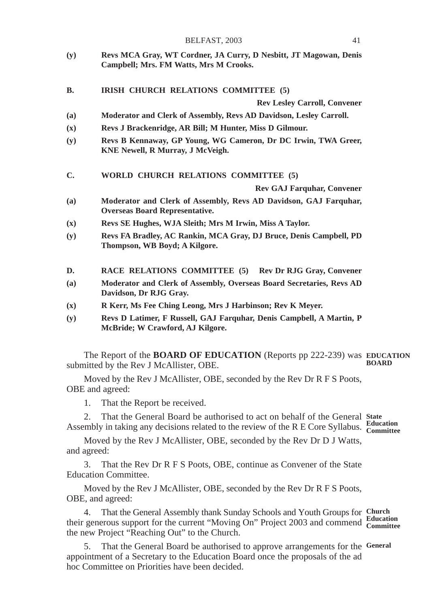| BELFAST, 2003 |  |  |
|---------------|--|--|
|---------------|--|--|

- **(y) Revs MCA Gray, WT Cordner, JA Curry, D Nesbitt, JT Magowan, Denis Campbell; Mrs. FM Watts, Mrs M Crooks.**
- **B. IRISH CHURCH RELATIONS COMMITTEE (5)**

**Rev Lesley Carroll, Convener**

- **(a) Moderator and Clerk of Assembly, Revs AD Davidson, Lesley Carroll.**
- **(x) Revs J Brackenridge, AR Bill; M Hunter, Miss D Gilmour.**
- **(y) Revs B Kennaway, GP Young, WG Cameron, Dr DC Irwin, TWA Greer, KNE Newell, R Murray, J McVeigh.**
- **C. WORLD CHURCH RELATIONS COMMITTEE (5)**

**Rev GAJ Farquhar, Convener**

- **(a) Moderator and Clerk of Assembly, Revs AD Davidson, GAJ Farquhar, Overseas Board Representative.**
- **(x) Revs SE Hughes, WJA Sleith; Mrs M Irwin, Miss A Taylor.**
- **(y) Revs FA Bradley, AC Rankin, MCA Gray, DJ Bruce, Denis Campbell, PD Thompson, WB Boyd; A Kilgore.**
- **D. RACE RELATIONS COMMITTEE (5) Rev Dr RJG Gray, Convener**
- **(a) Moderator and Clerk of Assembly, Overseas Board Secretaries, Revs AD Davidson, Dr RJG Gray.**
- **(x) R Kerr, Ms Fee Ching Leong, Mrs J Harbinson; Rev K Meyer.**
- **(y) Revs D Latimer, F Russell, GAJ Farquhar, Denis Campbell, A Martin, P McBride; W Crawford, AJ Kilgore.**

The Report of the **BOARD OF EDUCATION** (Reports pp 222-239) was **EDUCATION** submitted by the Rev J McAllister, OBE. **BOARD**

Moved by the Rev J McAllister, OBE, seconded by the Rev Dr R F S Poots, OBE and agreed:

1. That the Report be received.

2. That the General Board be authorised to act on behalf of the General **State** Assembly in taking any decisions related to the review of the R E Core Syllabus. **Education Committee**

Moved by the Rev J McAllister, OBE, seconded by the Rev Dr D J Watts, and agreed:

3. That the Rev Dr R F S Poots, OBE, continue as Convener of the State Education Committee.

Moved by the Rev J McAllister, OBE, seconded by the Rev Dr R F S Poots, OBE, and agreed:

4. That the General Assembly thank Sunday Schools and Youth Groups for **Church** their generous support for the current "Moving On" Project 2003 and commend **Education Committee** the new Project "Reaching Out" to the Church.

5. That the General Board be authorised to approve arrangements for the **General**appointment of a Secretary to the Education Board once the proposals of the ad hoc Committee on Priorities have been decided.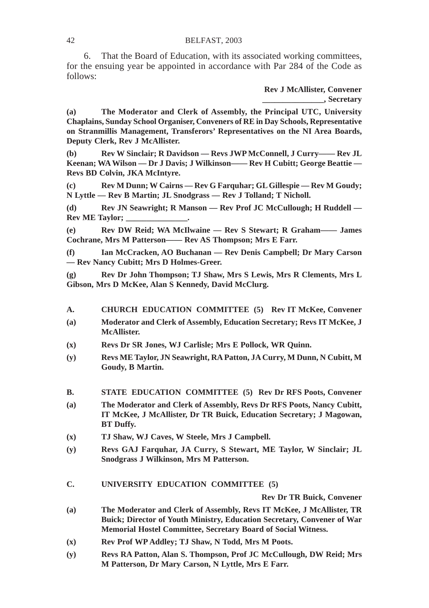6. That the Board of Education, with its associated working committees, for the ensuing year be appointed in accordance with Par 284 of the Code as follows:

> **Rev J McAllister, Convener \_\_\_\_\_\_\_\_\_\_\_\_\_\_\_, Secretary**

**(a) The Moderator and Clerk of Assembly, the Principal UTC, University Chaplains, Sunday School Organiser, Conveners of RE in Day Schools, Representative on Stranmillis Management, Transferors' Representatives on the NI Area Boards, Deputy Clerk, Rev J McAllister.**

**(b) Rev W Sinclair; R Davidson — Revs JWP McConnell, J Curry—— Rev JL Keenan; WA Wilson — Dr J Davis; J Wilkinson—— Rev H Cubitt; George Beattie — Revs BD Colvin, JKA McIntyre.**

**(c) Rev M Dunn; W Cairns — Rev G Farquhar; GL Gillespie — Rev M Goudy; N Lyttle — Rev B Martin; JL Snodgrass — Rev J Tolland; T Nicholl.**

**(d) Rev JN Seawright; R Manson — Rev Prof JC McCullough; H Ruddell — Rev ME Taylor;** 

**(e) Rev DW Reid; WA McIlwaine — Rev S Stewart; R Graham—— James Cochrane, Mrs M Patterson—— Rev AS Thompson; Mrs E Farr.**

**(f) Ian McCracken, AO Buchanan — Rev Denis Campbell; Dr Mary Carson — Rev Nancy Cubitt; Mrs D Holmes-Greer.**

**(g) Rev Dr John Thompson; TJ Shaw, Mrs S Lewis, Mrs R Clements, Mrs L Gibson, Mrs D McKee, Alan S Kennedy, David McClurg.**

- **A. CHURCH EDUCATION COMMITTEE (5) Rev IT McKee, Convener**
- **(a) Moderator and Clerk of Assembly, Education Secretary; Revs IT McKee, J McAllister.**
- **(x) Revs Dr SR Jones, WJ Carlisle; Mrs E Pollock, WR Quinn.**
- **(y) Revs ME Taylor, JN Seawright, RA Patton, JA Curry, M Dunn, N Cubitt, M Goudy, B Martin.**
- **B. STATE EDUCATION COMMITTEE (5) Rev Dr RFS Poots, Convener**
- **(a) The Moderator and Clerk of Assembly, Revs Dr RFS Poots, Nancy Cubitt, IT McKee, J McAllister, Dr TR Buick, Education Secretary; J Magowan, BT Duffy.**
- **(x) TJ Shaw, WJ Caves, W Steele, Mrs J Campbell.**
- **(y) Revs GAJ Farquhar, JA Curry, S Stewart, ME Taylor, W Sinclair; JL Snodgrass J Wilkinson, Mrs M Patterson.**
- **C. UNIVERSITY EDUCATION COMMITTEE (5)**

**Rev Dr TR Buick, Convener**

- **(a) The Moderator and Clerk of Assembly, Revs IT McKee, J McAllister, TR Buick; Director of Youth Ministry, Education Secretary, Convener of War Memorial Hostel Committee, Secretary Board of Social Witness.**
- **(x) Rev Prof WP Addley; TJ Shaw, N Todd, Mrs M Poots.**
- **(y) Revs RA Patton, Alan S. Thompson, Prof JC McCullough, DW Reid; Mrs M Patterson, Dr Mary Carson, N Lyttle, Mrs E Farr.**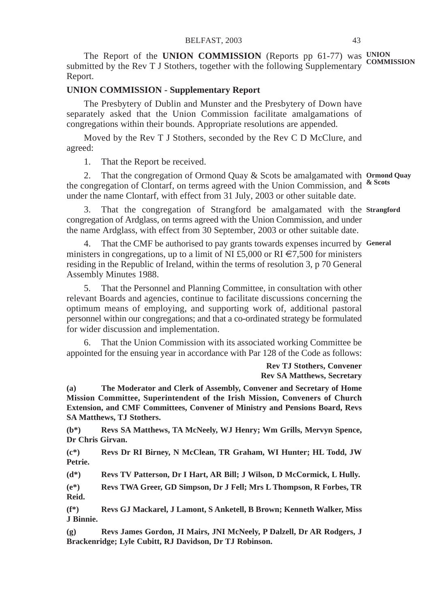The Report of the UNION COMMISSION (Reports pp 61-77) was UNION submitted by the Rev T J Stothers, together with the following Supplementary **COMMISSION** Report.

## **UNION COMMISSION - Supplementary Report**

The Presbytery of Dublin and Munster and the Presbytery of Down have separately asked that the Union Commission facilitate amalgamations of congregations within their bounds. Appropriate resolutions are appended.

Moved by the Rev T J Stothers, seconded by the Rev C D McClure, and agreed:

1. That the Report be received.

2. That the congregation of Ormond Quay & Scots be amalgamated with **Ormond Quay** the congregation of Clontarf, on terms agreed with the Union Commission, and **& Scots** under the name Clontarf, with effect from 31 July, 2003 or other suitable date.

3. That the congregation of Strangford be amalgamated with the **Strangford** congregation of Ardglass, on terms agreed with the Union Commission, and under the name Ardglass, with effect from 30 September, 2003 or other suitable date.

4. That the CMF be authorised to pay grants towards expenses incurred by **General**ministers in congregations, up to a limit of NI £5,000 or RI  $\epsilon$ 7,500 for ministers residing in the Republic of Ireland, within the terms of resolution 3, p 70 General Assembly Minutes 1988.

5. That the Personnel and Planning Committee, in consultation with other relevant Boards and agencies, continue to facilitate discussions concerning the optimum means of employing, and supporting work of, additional pastoral personnel within our congregations; and that a co-ordinated strategy be formulated for wider discussion and implementation.

6. That the Union Commission with its associated working Committee be appointed for the ensuing year in accordance with Par 128 of the Code as follows:

## **Rev TJ Stothers, Convener Rev SA Matthews, Secretary**

**(a) The Moderator and Clerk of Assembly, Convener and Secretary of Home Mission Committee, Superintendent of the Irish Mission, Conveners of Church Extension, and CMF Committees, Convener of Ministry and Pensions Board, Revs SA Matthews, TJ Stothers.**

**(b\*) Revs SA Matthews, TA McNeely, WJ Henry; Wm Grills, Mervyn Spence, Dr Chris Girvan.**

**(c\*) Revs Dr RI Birney, N McClean, TR Graham, WI Hunter; HL Todd, JW Petrie.**

**(d\*) Revs TV Patterson, Dr I Hart, AR Bill; J Wilson, D McCormick, L Hully.**

**(e\*) Revs TWA Greer, GD Simpson, Dr J Fell; Mrs L Thompson, R Forbes, TR Reid.**

**(f\*) Revs GJ Mackarel, J Lamont, S Anketell, B Brown; Kenneth Walker, Miss J Binnie.**

**(g) Revs James Gordon, JI Mairs, JNI McNeely, P Dalzell, Dr AR Rodgers, J Brackenridge; Lyle Cubitt, RJ Davidson, Dr TJ Robinson.**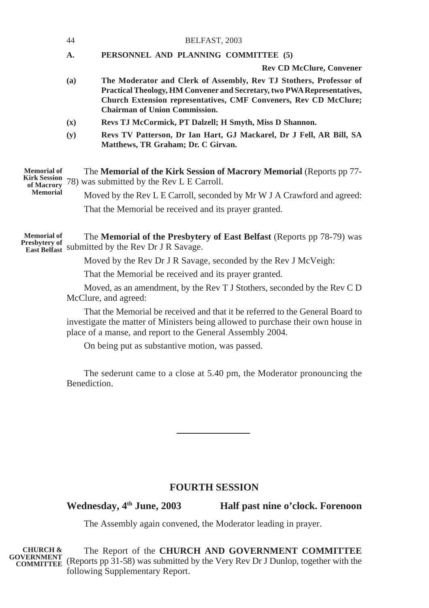|                                                                            | 44             | BELFAST, 2003                                                                                                                                                                                                                                                    |  |
|----------------------------------------------------------------------------|----------------|------------------------------------------------------------------------------------------------------------------------------------------------------------------------------------------------------------------------------------------------------------------|--|
|                                                                            | A.             | PERSONNEL AND PLANNING COMMITTEE (5)                                                                                                                                                                                                                             |  |
|                                                                            |                | <b>Rev CD McClure, Convener</b>                                                                                                                                                                                                                                  |  |
|                                                                            | (a)            | The Moderator and Clerk of Assembly, Rev TJ Stothers, Professor of<br>Practical Theology, HM Convener and Secretary, two PWA Representatives,<br><b>Church Extension representatives, CMF Conveners, Rev CD McClure;</b><br><b>Chairman of Union Commission.</b> |  |
|                                                                            | $(\mathbf{x})$ | Revs TJ McCormick, PT Dalzell; H Smyth, Miss D Shannon.                                                                                                                                                                                                          |  |
|                                                                            | (y)            | Revs TV Patterson, Dr Ian Hart, GJ Mackarel, Dr J Fell, AR Bill, SA<br>Matthews, TR Graham; Dr. C Girvan.                                                                                                                                                        |  |
| <b>Memorial of</b><br><b>Kirk Session</b><br>of Macrory<br><b>Memorial</b> |                | The <b>Memorial of the Kirk Session of Macrory Memorial</b> (Reports pp 77-<br>78) was submitted by the Rev L E Carroll.                                                                                                                                         |  |
|                                                                            |                | Moved by the Rev L E Carroll, seconded by Mr W J A Crawford and agreed:                                                                                                                                                                                          |  |
|                                                                            |                | That the Memorial be received and its prayer granted.                                                                                                                                                                                                            |  |

The **Memorial of the Presbytery of East Belfast** (Reports pp 78-79) was Presbytery of submitted by the Rev Dr J R Savage. **Memorial of**

Moved by the Rev Dr J R Savage, seconded by the Rev J McVeigh:

That the Memorial be received and its prayer granted.

Moved, as an amendment, by the Rev T J Stothers, seconded by the Rev C D McClure, and agreed:

That the Memorial be received and that it be referred to the General Board to investigate the matter of Ministers being allowed to purchase their own house in place of a manse, and report to the General Assembly 2004.

On being put as substantive motion, was passed.

The sederunt came to a close at 5.40 pm, the Moderator pronouncing the Benediction.

# **FOURTH SESSION**

Wednesday,  $4^{\text{th}}$  June, 2003 Half past nine o'clock. Forenoon

The Assembly again convened, the Moderator leading in prayer.

The Report of the **CHURCH AND GOVERNMENT COMMITTEE** (Reports pp 31-58) was submitted by the Very Rev Dr J Dunlop, together with the **COMMITTEE**following Supplementary Report. **CHURCH & GOVERNMENT**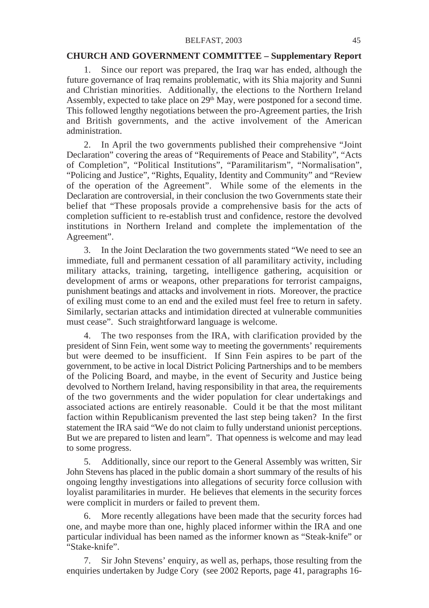#### **CHURCH AND GOVERNMENT COMMITTEE – Supplementary Report**

1. Since our report was prepared, the Iraq war has ended, although the future governance of Iraq remains problematic, with its Shia majority and Sunni and Christian minorities. Additionally, the elections to the Northern Ireland Assembly, expected to take place on  $29<sup>th</sup>$  May, were postponed for a second time. This followed lengthy negotiations between the pro-Agreement parties, the Irish and British governments, and the active involvement of the American administration.

2. In April the two governments published their comprehensive "Joint Declaration" covering the areas of "Requirements of Peace and Stability", "Acts of Completion", "Political Institutions", "Paramilitarism", "Normalisation", "Policing and Justice", "Rights, Equality, Identity and Community" and "Review of the operation of the Agreement". While some of the elements in the Declaration are controversial, in their conclusion the two Governments state their belief that "These proposals provide a comprehensive basis for the acts of completion sufficient to re-establish trust and confidence, restore the devolved institutions in Northern Ireland and complete the implementation of the Agreement".

3. In the Joint Declaration the two governments stated "We need to see an immediate, full and permanent cessation of all paramilitary activity, including military attacks, training, targeting, intelligence gathering, acquisition or development of arms or weapons, other preparations for terrorist campaigns, punishment beatings and attacks and involvement in riots. Moreover, the practice of exiling must come to an end and the exiled must feel free to return in safety. Similarly, sectarian attacks and intimidation directed at vulnerable communities must cease". Such straightforward language is welcome.

4. The two responses from the IRA, with clarification provided by the president of Sinn Fein, went some way to meeting the governments' requirements but were deemed to be insufficient. If Sinn Fein aspires to be part of the government, to be active in local District Policing Partnerships and to be members of the Policing Board, and maybe, in the event of Security and Justice being devolved to Northern Ireland, having responsibility in that area, the requirements of the two governments and the wider population for clear undertakings and associated actions are entirely reasonable. Could it be that the most militant faction within Republicanism prevented the last step being taken? In the first statement the IRA said "We do not claim to fully understand unionist perceptions. But we are prepared to listen and learn". That openness is welcome and may lead to some progress.

5. Additionally, since our report to the General Assembly was written, Sir John Stevens has placed in the public domain a short summary of the results of his ongoing lengthy investigations into allegations of security force collusion with loyalist paramilitaries in murder. He believes that elements in the security forces were complicit in murders or failed to prevent them.

6. More recently allegations have been made that the security forces had one, and maybe more than one, highly placed informer within the IRA and one particular individual has been named as the informer known as "Steak-knife" or "Stake-knife".

7. Sir John Stevens' enquiry, as well as, perhaps, those resulting from the enquiries undertaken by Judge Cory (see 2002 Reports, page 41, paragraphs 16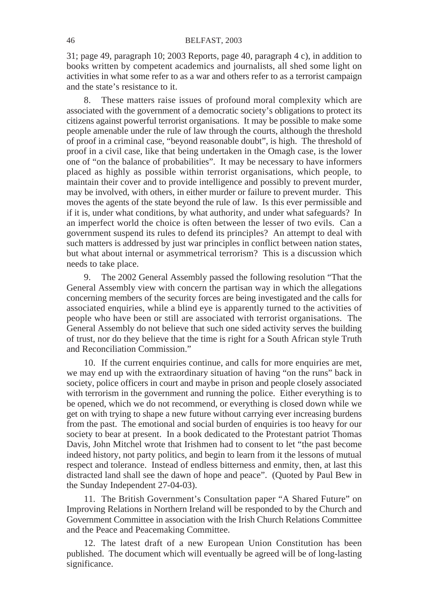31; page 49, paragraph 10; 2003 Reports, page 40, paragraph 4 c), in addition to books written by competent academics and journalists, all shed some light on activities in what some refer to as a war and others refer to as a terrorist campaign and the state's resistance to it.

8. These matters raise issues of profound moral complexity which are associated with the government of a democratic society's obligations to protect its citizens against powerful terrorist organisations. It may be possible to make some people amenable under the rule of law through the courts, although the threshold of proof in a criminal case, "beyond reasonable doubt", is high. The threshold of proof in a civil case, like that being undertaken in the Omagh case, is the lower one of "on the balance of probabilities". It may be necessary to have informers placed as highly as possible within terrorist organisations, which people, to maintain their cover and to provide intelligence and possibly to prevent murder, may be involved, with others, in either murder or failure to prevent murder. This moves the agents of the state beyond the rule of law. Is this ever permissible and if it is, under what conditions, by what authority, and under what safeguards? In an imperfect world the choice is often between the lesser of two evils. Can a government suspend its rules to defend its principles? An attempt to deal with such matters is addressed by just war principles in conflict between nation states, but what about internal or asymmetrical terrorism? This is a discussion which needs to take place.

9. The 2002 General Assembly passed the following resolution "That the General Assembly view with concern the partisan way in which the allegations concerning members of the security forces are being investigated and the calls for associated enquiries, while a blind eye is apparently turned to the activities of people who have been or still are associated with terrorist organisations. The General Assembly do not believe that such one sided activity serves the building of trust, nor do they believe that the time is right for a South African style Truth and Reconciliation Commission."

10. If the current enquiries continue, and calls for more enquiries are met, we may end up with the extraordinary situation of having "on the runs" back in society, police officers in court and maybe in prison and people closely associated with terrorism in the government and running the police. Either everything is to be opened, which we do not recommend, or everything is closed down while we get on with trying to shape a new future without carrying ever increasing burdens from the past. The emotional and social burden of enquiries is too heavy for our society to bear at present. In a book dedicated to the Protestant patriot Thomas Davis, John Mitchel wrote that Irishmen had to consent to let "the past become indeed history, not party politics, and begin to learn from it the lessons of mutual respect and tolerance. Instead of endless bitterness and enmity, then, at last this distracted land shall see the dawn of hope and peace". (Quoted by Paul Bew in the Sunday Independent 27-04-03).

11. The British Government's Consultation paper "A Shared Future" on Improving Relations in Northern Ireland will be responded to by the Church and Government Committee in association with the Irish Church Relations Committee and the Peace and Peacemaking Committee.

12. The latest draft of a new European Union Constitution has been published. The document which will eventually be agreed will be of long-lasting significance.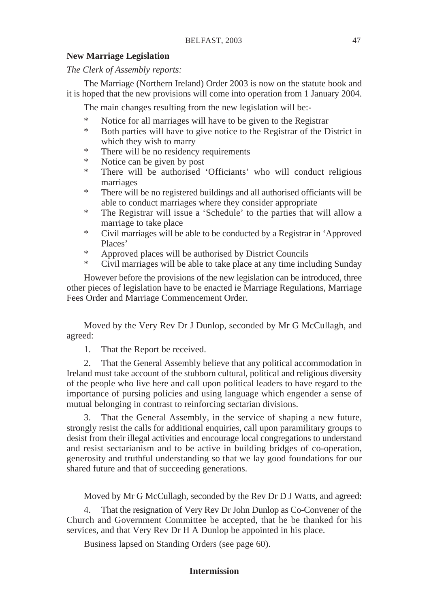## **New Marriage Legislation**

*The Clerk of Assembly reports:*

The Marriage (Northern Ireland) Order 2003 is now on the statute book and it is hoped that the new provisions will come into operation from 1 January 2004.

The main changes resulting from the new legislation will be:-

- \* Notice for all marriages will have to be given to the Registrar
- \* Both parties will have to give notice to the Registrar of the District in which they wish to marry
- \* There will be no residency requirements
- Notice can be given by post
- \* There will be authorised 'Officiants' who will conduct religious marriages
- \* There will be no registered buildings and all authorised officiants will be able to conduct marriages where they consider appropriate
- \* The Registrar will issue a 'Schedule' to the parties that will allow a marriage to take place
- \* Civil marriages will be able to be conducted by a Registrar in 'Approved Places'
- \* Approved places will be authorised by District Councils
- \* Civil marriages will be able to take place at any time including Sunday

However before the provisions of the new legislation can be introduced, three other pieces of legislation have to be enacted ie Marriage Regulations, Marriage Fees Order and Marriage Commencement Order.

Moved by the Very Rev Dr J Dunlop, seconded by Mr G McCullagh, and agreed:

1. That the Report be received.

2. That the General Assembly believe that any political accommodation in Ireland must take account of the stubborn cultural, political and religious diversity of the people who live here and call upon political leaders to have regard to the importance of pursing policies and using language which engender a sense of mutual belonging in contrast to reinforcing sectarian divisions.

That the General Assembly, in the service of shaping a new future, strongly resist the calls for additional enquiries, call upon paramilitary groups to desist from their illegal activities and encourage local congregations to understand and resist sectarianism and to be active in building bridges of co-operation, generosity and truthful understanding so that we lay good foundations for our shared future and that of succeeding generations.

Moved by Mr G McCullagh, seconded by the Rev Dr D J Watts, and agreed:

That the resignation of Very Rev Dr John Dunlop as Co-Convener of the Church and Government Committee be accepted, that he be thanked for his services, and that Very Rev Dr H A Dunlop be appointed in his place.

Business lapsed on Standing Orders (see page 60).

# **Intermission**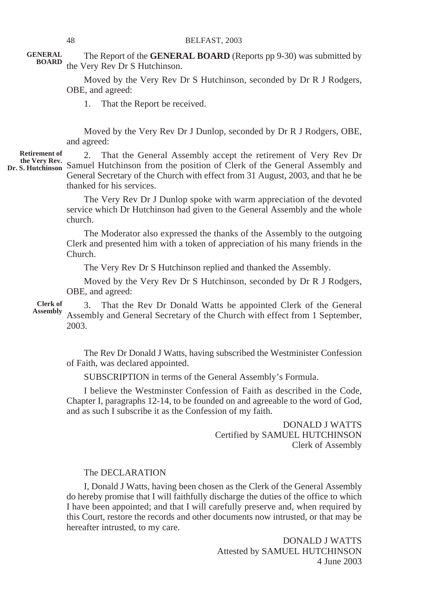The Report of the **GENERAL BOARD** (Reports pp 9-30) was submitted by the Very Rev Dr S Hutchinson. **GENERAL BOARD**

> Moved by the Very Rev Dr S Hutchinson, seconded by Dr R J Rodgers, OBE, and agreed:

1. That the Report be received.

Moved by the Very Rev Dr J Dunlop, seconded by Dr R J Rodgers, OBE, and agreed:

**Retirement of**

2. That the General Assembly accept the retirement of Very Rev Dr Samuel Hutchinson from the position of Clerk of the General Assembly and **the Very Rev. Dr. S. Hutchinson** General Secretary of the Church with effect from 31 August, 2003, and that he be thanked for his services.

> The Very Rev Dr J Dunlop spoke with warm appreciation of the devoted service which Dr Hutchinson had given to the General Assembly and the whole church.

> The Moderator also expressed the thanks of the Assembly to the outgoing Clerk and presented him with a token of appreciation of his many friends in the Church.

The Very Rev Dr S Hutchinson replied and thanked the Assembly.

Moved by the Very Rev Dr S Hutchinson, seconded by Dr R J Rodgers, OBE, and agreed:

3. That the Rev Dr Donald Watts be appointed Clerk of the General Assembly and General Secretary of the Church with effect from 1 September, 2003. **Clerk of Assembly**

> The Rev Dr Donald J Watts, having subscribed the Westminister Confession of Faith, was declared appointed.

SUBSCRIPTION in terms of the General Assembly's Formula.

I believe the Westminster Confession of Faith as described in the Code, Chapter I, paragraphs 12-14, to be founded on and agreeable to the word of God, and as such I subscribe it as the Confession of my faith.

> DONALD J WATTS Certified by SAMUEL HUTCHINSON Clerk of Assembly

#### The DECLARATION

I, Donald J Watts, having been chosen as the Clerk of the General Assembly do hereby promise that I will faithfully discharge the duties of the office to which I have been appointed; and that I will carefully preserve and, when required by this Court, restore the records and other documents now intrusted, or that may be hereafter intrusted, to my care.

> DONALD J WATTS Attested by SAMUEL HUTCHINSON 4 June 2003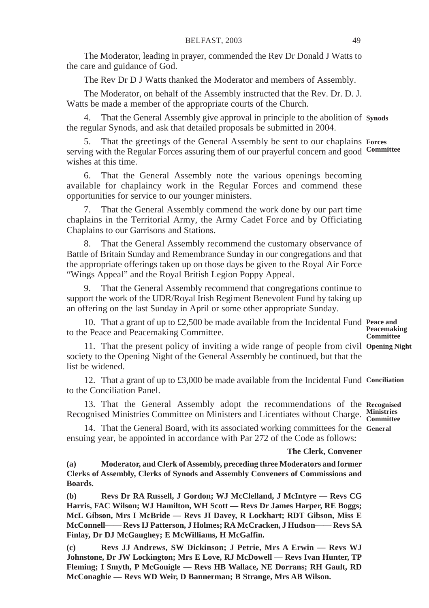The Moderator, leading in prayer, commended the Rev Dr Donald J Watts to the care and guidance of God.

The Rev Dr D J Watts thanked the Moderator and members of Assembly.

The Moderator, on behalf of the Assembly instructed that the Rev. Dr. D. J. Watts be made a member of the appropriate courts of the Church.

4. That the General Assembly give approval in principle to the abolition of **Synods** the regular Synods, and ask that detailed proposals be submitted in 2004.

5. That the greetings of the General Assembly be sent to our chaplains **Forces** serving with the Regular Forces assuring them of our prayerful concern and good **Committee** wishes at this time.

6. That the General Assembly note the various openings becoming available for chaplaincy work in the Regular Forces and commend these opportunities for service to our younger ministers.

7. That the General Assembly commend the work done by our part time chaplains in the Territorial Army, the Army Cadet Force and by Officiating Chaplains to our Garrisons and Stations.

8. That the General Assembly recommend the customary observance of Battle of Britain Sunday and Remembrance Sunday in our congregations and that the appropriate offerings taken up on those days be given to the Royal Air Force "Wings Appeal" and the Royal British Legion Poppy Appeal.

9. That the General Assembly recommend that congregations continue to support the work of the UDR/Royal Irish Regiment Benevolent Fund by taking up an offering on the last Sunday in April or some other appropriate Sunday.

10. That a grant of up to £2,500 be made available from the Incidental Fund **Peace and** to the Peace and Peacemaking Committee. **Peacemaking Committee**

11. That the present policy of inviting a wide range of people from civil **Opening Night** society to the Opening Night of the General Assembly be continued, but that the list be widened.

12. That a grant of up to £3,000 be made available from the Incidental Fund **Conciliation** to the Conciliation Panel.

13. That the General Assembly adopt the recommendations of the **Recognised** Recognised Ministries Committee on Ministers and Licentiates without Charge. **Ministries Committee**

14. That the General Board, with its associated working committees for the **General**ensuing year, be appointed in accordance with Par 272 of the Code as follows:

#### **The Clerk, Convener**

**(a) Moderator, and Clerk of Assembly, preceding three Moderators and former Clerks of Assembly, Clerks of Synods and Assembly Conveners of Commissions and Boards.**

**(b) Revs Dr RA Russell, J Gordon; WJ McClelland, J McIntyre — Revs CG Harris, FAC Wilson; WJ Hamilton, WH Scott — Revs Dr James Harper, RE Boggs; McL Gibson, Mrs I McBride — Revs JI Davey, R Lockhart; RDT Gibson, Miss E McConnell—— Revs IJ Patterson, J Holmes; RA McCracken, J Hudson—— Revs SA Finlay, Dr DJ McGaughey; E McWilliams, H McGaffin.**

**(c) Revs JJ Andrews, SW Dickinson; J Petrie, Mrs A Erwin — Revs WJ Johnstone, Dr JW Lockington; Mrs E Love, RJ McDowell — Revs Ivan Hunter, TP Fleming; I Smyth, P McGonigle — Revs HB Wallace, NE Dorrans; RH Gault, RD McConaghie — Revs WD Weir, D Bannerman; B Strange, Mrs AB Wilson.**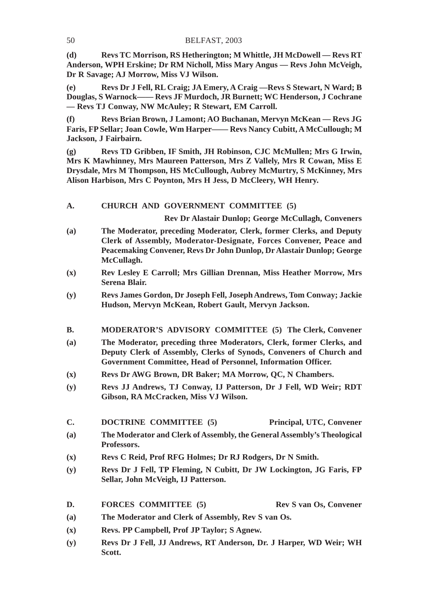**(d) Revs TC Morrison, RS Hetherington; M Whittle, JH McDowell — Revs RT Anderson, WPH Erskine; Dr RM Nicholl, Miss Mary Angus — Revs John McVeigh, Dr R Savage; AJ Morrow, Miss VJ Wilson.**

**(e) Revs Dr J Fell, RL Craig; JA Emery, A Craig —Revs S Stewart, N Ward; B Douglas, S Warnock—— Revs JF Murdoch, JR Burnett; WC Henderson, J Cochrane — Revs TJ Conway, NW McAuley; R Stewart, EM Carroll.**

**(f) Revs Brian Brown, J Lamont; AO Buchanan, Mervyn McKean — Revs JG Faris, FP Sellar; Joan Cowle, Wm Harper—— Revs Nancy Cubitt, A McCullough; M Jackson, J Fairbairn.**

**(g) Revs TD Gribben, IF Smith, JH Robinson, CJC McMullen; Mrs G Irwin, Mrs K Mawhinney, Mrs Maureen Patterson, Mrs Z Vallely, Mrs R Cowan, Miss E Drysdale, Mrs M Thompson, HS McCullough, Aubrey McMurtry, S McKinney, Mrs Alison Harbison, Mrs C Poynton, Mrs H Jess, D McCleery, WH Henry.**

## **A. CHURCH AND GOVERNMENT COMMITTEE (5)**

**Rev Dr Alastair Dunlop; George McCullagh, Conveners**

- **(a) The Moderator, preceding Moderator, Clerk, former Clerks, and Deputy Clerk of Assembly, Moderator-Designate, Forces Convener, Peace and Peacemaking Convener, Revs Dr John Dunlop, Dr Alastair Dunlop; George McCullagh.**
- **(x) Rev Lesley E Carroll; Mrs Gillian Drennan, Miss Heather Morrow, Mrs Serena Blair.**
- **(y) Revs James Gordon, Dr Joseph Fell, Joseph Andrews, Tom Conway; Jackie Hudson, Mervyn McKean, Robert Gault, Mervyn Jackson.**
- **B. MODERATOR'S ADVISORY COMMITTEE (5) The Clerk, Convener**
- **(a) The Moderator, preceding three Moderators, Clerk, former Clerks, and Deputy Clerk of Assembly, Clerks of Synods, Conveners of Church and Government Committee, Head of Personnel, Information Officer.**
- **(x) Revs Dr AWG Brown, DR Baker; MA Morrow, QC, N Chambers.**
- **(y) Revs JJ Andrews, TJ Conway, IJ Patterson, Dr J Fell, WD Weir; RDT Gibson, RA McCracken, Miss VJ Wilson.**
- **C. DOCTRINE COMMITTEE (5) Principal, UTC, Convener**
- **(a) The Moderator and Clerk of Assembly, the General Assembly's Theological Professors.**
- **(x) Revs C Reid, Prof RFG Holmes; Dr RJ Rodgers, Dr N Smith.**
- **(y) Revs Dr J Fell, TP Fleming, N Cubitt, Dr JW Lockington, JG Faris, FP Sellar, John McVeigh, IJ Patterson.**
- **D.** FORCES COMMITTEE (5) Rev S van Os, Convener
- **(a) The Moderator and Clerk of Assembly, Rev S van Os.**
- **(x) Revs. PP Campbell, Prof JP Taylor; S Agnew.**
- **(y) Revs Dr J Fell, JJ Andrews, RT Anderson, Dr. J Harper, WD Weir; WH Scott.**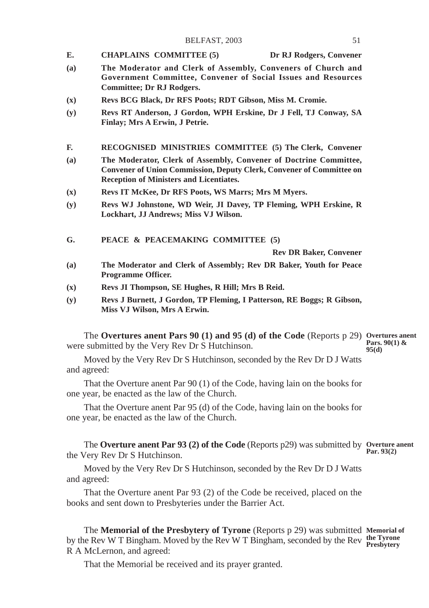- **E. CHAPLAINS COMMITTEE (5) Dr RJ Rodgers, Convener**
- **(a) The Moderator and Clerk of Assembly, Conveners of Church and Government Committee, Convener of Social Issues and Resources Committee; Dr RJ Rodgers.**
- **(x) Revs BCG Black, Dr RFS Poots; RDT Gibson, Miss M. Cromie.**
- **(y) Revs RT Anderson, J Gordon, WPH Erskine, Dr J Fell, TJ Conway, SA Finlay; Mrs A Erwin, J Petrie.**
- **F. RECOGNISED MINISTRIES COMMITTEE (5) The Clerk, Convener**
- **(a) The Moderator, Clerk of Assembly, Convener of Doctrine Committee, Convener of Union Commission, Deputy Clerk, Convener of Committee on Reception of Ministers and Licentiates.**
- **(x) Revs IT McKee, Dr RFS Poots, WS Marrs; Mrs M Myers.**
- **(y) Revs WJ Johnstone, WD Weir, JI Davey, TP Fleming, WPH Erskine, R Lockhart, JJ Andrews; Miss VJ Wilson.**
- **G. PEACE & PEACEMAKING COMMITTEE (5)**

**Rev DR Baker, Convener**

- **(a) The Moderator and Clerk of Assembly; Rev DR Baker, Youth for Peace Programme Officer.**
- **(x) Revs JI Thompson, SE Hughes, R Hill; Mrs B Reid.**
- **(y) Revs J Burnett, J Gordon, TP Fleming, I Patterson, RE Boggs; R Gibson, Miss VJ Wilson, Mrs A Erwin.**

The **Overtures anent Pars 90 (1) and 95 (d) of the Code** (Reports p 29) **Overtures anent** were submitted by the Very Rev Dr S Hutchinson. **Pars. 90(1) & 95(d)**

Moved by the Very Rev Dr S Hutchinson, seconded by the Rev Dr D J Watts and agreed:

That the Overture anent Par 90 (1) of the Code, having lain on the books for one year, be enacted as the law of the Church.

That the Overture anent Par 95 (d) of the Code, having lain on the books for one year, be enacted as the law of the Church.

The **Overture anent Par 93 (2) of the Code** (Reports p29) was submitted by **Overture anent** the Very Rev Dr S Hutchinson. **Par. 93(2)**

Moved by the Very Rev Dr S Hutchinson, seconded by the Rev Dr D J Watts and agreed:

That the Overture anent Par 93 (2) of the Code be received, placed on the books and sent down to Presbyteries under the Barrier Act.

The **Memorial of the Presbytery of Tyrone** (Reports p 29) was submitted **Memorial of** by the Rev W T Bingham. Moved by the Rev W T Bingham, seconded by the Rev Presbytery R A McLernon, and agreed:

That the Memorial be received and its prayer granted.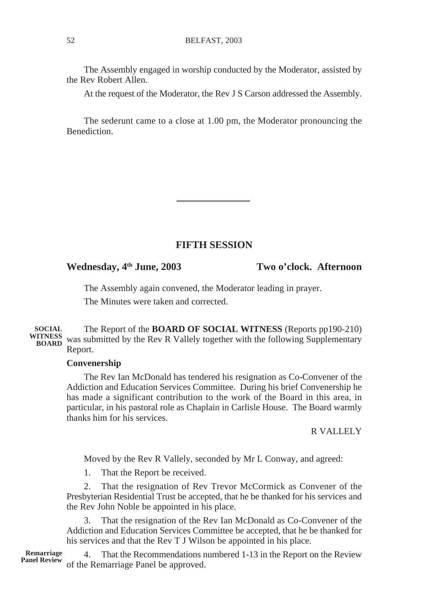The Assembly engaged in worship conducted by the Moderator, assisted by the Rev Robert Allen.

At the request of the Moderator, the Rev J S Carson addressed the Assembly.

The sederunt came to a close at 1.00 pm, the Moderator pronouncing the **Benediction** 

# **FIFTH SESSION**

**Wednesday, 4th June, 2003 Two o'clock. Afternoon**

The Assembly again convened, the Moderator leading in prayer. The Minutes were taken and corrected.

The Report of the **BOARD OF SOCIAL WITNESS** (Reports pp190-210) WITNESS was submitted by the Rev R Vallely together with the following Supplementary Report. **SOCIAL**

#### **Convenership**

The Rev Ian McDonald has tendered his resignation as Co-Convener of the Addiction and Education Services Committee. During his brief Convenership he has made a significant contribution to the work of the Board in this area, in particular, in his pastoral role as Chaplain in Carlisle House. The Board warmly thanks him for his services.

# R VALLELY

Moved by the Rev R Vallely, seconded by Mr L Conway, and agreed:

1. That the Report be received.

2. That the resignation of Rev Trevor McCormick as Convener of the Presbyterian Residential Trust be accepted, that he be thanked for his services and the Rev John Noble be appointed in his place.

3. That the resignation of the Rev Ian McDonald as Co-Convener of the Addiction and Education Services Committee be accepted, that he be thanked for his services and that the Rev T J Wilson be appointed in his place.

4. That the Recommendations numbered 1-13 in the Report on the Review of the Remarriage Panel be approved. **Remarriage Panel Review**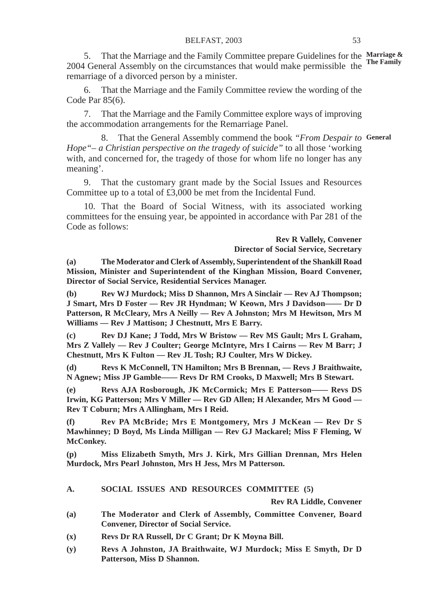5. That the Marriage and the Family Committee prepare Guidelines for the **Marriage &** 2004 General Assembly on the circumstances that would make permissible the **The Family** remarriage of a divorced person by a minister.

6. That the Marriage and the Family Committee review the wording of the Code Par 85(6).

7. That the Marriage and the Family Committee explore ways of improving the accommodation arrangements for the Remarriage Panel.

8. That the General Assembly commend the book *"From Despair to* **General***Hope"– a Christian perspective on the tragedy of suicide"* to all those 'working with, and concerned for, the tragedy of those for whom life no longer has any meaning'.

9. That the customary grant made by the Social Issues and Resources Committee up to a total of £3,000 be met from the Incidental Fund.

10. That the Board of Social Witness, with its associated working committees for the ensuing year, be appointed in accordance with Par 281 of the Code as follows:

> **Rev R Vallely, Convener Director of Social Service, Secretary**

**(a) The Moderator and Clerk of Assembly, Superintendent of the Shankill Road Mission, Minister and Superintendent of the Kinghan Mission, Board Convener, Director of Social Service, Residential Services Manager.**

**(b) Rev WJ Murdock; Miss D Shannon, Mrs A Sinclair — Rev AJ Thompson; J Smart, Mrs D Foster — Rev JR Hyndman; W Keown, Mrs J Davidson—— Dr D Patterson, R McCleary, Mrs A Neilly — Rev A Johnston; Mrs M Hewitson, Mrs M Williams — Rev J Mattison; J Chestnutt, Mrs E Barry.**

**(c) Rev DJ Kane; J Todd, Mrs W Bristow — Rev MS Gault; Mrs L Graham, Mrs Z Vallely — Rev J Coulter; George McIntyre, Mrs I Cairns — Rev M Barr; J Chestnutt, Mrs K Fulton — Rev JL Tosh; RJ Coulter, Mrs W Dickey.**

**(d) Revs K McConnell, TN Hamilton; Mrs B Brennan, — Revs J Braithwaite, N Agnew; Miss JP Gamble—— Revs Dr RM Crooks, D Maxwell; Mrs B Stewart.**

**(e) Revs AJA Rosborough, JK McCormick; Mrs E Patterson—— Revs DS Irwin, KG Patterson; Mrs V Miller — Rev GD Allen; H Alexander, Mrs M Good — Rev T Coburn; Mrs A Allingham, Mrs I Reid.**

**(f) Rev PA McBride; Mrs E Montgomery, Mrs J McKean — Rev Dr S Mawhinney; D Boyd, Ms Linda Milligan — Rev GJ Mackarel; Miss F Fleming, W McConkey.**

**(p) Miss Elizabeth Smyth, Mrs J. Kirk, Mrs Gillian Drennan, Mrs Helen Murdock, Mrs Pearl Johnston, Mrs H Jess, Mrs M Patterson.**

**A. SOCIAL ISSUES AND RESOURCES COMMITTEE (5)**

**Rev RA Liddle, Convener**

- **(a) The Moderator and Clerk of Assembly, Committee Convener, Board Convener, Director of Social Service.**
- **(x) Revs Dr RA Russell, Dr C Grant; Dr K Moyna Bill.**
- **(y) Revs A Johnston, JA Braithwaite, WJ Murdock; Miss E Smyth, Dr D Patterson, Miss D Shannon.**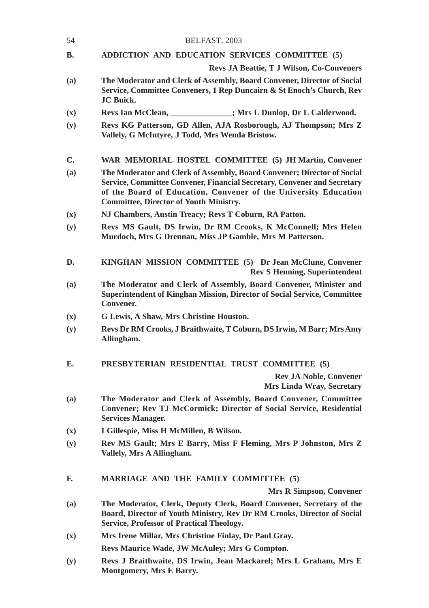| 54             | BELFAST, 2003                                                                                                                                                                                                                                                           |
|----------------|-------------------------------------------------------------------------------------------------------------------------------------------------------------------------------------------------------------------------------------------------------------------------|
| В.             | ADDICTION AND EDUCATION SERVICES COMMITTEE (5)                                                                                                                                                                                                                          |
|                | <b>Revs JA Beattie, T J Wilson, Co-Conveners</b>                                                                                                                                                                                                                        |
| (a)            | The Moderator and Clerk of Assembly, Board Convener, Director of Social<br>Service, Committee Conveners, 1 Rep Duncairn & St Enoch's Church, Rev<br><b>JC</b> Buick.                                                                                                    |
| $(\mathbf{x})$ | Revs Ian McClean,<br>_______; Mrs L Dunlop, Dr L Calderwood.                                                                                                                                                                                                            |
| (y)            | Revs KG Patterson, GD Allen, AJA Rosborough, AJ Thompson; Mrs Z<br>Vallely, G McIntyre, J Todd, Mrs Wenda Bristow.                                                                                                                                                      |
| C.             | WAR MEMORIAL HOSTEL COMMITTEE (5) JH Martin, Convener                                                                                                                                                                                                                   |
| (a)            | The Moderator and Clerk of Assembly, Board Convener; Director of Social<br>Service, Committee Convener, Financial Secretary, Convener and Secretary<br>of the Board of Education, Convener of the University Education<br><b>Committee, Director of Youth Ministry.</b> |
| $(\mathbf{x})$ | NJ Chambers, Austin Treacy; Revs T Coburn, RA Patton.                                                                                                                                                                                                                   |
| (y)            | Revs MS Gault, DS Irwin, Dr RM Crooks, K McConnell; Mrs Helen<br>Murdoch, Mrs G Drennan, Miss JP Gamble, Mrs M Patterson.                                                                                                                                               |
| D.             | KINGHAN MISSION COMMITTEE (5) Dr Jean McClune, Convener<br><b>Rev S Henning, Superintendent</b>                                                                                                                                                                         |
| (a)            | The Moderator and Clerk of Assembly, Board Convener, Minister and<br>Superintendent of Kinghan Mission, Director of Social Service, Committee<br>Convener.                                                                                                              |
| $(\mathbf{x})$ | G Lewis, A Shaw, Mrs Christine Houston.                                                                                                                                                                                                                                 |
| (y)            | Revs Dr RM Crooks, J Braithwaite, T Coburn, DS Irwin, M Barr; Mrs Amy<br>Allingham.                                                                                                                                                                                     |
| Е.             | PRESBYTERIAN RESIDENTIAL TRUST COMMITTEE (5)                                                                                                                                                                                                                            |
|                | <b>Rev JA Noble, Convener</b><br>Mrs Linda Wray, Secretary                                                                                                                                                                                                              |
| (a)            | The Moderator and Clerk of Assembly, Board Convener, Committee<br>Convener; Rev TJ McCormick; Director of Social Service, Residential<br><b>Services Manager.</b>                                                                                                       |
| $(\mathbf{x})$ | I Gillespie, Miss H McMillen, B Wilson.                                                                                                                                                                                                                                 |
| (y)            | Rev MS Gault; Mrs E Barry, Miss F Fleming, Mrs P Johnston, Mrs Z<br>Vallely, Mrs A Allingham.                                                                                                                                                                           |
| F.             | <b>MARRIAGE AND THE FAMILY COMMITTEE (5)</b>                                                                                                                                                                                                                            |
|                | Mrs R Simpson, Convener                                                                                                                                                                                                                                                 |
| (a)            | The Moderator, Clerk, Deputy Clerk, Board Convener, Secretary of the<br>Board, Director of Youth Ministry, Rev Dr RM Crooks, Director of Social<br>Service, Professor of Practical Theology.                                                                            |
| (x)            | Mrs Irene Millar, Mrs Christine Finlay, Dr Paul Gray.                                                                                                                                                                                                                   |
|                | Revs Maurice Wade, JW McAuley; Mrs G Compton.                                                                                                                                                                                                                           |
| (y)            | Revs J Braithwaite, DS Irwin, Jean Mackarel; Mrs L Graham, Mrs E<br>Montgomery, Mrs E Barry.                                                                                                                                                                            |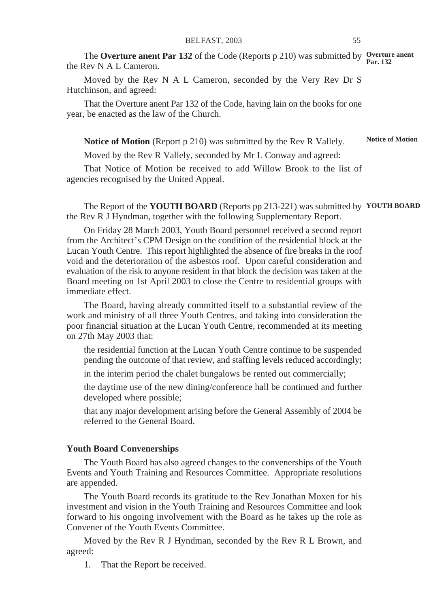The **Overture anent Par 132** of the Code (Reports p 210) was submitted by **Overture anent** the Rev N A L Cameron. **Par. 132**

Moved by the Rev N A L Cameron, seconded by the Very Rev Dr S Hutchinson, and agreed:

That the Overture anent Par 132 of the Code, having lain on the books for one year, be enacted as the law of the Church.

**Notice of Motion** (Report p 210) was submitted by the Rev R Vallely. **Notice of Motion**

Moved by the Rev R Vallely, seconded by Mr L Conway and agreed:

That Notice of Motion be received to add Willow Brook to the list of agencies recognised by the United Appeal.

The Report of the **YOUTH BOARD** (Reports pp 213-221) was submitted by **YOUTH BOARD**the Rev R J Hyndman, together with the following Supplementary Report.

On Friday 28 March 2003, Youth Board personnel received a second report from the Architect's CPM Design on the condition of the residential block at the Lucan Youth Centre. This report highlighted the absence of fire breaks in the roof void and the deterioration of the asbestos roof. Upon careful consideration and evaluation of the risk to anyone resident in that block the decision was taken at the Board meeting on 1st April 2003 to close the Centre to residential groups with immediate effect.

The Board, having already committed itself to a substantial review of the work and ministry of all three Youth Centres, and taking into consideration the poor financial situation at the Lucan Youth Centre, recommended at its meeting on 27th May 2003 that:

the residential function at the Lucan Youth Centre continue to be suspended pending the outcome of that review, and staffing levels reduced accordingly;

in the interim period the chalet bungalows be rented out commercially;

the daytime use of the new dining/conference hall be continued and further developed where possible;

that any major development arising before the General Assembly of 2004 be referred to the General Board.

#### **Youth Board Convenerships**

The Youth Board has also agreed changes to the convenerships of the Youth Events and Youth Training and Resources Committee. Appropriate resolutions are appended.

The Youth Board records its gratitude to the Rev Jonathan Moxen for his investment and vision in the Youth Training and Resources Committee and look forward to his ongoing involvement with the Board as he takes up the role as Convener of the Youth Events Committee.

Moved by the Rev R J Hyndman, seconded by the Rev R L Brown, and agreed:

1. That the Report be received.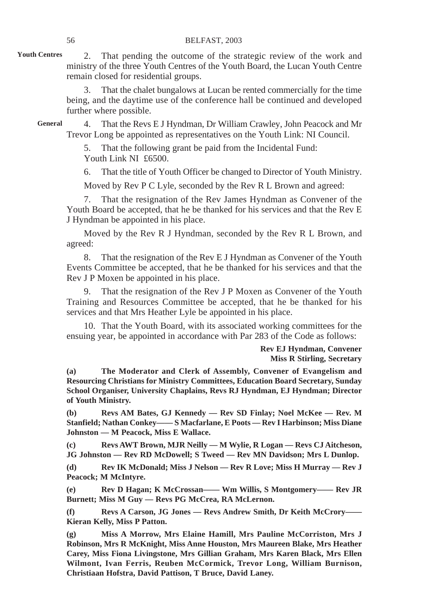#### 56 BELFAST, 2003

2. That pending the outcome of the strategic review of the work and ministry of the three Youth Centres of the Youth Board, the Lucan Youth Centre remain closed for residential groups. **Youth Centres**

> 3. That the chalet bungalows at Lucan be rented commercially for the time being, and the daytime use of the conference hall be continued and developed further where possible.

4. That the Revs E J Hyndman, Dr William Crawley, John Peacock and Mr Trevor Long be appointed as representatives on the Youth Link: NI Council. **General**

> That the following grant be paid from the Incidental Fund: Youth Link NI £6500.

6. That the title of Youth Officer be changed to Director of Youth Ministry.

Moved by Rev P C Lyle, seconded by the Rev R L Brown and agreed:

7. That the resignation of the Rev James Hyndman as Convener of the Youth Board be accepted, that he be thanked for his services and that the Rev E J Hyndman be appointed in his place.

Moved by the Rev R J Hyndman, seconded by the Rev R L Brown, and agreed:

8. That the resignation of the Rev E J Hyndman as Convener of the Youth Events Committee be accepted, that he be thanked for his services and that the Rev J P Moxen be appointed in his place.

9. That the resignation of the Rev J P Moxen as Convener of the Youth Training and Resources Committee be accepted, that he be thanked for his services and that Mrs Heather Lyle be appointed in his place.

10. That the Youth Board, with its associated working committees for the ensuing year, be appointed in accordance with Par 283 of the Code as follows:

> **Rev EJ Hyndman, Convener Miss R Stirling, Secretary**

**(a) The Moderator and Clerk of Assembly, Convener of Evangelism and Resourcing Christians for Ministry Committees, Education Board Secretary, Sunday School Organiser, University Chaplains, Revs RJ Hyndman, EJ Hyndman; Director of Youth Ministry.**

**(b) Revs AM Bates, GJ Kennedy — Rev SD Finlay; Noel McKee — Rev. M Stanfield; Nathan Conkey—— S Macfarlane, E Poots — Rev I Harbinson; Miss Diane Johnston — M Peacock, Miss E Wallace.**

**(c) Revs AWT Brown, MJR Neilly — M Wylie, R Logan — Revs CJ Aitcheson, JG Johnston — Rev RD McDowell; S Tweed — Rev MN Davidson; Mrs L Dunlop.**

**(d) Rev IK McDonald; Miss J Nelson — Rev R Love; Miss H Murray — Rev J Peacock; M McIntyre.**

**(e) Rev D Hagan; K McCrossan—— Wm Willis, S Montgomery—— Rev JR Burnett; Miss M Guy — Revs PG McCrea, RA McLernon.**

**(f) Revs A Carson, JG Jones — Revs Andrew Smith, Dr Keith McCrory—— Kieran Kelly, Miss P Patton.**

**(g) Miss A Morrow, Mrs Elaine Hamill, Mrs Pauline McCorriston, Mrs J Robinson, Mrs R McKnight, Miss Anne Houston, Mrs Maureen Blake, Mrs Heather Carey, Miss Fiona Livingstone, Mrs Gillian Graham, Mrs Karen Black, Mrs Ellen Wilmont, Ivan Ferris, Reuben McCormick, Trevor Long, William Burnison, Christiaan Hofstra, David Pattison, T Bruce, David Laney.**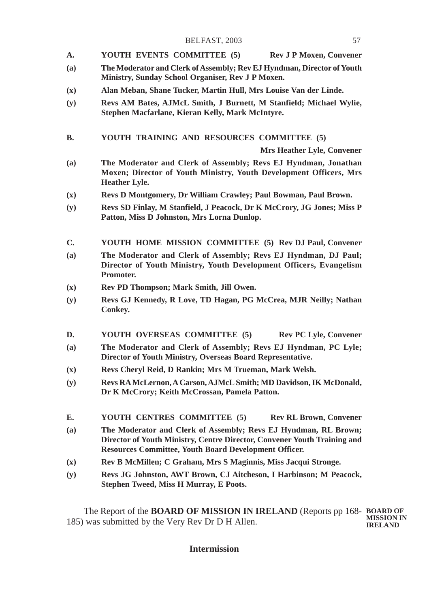- **A. YOUTH EVENTS COMMITTEE (5) Rev J P Moxen, Convener**
- **(a) The Moderator and Clerk of Assembly; Rev EJ Hyndman, Director of Youth Ministry, Sunday School Organiser, Rev J P Moxen.**
- **(x) Alan Meban, Shane Tucker, Martin Hull, Mrs Louise Van der Linde.**
- **(y) Revs AM Bates, AJMcL Smith, J Burnett, M Stanfield; Michael Wylie, Stephen Macfarlane, Kieran Kelly, Mark McIntyre.**

**B. YOUTH TRAINING AND RESOURCES COMMITTEE (5)**

**Mrs Heather Lyle, Convener**

- **(a) The Moderator and Clerk of Assembly; Revs EJ Hyndman, Jonathan Moxen; Director of Youth Ministry, Youth Development Officers, Mrs Heather Lyle.**
- **(x) Revs D Montgomery, Dr William Crawley; Paul Bowman, Paul Brown.**
- **(y) Revs SD Finlay, M Stanfield, J Peacock, Dr K McCrory, JG Jones; Miss P Patton, Miss D Johnston, Mrs Lorna Dunlop.**
- **C. YOUTH HOME MISSION COMMITTEE (5) Rev DJ Paul, Convener**
- **(a) The Moderator and Clerk of Assembly; Revs EJ Hyndman, DJ Paul; Director of Youth Ministry, Youth Development Officers, Evangelism Promoter.**
- **(x) Rev PD Thompson; Mark Smith, Jill Owen.**
- **(y) Revs GJ Kennedy, R Love, TD Hagan, PG McCrea, MJR Neilly; Nathan Conkey.**
- **D. YOUTH OVERSEAS COMMITTEE (5) Rev PC Lyle, Convener**
- **(a) The Moderator and Clerk of Assembly; Revs EJ Hyndman, PC Lyle; Director of Youth Ministry, Overseas Board Representative.**
- **(x) Revs Cheryl Reid, D Rankin; Mrs M Trueman, Mark Welsh.**
- **(y) Revs RA McLernon, A Carson, AJMcL Smith; MD Davidson, IK McDonald, Dr K McCrory; Keith McCrossan, Pamela Patton.**
- **E. YOUTH CENTRES COMMITTEE (5) Rev RL Brown, Convener**
- **(a) The Moderator and Clerk of Assembly; Revs EJ Hyndman, RL Brown; Director of Youth Ministry, Centre Director, Convener Youth Training and Resources Committee, Youth Board Development Officer.**
- **(x) Rev B McMillen; C Graham, Mrs S Maginnis, Miss Jacqui Stronge.**
- **(y) Revs JG Johnston, AWT Brown, CJ Aitcheson, I Harbinson; M Peacock, Stephen Tweed, Miss H Murray, E Poots.**

The Report of the **BOARD OF MISSION IN IRELAND** (Reports pp 168- **BOARD OF** 185) was submitted by the Very Rev Dr D H Allen. **MISSION IN IRELAND**

**Intermission**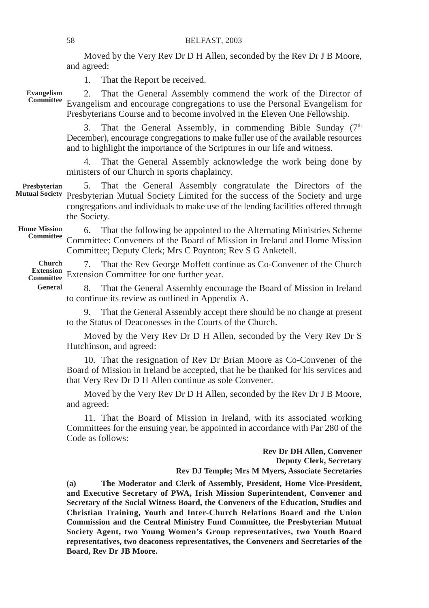Moved by the Very Rev Dr D H Allen, seconded by the Rev Dr J B Moore, and agreed:

1. That the Report be received.

**Evangelism**

2. That the General Assembly commend the work of the Director of Evangelism and encourage congregations to use the Personal Evangelism for **Committee** Presbyterians Course and to become involved in the Eleven One Fellowship.

> That the General Assembly, in commending Bible Sunday  $(7<sup>th</sup>)$ December), encourage congregations to make fuller use of the available resources and to highlight the importance of the Scriptures in our life and witness.

> 4. That the General Assembly acknowledge the work being done by ministers of our Church in sports chaplaincy.

**Presbyterian Mutual Society**

5. That the General Assembly congratulate the Directors of the Presbyterian Mutual Society Limited for the success of the Society and urge congregations and individuals to make use of the lending facilities offered through the Society.

**Home Mission Committee**

6. That the following be appointed to the Alternating Ministries Scheme Committee: Conveners of the Board of Mission in Ireland and Home Mission Committee; Deputy Clerk; Mrs C Poynton; Rev S G Anketell.

7. That the Rev George Moffett continue as Co-Convener of the Church Extension Committee for one further year. **Extension Committee Church**

**General**

8. That the General Assembly encourage the Board of Mission in Ireland to continue its review as outlined in Appendix A.

9. That the General Assembly accept there should be no change at present to the Status of Deaconesses in the Courts of the Church.

Moved by the Very Rev Dr D H Allen, seconded by the Very Rev Dr S Hutchinson, and agreed:

10. That the resignation of Rev Dr Brian Moore as Co-Convener of the Board of Mission in Ireland be accepted, that he be thanked for his services and that Very Rev Dr D H Allen continue as sole Convener.

Moved by the Very Rev Dr D H Allen, seconded by the Rev Dr J B Moore, and agreed:

11. That the Board of Mission in Ireland, with its associated working Committees for the ensuing year, be appointed in accordance with Par 280 of the Code as follows:

> **Rev Dr DH Allen, Convener Deputy Clerk, Secretary Rev DJ Temple; Mrs M Myers, Associate Secretaries**

**(a) The Moderator and Clerk of Assembly, President, Home Vice-President, and Executive Secretary of PWA, Irish Mission Superintendent, Convener and Secretary of the Social Witness Board, the Conveners of the Education, Studies and Christian Training, Youth and Inter-Church Relations Board and the Union Commission and the Central Ministry Fund Committee, the Presbyterian Mutual Society Agent, two Young Women's Group representatives, two Youth Board representatives, two deaconess representatives, the Conveners and Secretaries of the Board, Rev Dr JB Moore.**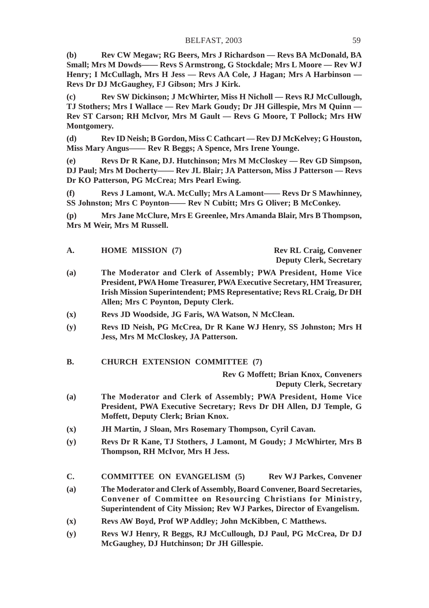**(b) Rev CW Megaw; RG Beers, Mrs J Richardson — Revs BA McDonald, BA Small; Mrs M Dowds—— Revs S Armstrong, G Stockdale; Mrs L Moore — Rev WJ Henry; I McCullagh, Mrs H Jess — Revs AA Cole, J Hagan; Mrs A Harbinson — Revs Dr DJ McGaughey, FJ Gibson; Mrs J Kirk.**

**(c) Rev SW Dickinson; J McWhirter, Miss H Nicholl — Revs RJ McCullough, TJ Stothers; Mrs I Wallace — Rev Mark Goudy; Dr JH Gillespie, Mrs M Quinn — Rev ST Carson; RH McIvor, Mrs M Gault — Revs G Moore, T Pollock; Mrs HW Montgomery.**

**(d) Rev ID Neish; B Gordon, Miss C Cathcart — Rev DJ McKelvey; G Houston, Miss Mary Angus—— Rev R Beggs; A Spence, Mrs Irene Younge.**

**(e) Revs Dr R Kane, DJ. Hutchinson; Mrs M McCloskey — Rev GD Simpson, DJ Paul; Mrs M Docherty—— Rev JL Blair; JA Patterson, Miss J Patterson — Revs Dr KO Patterson, PG McCrea; Mrs Pearl Ewing.**

**(f) Revs J Lamont, W.A. McCully; Mrs A Lamont—— Revs Dr S Mawhinney, SS Johnston; Mrs C Poynton—— Rev N Cubitt; Mrs G Oliver; B McConkey.**

**(p) Mrs Jane McClure, Mrs E Greenlee, Mrs Amanda Blair, Mrs B Thompson, Mrs M Weir, Mrs M Russell.**

| А. | <b>HOME MISSION (7)</b> | <b>Rev RL Craig, Convener</b>  |
|----|-------------------------|--------------------------------|
|    |                         | <b>Deputy Clerk, Secretary</b> |

- **(a) The Moderator and Clerk of Assembly; PWA President, Home Vice President, PWA Home Treasurer, PWA Executive Secretary, HM Treasurer, Irish Mission Superintendent; PMS Representative; Revs RL Craig, Dr DH Allen; Mrs C Poynton, Deputy Clerk.**
- **(x) Revs JD Woodside, JG Faris, WA Watson, N McClean.**
- **(y) Revs ID Neish, PG McCrea, Dr R Kane WJ Henry, SS Johnston; Mrs H Jess, Mrs M McCloskey, JA Patterson.**
- **B. CHURCH EXTENSION COMMITTEE (7)**

**Rev G Moffett; Brian Knox, Conveners Deputy Clerk, Secretary**

- **(a) The Moderator and Clerk of Assembly; PWA President, Home Vice President, PWA Executive Secretary; Revs Dr DH Allen, DJ Temple, G Moffett, Deputy Clerk; Brian Knox.**
- **(x) JH Martin, J Sloan, Mrs Rosemary Thompson, Cyril Cavan.**
- **(y) Revs Dr R Kane, TJ Stothers, J Lamont, M Goudy; J McWhirter, Mrs B Thompson, RH McIvor, Mrs H Jess.**
- **C. COMMITTEE ON EVANGELISM (5) Rev WJ Parkes, Convener**
- **(a) The Moderator and Clerk of Assembly, Board Convener, Board Secretaries, Convener of Committee on Resourcing Christians for Ministry, Superintendent of City Mission; Rev WJ Parkes, Director of Evangelism.**
- **(x) Revs AW Boyd, Prof WP Addley; John McKibben, C Matthews.**
- **(y) Revs WJ Henry, R Beggs, RJ McCullough, DJ Paul, PG McCrea, Dr DJ McGaughey, DJ Hutchinson; Dr JH Gillespie.**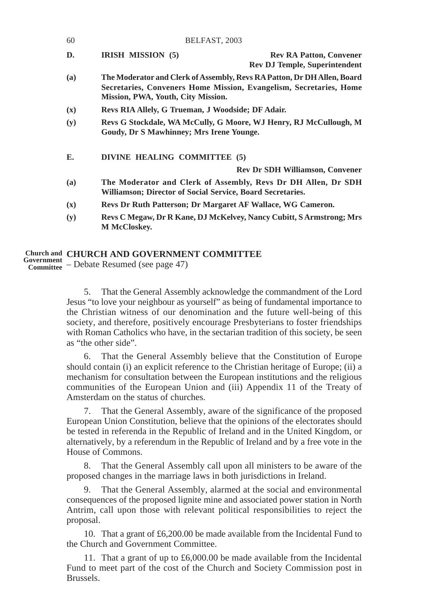| 60  | BELFAST, 2003                                               |                                                                                                                                               |
|-----|-------------------------------------------------------------|-----------------------------------------------------------------------------------------------------------------------------------------------|
| D.  | IRISH MISSION (5)                                           | <b>Rev RA Patton, Convener</b><br><b>Rev DJ Temple, Superintendent</b>                                                                        |
| (a) | Mission, PWA, Youth, City Mission.                          | The Moderator and Clerk of Assembly, Revs RA Patton, Dr DH Allen, Board<br>Secretaries, Conveners Home Mission, Evangelism, Secretaries, Home |
| (x) | Revs RIA Allely, G Trueman, J Woodside; DF Adair.           |                                                                                                                                               |
| (y) | Goudy, Dr S Mawhinney; Mrs Irene Younge.                    | Revs G Stockdale, WA McCully, G Moore, WJ Henry, RJ McCullough, M                                                                             |
| E.  | DIVINE HEALING COMMITTEE (5)                                |                                                                                                                                               |
|     |                                                             | <b>Rev Dr SDH Williamson, Convener</b>                                                                                                        |
| (a) | Williamson; Director of Social Service, Board Secretaries.  | The Moderator and Clerk of Assembly, Revs Dr DH Allen, Dr SDH                                                                                 |
| (x) | Revs Dr Ruth Patterson; Dr Margaret AF Wallace, WG Cameron. |                                                                                                                                               |
| (y) | <b>M</b> McCloskev.                                         | Revs C Megaw, Dr R Kane, DJ McKelvey, Nancy Cubitt, S Armstrong; Mrs                                                                          |

# **CHURCH AND GOVERNMENT COMMITTEE Church and**

– Debate Resumed (see page 47) **Government Committee**

5. That the General Assembly acknowledge the commandment of the Lord Jesus "to love your neighbour as yourself" as being of fundamental importance to the Christian witness of our denomination and the future well-being of this society, and therefore, positively encourage Presbyterians to foster friendships with Roman Catholics who have, in the sectarian tradition of this society, be seen as "the other side".

6. That the General Assembly believe that the Constitution of Europe should contain (i) an explicit reference to the Christian heritage of Europe; (ii) a mechanism for consultation between the European institutions and the religious communities of the European Union and (iii) Appendix 11 of the Treaty of Amsterdam on the status of churches.

7. That the General Assembly, aware of the significance of the proposed European Union Constitution, believe that the opinions of the electorates should be tested in referenda in the Republic of Ireland and in the United Kingdom, or alternatively, by a referendum in the Republic of Ireland and by a free vote in the House of Commons.

8. That the General Assembly call upon all ministers to be aware of the proposed changes in the marriage laws in both jurisdictions in Ireland.

9. That the General Assembly, alarmed at the social and environmental consequences of the proposed lignite mine and associated power station in North Antrim, call upon those with relevant political responsibilities to reject the proposal.

10. That a grant of £6,200.00 be made available from the Incidental Fund to the Church and Government Committee.

11. That a grant of up to £6,000.00 be made available from the Incidental Fund to meet part of the cost of the Church and Society Commission post in Brussels.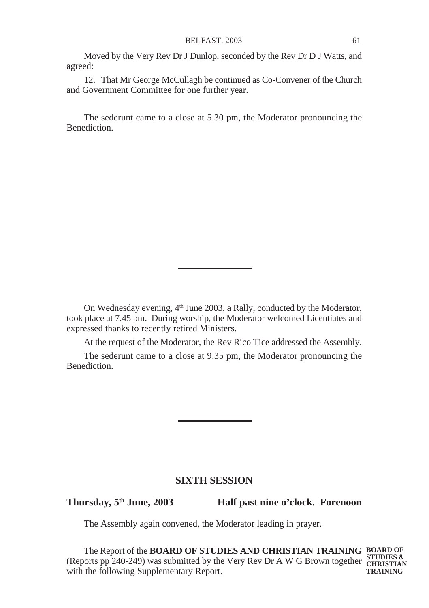Moved by the Very Rev Dr J Dunlop, seconded by the Rev Dr D J Watts, and agreed:

12. That Mr George McCullagh be continued as Co-Convener of the Church and Government Committee for one further year.

The sederunt came to a close at 5.30 pm, the Moderator pronouncing the Benediction.

On Wednesday evening, 4<sup>th</sup> June 2003, a Rally, conducted by the Moderator, took place at 7.45 pm. During worship, the Moderator welcomed Licentiates and expressed thanks to recently retired Ministers.

At the request of the Moderator, the Rev Rico Tice addressed the Assembly.

The sederunt came to a close at 9.35 pm, the Moderator pronouncing the Benediction.

# **SIXTH SESSION**

**Thursday, 5th June, 2003 Half past nine o'clock. Forenoon**

The Assembly again convened, the Moderator leading in prayer.

The Report of the **BOARD OF STUDIES AND CHRISTIAN TRAINING BOARD OF** (Reports pp 240-249) was submitted by the Very Rev Dr A W G Brown together **CHRISTIAN** with the following Supplementary Report. **TRAINING**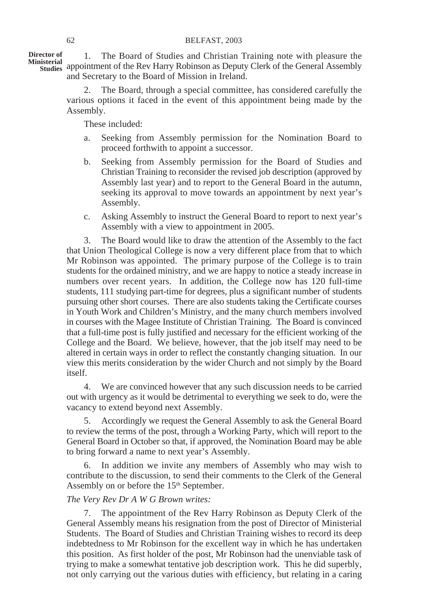1. The Board of Studies and Christian Training note with pleasure the Ministerial **Community of the Rev Harry Robinson as Deputy Clerk of the General Assembly** and Secretary to the Board of Mission in Ireland. **Director of**

> 2. The Board, through a special committee, has considered carefully the various options it faced in the event of this appointment being made by the Assembly.

These included:

- a. Seeking from Assembly permission for the Nomination Board to proceed forthwith to appoint a successor.
- b. Seeking from Assembly permission for the Board of Studies and Christian Training to reconsider the revised job description (approved by Assembly last year) and to report to the General Board in the autumn, seeking its approval to move towards an appointment by next year's Assembly.
- c. Asking Assembly to instruct the General Board to report to next year's Assembly with a view to appointment in 2005.

3. The Board would like to draw the attention of the Assembly to the fact that Union Theological College is now a very different place from that to which Mr Robinson was appointed. The primary purpose of the College is to train students for the ordained ministry, and we are happy to notice a steady increase in numbers over recent years. In addition, the College now has 120 full-time students, 111 studying part-time for degrees, plus a significant number of students pursuing other short courses. There are also students taking the Certificate courses in Youth Work and Children's Ministry, and the many church members involved in courses with the Magee Institute of Christian Training. The Board is convinced that a full-time post is fully justified and necessary for the efficient working of the College and the Board. We believe, however, that the job itself may need to be altered in certain ways in order to reflect the constantly changing situation. In our view this merits consideration by the wider Church and not simply by the Board itself.

4. We are convinced however that any such discussion needs to be carried out with urgency as it would be detrimental to everything we seek to do, were the vacancy to extend beyond next Assembly.

5. Accordingly we request the General Assembly to ask the General Board to review the terms of the post, through a Working Party, which will report to the General Board in October so that, if approved, the Nomination Board may be able to bring forward a name to next year's Assembly.

6. In addition we invite any members of Assembly who may wish to contribute to the discussion, to send their comments to the Clerk of the General Assembly on or before the 15<sup>th</sup> September.

# *The Very Rev Dr A W G Brown writes:*

7. The appointment of the Rev Harry Robinson as Deputy Clerk of the General Assembly means his resignation from the post of Director of Ministerial Students. The Board of Studies and Christian Training wishes to record its deep indebtedness to Mr Robinson for the excellent way in which he has undertaken this position. As first holder of the post, Mr Robinson had the unenviable task of trying to make a somewhat tentative job description work. This he did superbly, not only carrying out the various duties with efficiency, but relating in a caring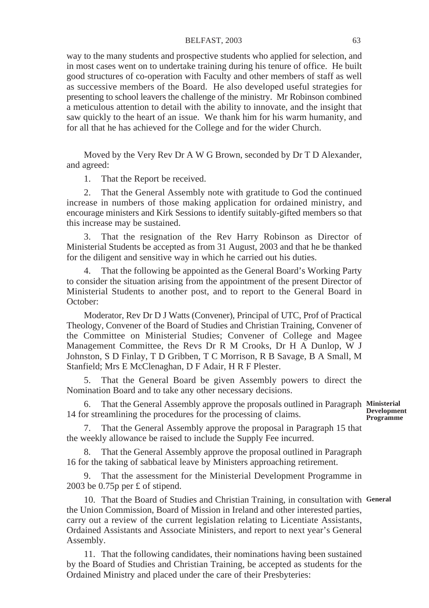#### BELFAST, 2003 63

way to the many students and prospective students who applied for selection, and in most cases went on to undertake training during his tenure of office. He built good structures of co-operation with Faculty and other members of staff as well as successive members of the Board. He also developed useful strategies for presenting to school leavers the challenge of the ministry. Mr Robinson combined a meticulous attention to detail with the ability to innovate, and the insight that saw quickly to the heart of an issue. We thank him for his warm humanity, and for all that he has achieved for the College and for the wider Church.

Moved by the Very Rev Dr A W G Brown, seconded by Dr T D Alexander, and agreed:

1. That the Report be received.

2. That the General Assembly note with gratitude to God the continued increase in numbers of those making application for ordained ministry, and encourage ministers and Kirk Sessions to identify suitably-gifted members so that this increase may be sustained.

3. That the resignation of the Rev Harry Robinson as Director of Ministerial Students be accepted as from 31 August, 2003 and that he be thanked for the diligent and sensitive way in which he carried out his duties.

4. That the following be appointed as the General Board's Working Party to consider the situation arising from the appointment of the present Director of Ministerial Students to another post, and to report to the General Board in October:

Moderator, Rev Dr D J Watts (Convener), Principal of UTC, Prof of Practical Theology, Convener of the Board of Studies and Christian Training, Convener of the Committee on Ministerial Studies; Convener of College and Magee Management Committee, the Revs Dr R M Crooks, Dr H A Dunlop, W J Johnston, S D Finlay, T D Gribben, T C Morrison, R B Savage, B A Small, M Stanfield; Mrs E McClenaghan, D F Adair, H R F Plester.

5. That the General Board be given Assembly powers to direct the Nomination Board and to take any other necessary decisions.

6. That the General Assembly approve the proposals outlined in Paragraph Ministerial 14 for streamlining the procedures for the processing of claims.

**Development Programme**

7. That the General Assembly approve the proposal in Paragraph 15 that the weekly allowance be raised to include the Supply Fee incurred.

8. That the General Assembly approve the proposal outlined in Paragraph 16 for the taking of sabbatical leave by Ministers approaching retirement.

9. That the assessment for the Ministerial Development Programme in 2003 be 0.75p per £ of stipend.

10. That the Board of Studies and Christian Training, in consultation with **General**the Union Commission, Board of Mission in Ireland and other interested parties, carry out a review of the current legislation relating to Licentiate Assistants, Ordained Assistants and Associate Ministers, and report to next year's General Assembly.

11. That the following candidates, their nominations having been sustained by the Board of Studies and Christian Training, be accepted as students for the Ordained Ministry and placed under the care of their Presbyteries: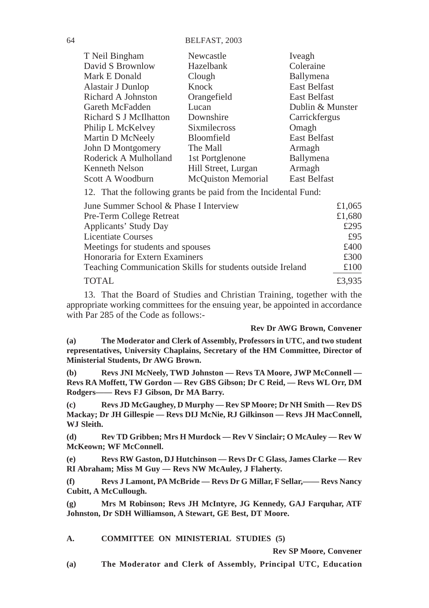64 BELFAST, 2003

| T Neil Bingham         | Newcastle                 | Iveagh              |
|------------------------|---------------------------|---------------------|
| David S Brownlow       | Hazelbank                 | Coleraine           |
| Mark E Donald          | Clough                    | Ballymena           |
| Alastair J Dunlop      | Knock                     | <b>East Belfast</b> |
| Richard A Johnston     | Orangefield               | East Belfast        |
| Gareth McFadden        | Lucan                     | Dublin & Munster    |
| Richard S J McIlhatton | Downshire                 | Carrickfergus       |
| Philip L McKelvey      | <b>Sixmilecross</b>       | Omagh               |
| Martin D McNeely       | Bloomfield                | <b>East Belfast</b> |
| John D Montgomery      | The Mall                  | Armagh              |
| Roderick A Mulholland  | 1st Portglenone           | Ballymena           |
| Kenneth Nelson         | Hill Street, Lurgan       | Armagh              |
| Scott A Woodburn       | <b>McQuiston Memorial</b> | <b>East Belfast</b> |

12. That the following grants be paid from the Incidental Fund:

| June Summer School & Phase I Interview                     | £1,065 |
|------------------------------------------------------------|--------|
| Pre-Term College Retreat                                   | £1,680 |
| Applicants' Study Day                                      | £295   |
| <b>Licentiate Courses</b>                                  | f95    |
| Meetings for students and spouses                          | £400   |
| Honoraria for Extern Examiners                             | £300   |
| Teaching Communication Skills for students outside Ireland | £100   |
| <b>TOTAL</b>                                               | £3.935 |

13. That the Board of Studies and Christian Training, together with the appropriate working committees for the ensuing year, be appointed in accordance with Par 285 of the Code as follows:-

**Rev Dr AWG Brown, Convener**

**(a) The Moderator and Clerk of Assembly, Professors in UTC, and two student representatives, University Chaplains, Secretary of the HM Committee, Director of Ministerial Students, Dr AWG Brown.**

**(b) Revs JNI McNeely, TWD Johnston — Revs TA Moore, JWP McConnell — Revs RA Moffett, TW Gordon — Rev GBS Gibson; Dr C Reid, — Revs WL Orr, DM Rodgers—— Revs FJ Gibson, Dr MA Barry.**

**(c) Revs JD McGaughey, D Murphy — Rev SP Moore; Dr NH Smith — Rev DS Mackay; Dr JH Gillespie — Revs DIJ McNie, RJ Gilkinson — Revs JH MacConnell, WJ Sleith.**

**(d) Rev TD Gribben; Mrs H Murdock — Rev V Sinclair; O McAuley — Rev W McKeown; WF McConnell.**

**(e) Revs RW Gaston, DJ Hutchinson — Revs Dr C Glass, James Clarke — Rev RI Abraham; Miss M Guy — Revs NW McAuley, J Flaherty.**

**(f) Revs J Lamont, PA McBride — Revs Dr G Millar, F Sellar,—— Revs Nancy Cubitt, A McCullough.**

**(g) Mrs M Robinson; Revs JH McIntyre, JG Kennedy, GAJ Farquhar, ATF Johnston, Dr SDH Williamson, A Stewart, GE Best, DT Moore.**

## **A. COMMITTEE ON MINISTERIAL STUDIES (5)**

**Rev SP Moore, Convener**

**(a) The Moderator and Clerk of Assembly, Principal UTC, Education**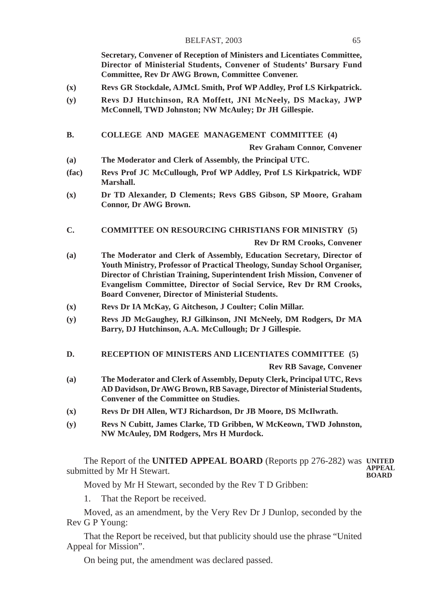#### BELFAST, 2003 65

**Secretary, Convener of Reception of Ministers and Licentiates Committee, Director of Ministerial Students, Convener of Students' Bursary Fund Committee, Rev Dr AWG Brown, Committee Convener.**

- **(x) Revs GR Stockdale, AJMcL Smith, Prof WP Addley, Prof LS Kirkpatrick.**
- **(y) Revs DJ Hutchinson, RA Moffett, JNI McNeely, DS Mackay, JWP McConnell, TWD Johnston; NW McAuley; Dr JH Gillespie.**

#### **B. COLLEGE AND MAGEE MANAGEMENT COMMITTEE (4)**

**Rev Graham Connor, Convener**

- **(a) The Moderator and Clerk of Assembly, the Principal UTC.**
- **(fac) Revs Prof JC McCullough, Prof WP Addley, Prof LS Kirkpatrick, WDF Marshall.**
- **(x) Dr TD Alexander, D Clements; Revs GBS Gibson, SP Moore, Graham Connor, Dr AWG Brown.**

## **C. COMMITTEE ON RESOURCING CHRISTIANS FOR MINISTRY (5)**

**Rev Dr RM Crooks, Convener**

- **(a) The Moderator and Clerk of Assembly, Education Secretary, Director of Youth Ministry, Professor of Practical Theology, Sunday School Organiser, Director of Christian Training, Superintendent Irish Mission, Convener of Evangelism Committee, Director of Social Service, Rev Dr RM Crooks, Board Convener, Director of Ministerial Students.**
- **(x) Revs Dr IA McKay, G Aitcheson, J Coulter; Colin Millar.**
- **(y) Revs JD McGaughey, RJ Gilkinson, JNI McNeely, DM Rodgers, Dr MA Barry, DJ Hutchinson, A.A. McCullough; Dr J Gillespie.**
- **D. RECEPTION OF MINISTERS AND LICENTIATES COMMITTEE (5)**

**Rev RB Savage, Convener**

- **(a) The Moderator and Clerk of Assembly, Deputy Clerk, Principal UTC, Revs AD Davidson, Dr AWG Brown, RB Savage, Director of Ministerial Students, Convener of the Committee on Studies.**
- **(x) Revs Dr DH Allen, WTJ Richardson, Dr JB Moore, DS McIlwrath.**
- **(y) Revs N Cubitt, James Clarke, TD Gribben, W McKeown, TWD Johnston, NW McAuley, DM Rodgers, Mrs H Murdock.**

The Report of the **UNITED APPEAL BOARD** (Reports pp 276-282) was **UNITED** submitted by Mr H Stewart. **APPEAL BOARD**

Moved by Mr H Stewart, seconded by the Rev T D Gribben:

1. That the Report be received.

Moved, as an amendment, by the Very Rev Dr J Dunlop, seconded by the Rev G P Young:

That the Report be received, but that publicity should use the phrase "United Appeal for Mission".

On being put, the amendment was declared passed.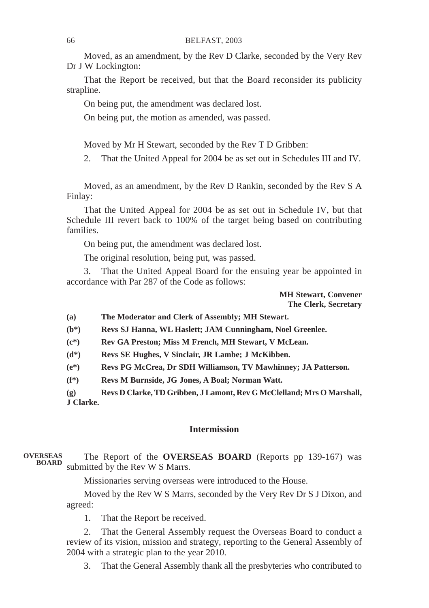#### 66 BELFAST, 2003

Moved, as an amendment, by the Rev D Clarke, seconded by the Very Rev Dr J W Lockington:

That the Report be received, but that the Board reconsider its publicity strapline.

On being put, the amendment was declared lost.

On being put, the motion as amended, was passed.

Moved by Mr H Stewart, seconded by the Rev T D Gribben:

2. That the United Appeal for 2004 be as set out in Schedules III and IV.

Moved, as an amendment, by the Rev D Rankin, seconded by the Rev S A Finlay:

That the United Appeal for 2004 be as set out in Schedule IV, but that Schedule III revert back to 100% of the target being based on contributing families.

On being put, the amendment was declared lost.

The original resolution, being put, was passed.

3. That the United Appeal Board for the ensuing year be appointed in accordance with Par 287 of the Code as follows:

> **MH Stewart, Convener The Clerk, Secretary**

**(a) The Moderator and Clerk of Assembly; MH Stewart.**

**(b\*) Revs SJ Hanna, WL Haslett; JAM Cunningham, Noel Greenlee.**

**(c\*) Rev GA Preston; Miss M French, MH Stewart, V McLean.**

**(d\*) Revs SE Hughes, V Sinclair, JR Lambe; J McKibben.**

**(e\*) Revs PG McCrea, Dr SDH Williamson, TV Mawhinney; JA Patterson.**

**(f\*) Revs M Burnside, JG Jones, A Boal; Norman Watt.**

**(g) Revs D Clarke, TD Gribben, J Lamont, Rev G McClelland; Mrs O Marshall, J Clarke.**

# **Intermission**

#### The Report of the **OVERSEAS BOARD** (Reports pp 139-167) was submitted by the Rev W S Marrs. **BOARDOVERSEAS**

Missionaries serving overseas were introduced to the House.

Moved by the Rev W S Marrs, seconded by the Very Rev Dr S J Dixon, and agreed:

1. That the Report be received.

2. That the General Assembly request the Overseas Board to conduct a review of its vision, mission and strategy, reporting to the General Assembly of 2004 with a strategic plan to the year 2010.

3. That the General Assembly thank all the presbyteries who contributed to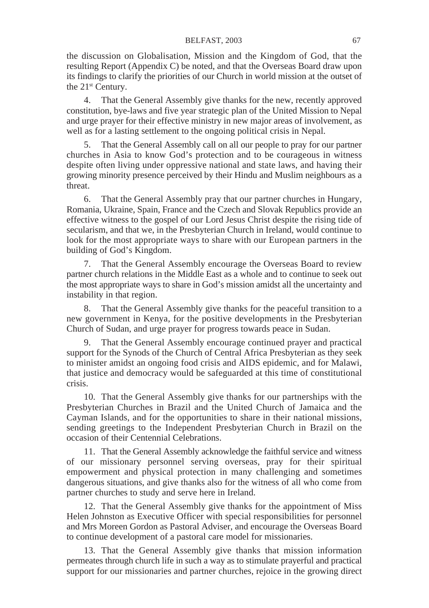the discussion on Globalisation, Mission and the Kingdom of God, that the resulting Report (Appendix C) be noted, and that the Overseas Board draw upon its findings to clarify the priorities of our Church in world mission at the outset of the 21<sup>st</sup> Century.

4. That the General Assembly give thanks for the new, recently approved constitution, bye-laws and five year strategic plan of the United Mission to Nepal and urge prayer for their effective ministry in new major areas of involvement, as well as for a lasting settlement to the ongoing political crisis in Nepal.

5. That the General Assembly call on all our people to pray for our partner churches in Asia to know God's protection and to be courageous in witness despite often living under oppressive national and state laws, and having their growing minority presence perceived by their Hindu and Muslim neighbours as a threat.

6. That the General Assembly pray that our partner churches in Hungary, Romania, Ukraine, Spain, France and the Czech and Slovak Republics provide an effective witness to the gospel of our Lord Jesus Christ despite the rising tide of secularism, and that we, in the Presbyterian Church in Ireland, would continue to look for the most appropriate ways to share with our European partners in the building of God's Kingdom.

7. That the General Assembly encourage the Overseas Board to review partner church relations in the Middle East as a whole and to continue to seek out the most appropriate ways to share in God's mission amidst all the uncertainty and instability in that region.

8. That the General Assembly give thanks for the peaceful transition to a new government in Kenya, for the positive developments in the Presbyterian Church of Sudan, and urge prayer for progress towards peace in Sudan.

9. That the General Assembly encourage continued prayer and practical support for the Synods of the Church of Central Africa Presbyterian as they seek to minister amidst an ongoing food crisis and AIDS epidemic, and for Malawi, that justice and democracy would be safeguarded at this time of constitutional crisis.

10. That the General Assembly give thanks for our partnerships with the Presbyterian Churches in Brazil and the United Church of Jamaica and the Cayman Islands, and for the opportunities to share in their national missions, sending greetings to the Independent Presbyterian Church in Brazil on the occasion of their Centennial Celebrations.

11. That the General Assembly acknowledge the faithful service and witness of our missionary personnel serving overseas, pray for their spiritual empowerment and physical protection in many challenging and sometimes dangerous situations, and give thanks also for the witness of all who come from partner churches to study and serve here in Ireland.

12. That the General Assembly give thanks for the appointment of Miss Helen Johnston as Executive Officer with special responsibilities for personnel and Mrs Moreen Gordon as Pastoral Adviser, and encourage the Overseas Board to continue development of a pastoral care model for missionaries.

13. That the General Assembly give thanks that mission information permeates through church life in such a way as to stimulate prayerful and practical support for our missionaries and partner churches, rejoice in the growing direct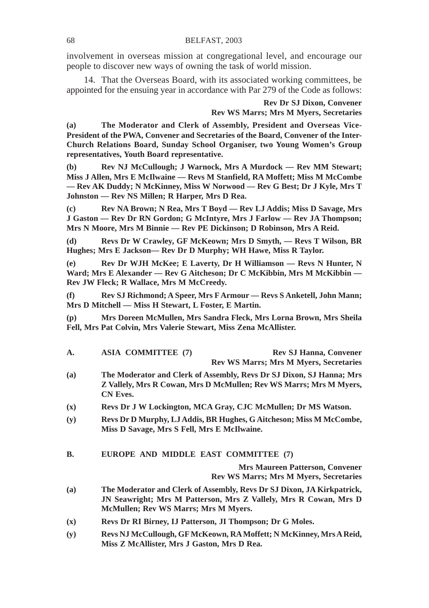involvement in overseas mission at congregational level, and encourage our people to discover new ways of owning the task of world mission.

14. That the Overseas Board, with its associated working committees, be appointed for the ensuing year in accordance with Par 279 of the Code as follows:

> **Rev Dr SJ Dixon, Convener Rev WS Marrs; Mrs M Myers, Secretaries**

**(a) The Moderator and Clerk of Assembly, President and Overseas Vice-President of the PWA, Convener and Secretaries of the Board, Convener of the Inter-Church Relations Board, Sunday School Organiser, two Young Women's Group representatives, Youth Board representative.**

**(b) Rev NJ McCullough; J Warnock, Mrs A Murdock — Rev MM Stewart; Miss J Allen, Mrs E McIlwaine — Revs M Stanfield, RA Moffett; Miss M McCombe — Rev AK Duddy; N McKinney, Miss W Norwood — Rev G Best; Dr J Kyle, Mrs T Johnston — Rev NS Millen; R Harper, Mrs D Rea.**

**(c) Rev NA Brown; N Rea, Mrs T Boyd — Rev LJ Addis; Miss D Savage, Mrs J Gaston — Rev Dr RN Gordon; G McIntyre, Mrs J Farlow — Rev JA Thompson; Mrs N Moore, Mrs M Binnie — Rev PE Dickinson; D Robinson, Mrs A Reid.**

**(d) Revs Dr W Crawley, GF McKeown; Mrs D Smyth, — Revs T Wilson, BR Hughes; Mrs E Jackson— Rev Dr D Murphy; WH Hawe, Miss R Taylor.**

**(e) Rev Dr WJH McKee; E Laverty, Dr H Williamson — Revs N Hunter, N Ward; Mrs E Alexander — Rev G Aitcheson; Dr C McKibbin, Mrs M McKibbin — Rev JW Fleck; R Wallace, Mrs M McCreedy.**

**(f) Rev SJ Richmond; A Speer, Mrs F Armour — Revs S Anketell, John Mann; Mrs D Mitchell — Miss H Stewart, L Foster, E Martin.**

**(p) Mrs Doreen McMullen, Mrs Sandra Fleck, Mrs Lorna Brown, Mrs Sheila Fell, Mrs Pat Colvin, Mrs Valerie Stewart, Miss Zena McAllister.**

| A.             | <b>ASIA COMMITTEE (7)</b>                    | <b>Rev SJ Hanna, Convener</b>                                                                                                              |
|----------------|----------------------------------------------|--------------------------------------------------------------------------------------------------------------------------------------------|
|                |                                              | <b>Rev WS Marrs; Mrs M Myers, Secretaries</b>                                                                                              |
| (a)            | <b>CN Eves.</b>                              | The Moderator and Clerk of Assembly, Revs Dr SJ Dixon, SJ Hanna; Mrs<br>Z Vallely, Mrs R Cowan, Mrs D McMullen; Rev WS Marrs; Mrs M Myers, |
| (x)            |                                              | Revs Dr J W Lockington, MCA Gray, CJC McMullen; Dr MS Watson.                                                                              |
| (y)            | Miss D Savage, Mrs S Fell, Mrs E McIlwaine.  | Revs Dr D Murphy, LJ Addis, BR Hughes, G Aitcheson; Miss M McCombe,                                                                        |
| <b>B.</b>      | EUROPE AND MIDDLE EAST COMMITTEE (7)         |                                                                                                                                            |
|                |                                              | <b>Mrs Maureen Patterson, Convener</b><br><b>Rev WS Marrs: Mrs M Myers, Secretaries</b>                                                    |
| (a)            | <b>McMullen</b> ; Rev WS Marrs; Mrs M Myers. | The Moderator and Clerk of Assembly, Revs Dr SJ Dixon, JA Kirkpatrick,<br>JN Seawright; Mrs M Patterson, Mrs Z Vallely, Mrs R Cowan, Mrs D |
| $(\mathbf{x})$ |                                              | Revs Dr RI Birney, IJ Patterson, JI Thompson; Dr G Moles.                                                                                  |

**(y) Revs NJ McCullough, GF McKeown, RA Moffett; N McKinney, Mrs A Reid, Miss Z McAllister, Mrs J Gaston, Mrs D Rea.**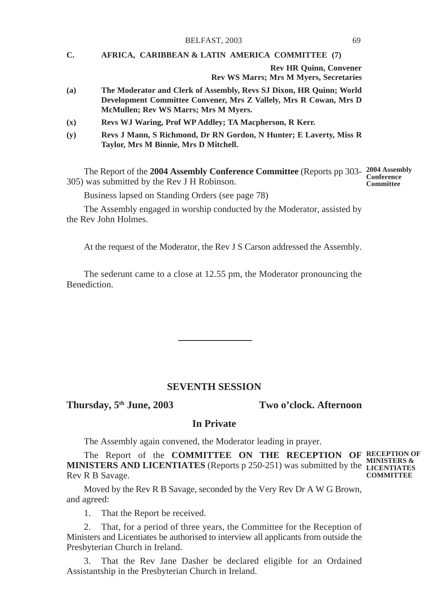#### BELFAST, 2003 69

## **C. AFRICA, CARIBBEAN & LATIN AMERICA COMMITTEE (7)**

**Rev HR Quinn, Convener Rev WS Marrs; Mrs M Myers, Secretaries**

- **(a) The Moderator and Clerk of Assembly, Revs SJ Dixon, HR Quinn; World Development Committee Convener, Mrs Z Vallely, Mrs R Cowan, Mrs D McMullen; Rev WS Marrs; Mrs M Myers.**
- **(x) Revs WJ Waring, Prof WP Addley; TA Macpherson, R Kerr.**
- **(y) Revs J Mann, S Richmond, Dr RN Gordon, N Hunter; E Laverty, Miss R Taylor, Mrs M Binnie, Mrs D Mitchell.**

The Report of the **2004 Assembly Conference Committee** (Reports pp 303- **2004 Assembly Conference** 305) was submitted by the Rev J H Robinson. **Committee**

Business lapsed on Standing Orders (see page 78)

The Assembly engaged in worship conducted by the Moderator, assisted by the Rev John Holmes.

At the request of the Moderator, the Rev J S Carson addressed the Assembly.

The sederunt came to a close at 12.55 pm, the Moderator pronouncing the **Benediction** 

# **SEVENTH SESSION**

**Thursday, 5th June, 2003 Two o'clock. Afternoon**

# **In Private**

The Assembly again convened, the Moderator leading in prayer.

The Report of the **COMMITTEE ON THE RECEPTION OF RECEPTION OF MINISTERS AND LICENTIATES** (Reports p 250-251) was submitted by the LICENTIATES Rev R B Savage. **COMMITTEE**

Moved by the Rev R B Savage, seconded by the Very Rev Dr A W G Brown, and agreed:

1. That the Report be received.

2. That, for a period of three years, the Committee for the Reception of Ministers and Licentiates be authorised to interview all applicants from outside the Presbyterian Church in Ireland.

3. That the Rev Jane Dasher be declared eligible for an Ordained Assistantship in the Presbyterian Church in Ireland.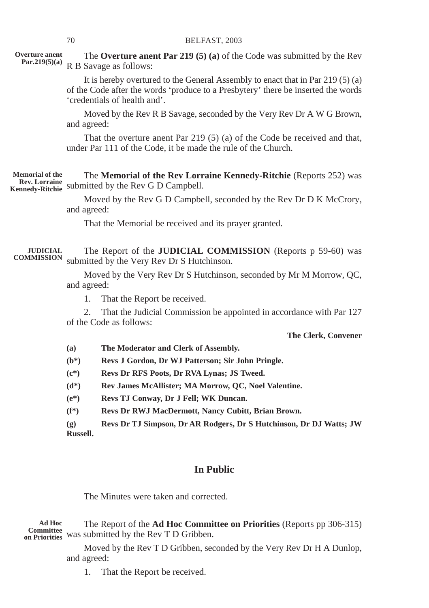| Overture anent<br>Par.219(5)(a)                                          |                                                                                                           | The Overture anent Par $219(5)$ (a) of the Code was submitted by the Rev<br>R B Savage as follows:                                                                                                   |  |
|--------------------------------------------------------------------------|-----------------------------------------------------------------------------------------------------------|------------------------------------------------------------------------------------------------------------------------------------------------------------------------------------------------------|--|
|                                                                          |                                                                                                           | It is hereby overtured to the General Assembly to enact that in Par $219(5)(a)$<br>of the Code after the words 'produce to a Presbytery' there be inserted the words<br>'credentials of health and'. |  |
|                                                                          | and agreed:                                                                                               | Moved by the Rev R B Savage, seconded by the Very Rev Dr A W G Brown,                                                                                                                                |  |
|                                                                          |                                                                                                           | That the overture anent Par $219(5)$ (a) of the Code be received and that,<br>under Par 111 of the Code, it be made the rule of the Church.                                                          |  |
| <b>Memorial of the</b><br><b>Rev. Lorraine</b><br><b>Kennedy-Ritchie</b> |                                                                                                           | The Memorial of the Rev Lorraine Kennedy-Ritchie (Reports 252) was<br>submitted by the Rev G D Campbell.                                                                                             |  |
|                                                                          | and agreed:                                                                                               | Moved by the Rev G D Campbell, seconded by the Rev Dr D K McCrory,                                                                                                                                   |  |
|                                                                          |                                                                                                           | That the Memorial be received and its prayer granted.                                                                                                                                                |  |
| <b>JUDICIAL</b><br><b>COMMISSION</b>                                     | The Report of the JUDICIAL COMMISSION (Reports p 59-60) was<br>submitted by the Very Rev Dr S Hutchinson. |                                                                                                                                                                                                      |  |
|                                                                          | Moved by the Very Rev Dr S Hutchinson, seconded by Mr M Morrow, QC,<br>and agreed:                        |                                                                                                                                                                                                      |  |
|                                                                          | 1.                                                                                                        | That the Report be received.                                                                                                                                                                         |  |
|                                                                          | 2.                                                                                                        | That the Judicial Commission be appointed in accordance with Par 127<br>of the Code as follows:                                                                                                      |  |
|                                                                          |                                                                                                           | The Clerk, Convener                                                                                                                                                                                  |  |
|                                                                          | (a)                                                                                                       | The Moderator and Clerk of Assembly.                                                                                                                                                                 |  |
|                                                                          | $(b*)$                                                                                                    | Revs J Gordon, Dr WJ Patterson; Sir John Pringle.                                                                                                                                                    |  |
|                                                                          | $(c*)$                                                                                                    | Revs Dr RFS Poots, Dr RVA Lynas; JS Tweed.                                                                                                                                                           |  |
|                                                                          | $(d*)$                                                                                                    | Rev James McAllister; MA Morrow, QC, Noel Valentine.                                                                                                                                                 |  |
|                                                                          | $(e^*)$                                                                                                   | Revs TJ Conway, Dr J Fell; WK Duncan.                                                                                                                                                                |  |
|                                                                          | $(f^*)$                                                                                                   | Revs Dr RWJ MacDermott, Nancy Cubitt, Brian Brown.                                                                                                                                                   |  |
|                                                                          | $\left( \mathbf{g} \right)$<br><b>Russell.</b>                                                            | Revs Dr TJ Simpson, Dr AR Rodgers, Dr S Hutchinson, Dr DJ Watts; JW                                                                                                                                  |  |
|                                                                          |                                                                                                           |                                                                                                                                                                                                      |  |
|                                                                          |                                                                                                           | <b>In Public</b>                                                                                                                                                                                     |  |
|                                                                          |                                                                                                           | The Minutes were taken and corrected.                                                                                                                                                                |  |
| <b>Ad Hoc</b><br>Committee<br>on Priorities                              |                                                                                                           | The Report of the <b>Ad Hoc Committee on Priorities</b> (Reports pp 306-315)<br>was submitted by the Rev T D Gribben.                                                                                |  |

Moved by the Rev T D Gribben, seconded by the Very Rev Dr H A Dunlop, and agreed:

1. That the Report be received.

**Overture anent**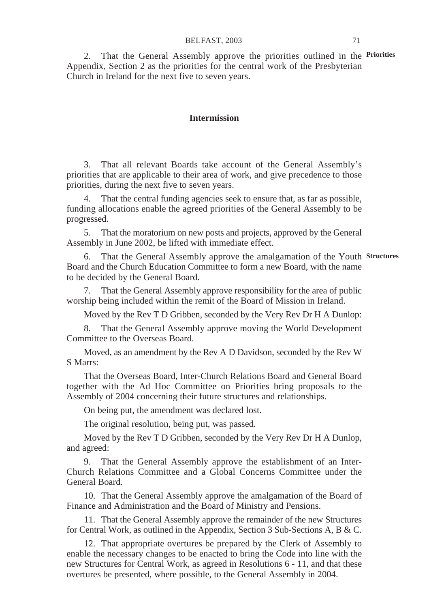#### BELFAST, 2003 71

2. That the General Assembly approve the priorities outlined in the **Priorities** Appendix, Section 2 as the priorities for the central work of the Presbyterian Church in Ireland for the next five to seven years.

## **Intermission**

3. That all relevant Boards take account of the General Assembly's priorities that are applicable to their area of work, and give precedence to those priorities, during the next five to seven years.

4. That the central funding agencies seek to ensure that, as far as possible, funding allocations enable the agreed priorities of the General Assembly to be progressed.

5. That the moratorium on new posts and projects, approved by the General Assembly in June 2002, be lifted with immediate effect.

6. That the General Assembly approve the amalgamation of the Youth **Structures**Board and the Church Education Committee to form a new Board, with the name to be decided by the General Board.

7. That the General Assembly approve responsibility for the area of public worship being included within the remit of the Board of Mission in Ireland.

Moved by the Rev T D Gribben, seconded by the Very Rev Dr H A Dunlop:

8. That the General Assembly approve moving the World Development Committee to the Overseas Board.

Moved, as an amendment by the Rev A D Davidson, seconded by the Rev W S Marrs:

That the Overseas Board, Inter-Church Relations Board and General Board together with the Ad Hoc Committee on Priorities bring proposals to the Assembly of 2004 concerning their future structures and relationships.

On being put, the amendment was declared lost.

The original resolution, being put, was passed.

Moved by the Rev T D Gribben, seconded by the Very Rev Dr H A Dunlop, and agreed:

9. That the General Assembly approve the establishment of an Inter-Church Relations Committee and a Global Concerns Committee under the General Board.

10. That the General Assembly approve the amalgamation of the Board of Finance and Administration and the Board of Ministry and Pensions.

11. That the General Assembly approve the remainder of the new Structures for Central Work, as outlined in the Appendix, Section 3 Sub-Sections A, B & C.

12. That appropriate overtures be prepared by the Clerk of Assembly to enable the necessary changes to be enacted to bring the Code into line with the new Structures for Central Work, as agreed in Resolutions 6 - 11, and that these overtures be presented, where possible, to the General Assembly in 2004.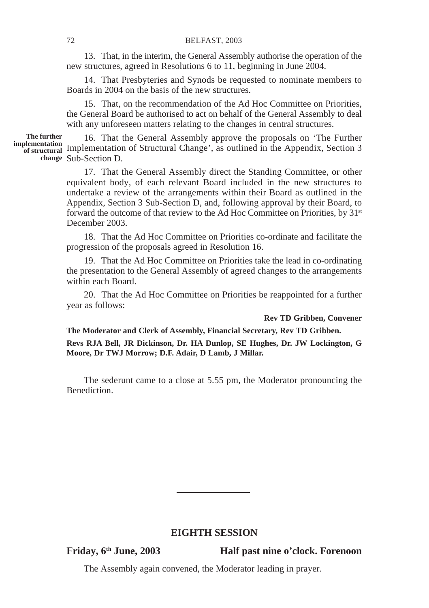13. That, in the interim, the General Assembly authorise the operation of the new structures, agreed in Resolutions 6 to 11, beginning in June 2004.

14. That Presbyteries and Synods be requested to nominate members to Boards in 2004 on the basis of the new structures.

15. That, on the recommendation of the Ad Hoc Committee on Priorities, the General Board be authorised to act on behalf of the General Assembly to deal with any unforeseen matters relating to the changes in central structures.

**The further**

16. That the General Assembly approve the proposals on 'The Further **implementation**<br>
of structural Change', as outlined in the Appendix, Section 3 change Sub-Section D.

> 17. That the General Assembly direct the Standing Committee, or other equivalent body, of each relevant Board included in the new structures to undertake a review of the arrangements within their Board as outlined in the Appendix, Section 3 Sub-Section D, and, following approval by their Board, to forward the outcome of that review to the Ad Hoc Committee on Priorities, by 31<sup>st</sup> December 2003.

> 18. That the Ad Hoc Committee on Priorities co-ordinate and facilitate the progression of the proposals agreed in Resolution 16.

> 19. That the Ad Hoc Committee on Priorities take the lead in co-ordinating the presentation to the General Assembly of agreed changes to the arrangements within each Board.

> 20. That the Ad Hoc Committee on Priorities be reappointed for a further year as follows:

#### **Rev TD Gribben, Convener**

**The Moderator and Clerk of Assembly, Financial Secretary, Rev TD Gribben.**

**Revs RJA Bell, JR Dickinson, Dr. HA Dunlop, SE Hughes, Dr. JW Lockington, G Moore, Dr TWJ Morrow; D.F. Adair, D Lamb, J Millar.**

The sederunt came to a close at 5.55 pm, the Moderator pronouncing the Benediction.

### **EIGHTH SESSION**

**Friday, 6th June, 2003 Half past nine o'clock. Forenoon**

The Assembly again convened, the Moderator leading in prayer.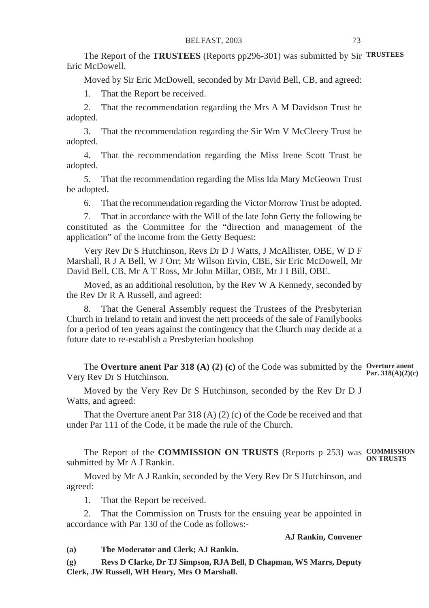The Report of the **TRUSTEES** (Reports pp296-301) was submitted by Sir **TRUSTEES** Eric McDowell.

Moved by Sir Eric McDowell, seconded by Mr David Bell, CB, and agreed:

1. That the Report be received.

2. That the recommendation regarding the Mrs A M Davidson Trust be adopted.

3. That the recommendation regarding the Sir Wm V McCleery Trust be adopted.

4. That the recommendation regarding the Miss Irene Scott Trust be adopted.

5. That the recommendation regarding the Miss Ida Mary McGeown Trust be adopted.

6. That the recommendation regarding the Victor Morrow Trust be adopted.

7. That in accordance with the Will of the late John Getty the following be constituted as the Committee for the "direction and management of the application" of the income from the Getty Bequest:

Very Rev Dr S Hutchinson, Revs Dr D J Watts, J McAllister, OBE, W D F Marshall, R J A Bell, W J Orr; Mr Wilson Ervin, CBE, Sir Eric McDowell, Mr David Bell, CB, Mr A T Ross, Mr John Millar, OBE, Mr J I Bill, OBE.

Moved, as an additional resolution, by the Rev W A Kennedy, seconded by the Rev Dr R A Russell, and agreed:

8. That the General Assembly request the Trustees of the Presbyterian Church in Ireland to retain and invest the nett proceeds of the sale of Familybooks for a period of ten years against the contingency that the Church may decide at a future date to re-establish a Presbyterian bookshop

The **Overture anent Par 318 (A) (2) (c)** of the Code was submitted by the **Overture anent** Very Rev Dr S Hutchinson. **Par. 318(A)(2)(c)**

Moved by the Very Rev Dr S Hutchinson, seconded by the Rev Dr D J Watts, and agreed:

That the Overture anent Par 318 (A) (2) (c) of the Code be received and that under Par 111 of the Code, it be made the rule of the Church.

The Report of the **COMMISSION ON TRUSTS** (Reports p 253) was **COMMISSION** submitted by Mr A J Rankin. **ON TRUSTS**

Moved by Mr A J Rankin, seconded by the Very Rev Dr S Hutchinson, and agreed:

1. That the Report be received.

2. That the Commission on Trusts for the ensuing year be appointed in accordance with Par 130 of the Code as follows:-

### **AJ Rankin, Convener**

**(a) The Moderator and Clerk; AJ Rankin.**

**(g) Revs D Clarke, Dr TJ Simpson, RJA Bell, D Chapman, WS Marrs, Deputy Clerk, JW Russell, WH Henry, Mrs O Marshall.**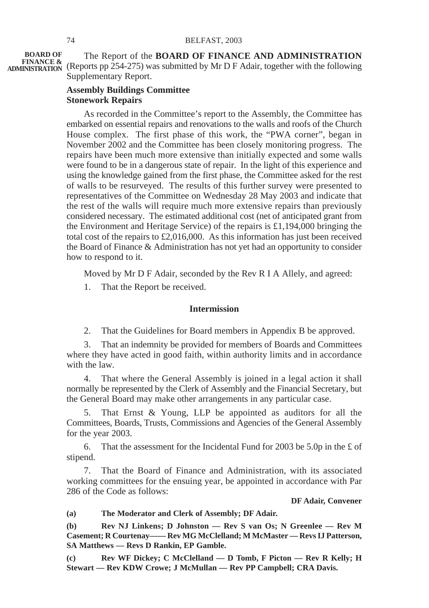The Report of the **BOARD OF FINANCE AND ADMINISTRATION FINANCE &**<br>**ADMINISTRATION** (Reports pp 254-275) was submitted by Mr D F Adair, together with the following Supplementary Report. **BOARD OF<br>FINANCE &** 

### **Assembly Buildings Committee Stonework Repairs**

As recorded in the Committee's report to the Assembly, the Committee has embarked on essential repairs and renovations to the walls and roofs of the Church House complex. The first phase of this work, the "PWA corner", began in November 2002 and the Committee has been closely monitoring progress. The repairs have been much more extensive than initially expected and some walls were found to be in a dangerous state of repair. In the light of this experience and using the knowledge gained from the first phase, the Committee asked for the rest of walls to be resurveyed. The results of this further survey were presented to representatives of the Committee on Wednesday 28 May 2003 and indicate that the rest of the walls will require much more extensive repairs than previously considered necessary. The estimated additional cost (net of anticipated grant from the Environment and Heritage Service) of the repairs is £1,194,000 bringing the total cost of the repairs to £2,016,000. As this information has just been received the Board of Finance & Administration has not yet had an opportunity to consider how to respond to it.

Moved by Mr D F Adair, seconded by the Rev R I A Allely, and agreed:

1. That the Report be received.

### **Intermission**

2. That the Guidelines for Board members in Appendix B be approved.

3. That an indemnity be provided for members of Boards and Committees where they have acted in good faith, within authority limits and in accordance with the law.

4. That where the General Assembly is joined in a legal action it shall normally be represented by the Clerk of Assembly and the Financial Secretary, but the General Board may make other arrangements in any particular case.

5. That Ernst & Young, LLP be appointed as auditors for all the Committees, Boards, Trusts, Commissions and Agencies of the General Assembly for the year 2003.

6. That the assessment for the Incidental Fund for 2003 be 5.0p in the £ of stipend.

7. That the Board of Finance and Administration, with its associated working committees for the ensuing year, be appointed in accordance with Par 286 of the Code as follows:

#### **DF Adair, Convener**

**(a) The Moderator and Clerk of Assembly; DF Adair.**

**(b) Rev NJ Linkens; D Johnston — Rev S van Os; N Greenlee — Rev M Casement; R Courtenay—— Rev MG McClelland; M McMaster — Revs IJ Patterson, SA Matthews — Revs D Rankin, EP Gamble.**

**(c) Rev WF Dickey; C McClelland — D Tomb, F Picton — Rev R Kelly; H Stewart — Rev KDW Crowe; J McMullan — Rev PP Campbell; CRA Davis.**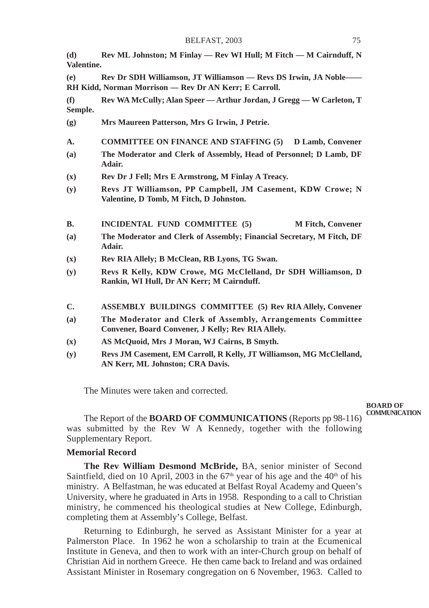**(d) Rev ML Johnston; M Finlay — Rev WI Hull; M Fitch — M Cairnduff, N Valentine.**

**(e) Rev Dr SDH Williamson, JT Williamson — Revs DS Irwin, JA Noble—— RH Kidd, Norman Morrison — Rev Dr AN Kerr; E Carroll.**

**(f) Rev WA McCully; Alan Speer — Arthur Jordan, J Gregg — W Carleton, T Semple.**

- **(g) Mrs Maureen Patterson, Mrs G Irwin, J Petrie.**
- **A. COMMITTEE ON FINANCE AND STAFFING (5) D Lamb, Convener**
- **(a) The Moderator and Clerk of Assembly, Head of Personnel; D Lamb, DF Adair.**
- **(x) Rev Dr J Fell; Mrs E Armstrong, M Finlay A Treacy.**
- **(y) Revs JT Williamson, PP Campbell, JM Casement, KDW Crowe; N Valentine, D Tomb, M Fitch, D Johnston.**

**B.** INCIDENTAL FUND COMMITTEE (5) M Fitch, Convener

- **(a) The Moderator and Clerk of Assembly; Financial Secretary, M Fitch, DF Adair.**
- **(x) Rev RIA Allely; B McClean, RB Lyons, TG Swan.**
- **(y) Revs R Kelly, KDW Crowe, MG McClelland, Dr SDH Williamson, D Rankin, WI Hull, Dr AN Kerr; M Cairnduff.**
- **C. ASSEMBLY BUILDINGS COMMITTEE (5) Rev RIA Allely, Convener**
- **(a) The Moderator and Clerk of Assembly, Arrangements Committee Convener, Board Convener, J Kelly; Rev RIA Allely.**
- **(x) AS McQuoid, Mrs J Moran, WJ Cairns, B Smyth.**
- **(y) Revs JM Casement, EM Carroll, R Kelly, JT Williamson, MG McClelland, AN Kerr, ML Johnston; CRA Davis.**

The Minutes were taken and corrected.

**BOARD OF COMMUNICATION**

The Report of the **BOARD OF COMMUNICATIONS** (Reports pp 98-116) was submitted by the Rev W A Kennedy, together with the following Supplementary Report.

### **Memorial Record**

**The Rev William Desmond McBride,** BA, senior minister of Second Saintfield, died on 10 April, 2003 in the  $67<sup>th</sup>$  year of his age and the  $40<sup>th</sup>$  of his ministry. A Belfastman, he was educated at Belfast Royal Academy and Queen's University, where he graduated in Arts in 1958. Responding to a call to Christian ministry, he commenced his theological studies at New College, Edinburgh, completing them at Assembly's College, Belfast.

Returning to Edinburgh, he served as Assistant Minister for a year at Palmerston Place. In 1962 he won a scholarship to train at the Ecumenical Institute in Geneva, and then to work with an inter-Church group on behalf of Christian Aid in northern Greece. He then came back to Ireland and was ordained Assistant Minister in Rosemary congregation on 6 November, 1963. Called to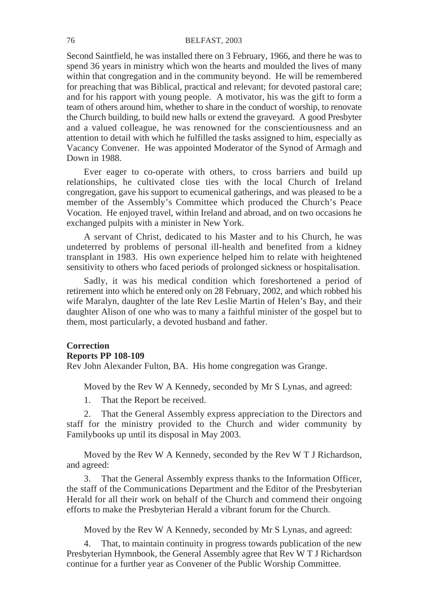### 76 BELFAST, 2003

Second Saintfield, he was installed there on 3 February, 1966, and there he was to spend 36 years in ministry which won the hearts and moulded the lives of many within that congregation and in the community beyond. He will be remembered for preaching that was Biblical, practical and relevant; for devoted pastoral care; and for his rapport with young people. A motivator, his was the gift to form a team of others around him, whether to share in the conduct of worship, to renovate the Church building, to build new halls or extend the graveyard. A good Presbyter and a valued colleague, he was renowned for the conscientiousness and an attention to detail with which he fulfilled the tasks assigned to him, especially as Vacancy Convener. He was appointed Moderator of the Synod of Armagh and Down in 1988.

Ever eager to co-operate with others, to cross barriers and build up relationships, he cultivated close ties with the local Church of Ireland congregation, gave his support to ecumenical gatherings, and was pleased to be a member of the Assembly's Committee which produced the Church's Peace Vocation. He enjoyed travel, within Ireland and abroad, and on two occasions he exchanged pulpits with a minister in New York.

A servant of Christ, dedicated to his Master and to his Church, he was undeterred by problems of personal ill-health and benefited from a kidney transplant in 1983. His own experience helped him to relate with heightened sensitivity to others who faced periods of prolonged sickness or hospitalisation.

Sadly, it was his medical condition which foreshortened a period of retirement into which he entered only on 28 February, 2002, and which robbed his wife Maralyn, daughter of the late Rev Leslie Martin of Helen's Bay, and their daughter Alison of one who was to many a faithful minister of the gospel but to them, most particularly, a devoted husband and father.

# **Correction**

### **Reports PP 108-109**

Rev John Alexander Fulton, BA. His home congregation was Grange.

Moved by the Rev W A Kennedy, seconded by Mr S Lynas, and agreed:

1. That the Report be received.

2. That the General Assembly express appreciation to the Directors and staff for the ministry provided to the Church and wider community by Familybooks up until its disposal in May 2003.

Moved by the Rev W A Kennedy, seconded by the Rev W T J Richardson, and agreed:

3. That the General Assembly express thanks to the Information Officer, the staff of the Communications Department and the Editor of the Presbyterian Herald for all their work on behalf of the Church and commend their ongoing efforts to make the Presbyterian Herald a vibrant forum for the Church.

Moved by the Rev W A Kennedy, seconded by Mr S Lynas, and agreed:

That, to maintain continuity in progress towards publication of the new Presbyterian Hymnbook, the General Assembly agree that Rev W T J Richardson continue for a further year as Convener of the Public Worship Committee.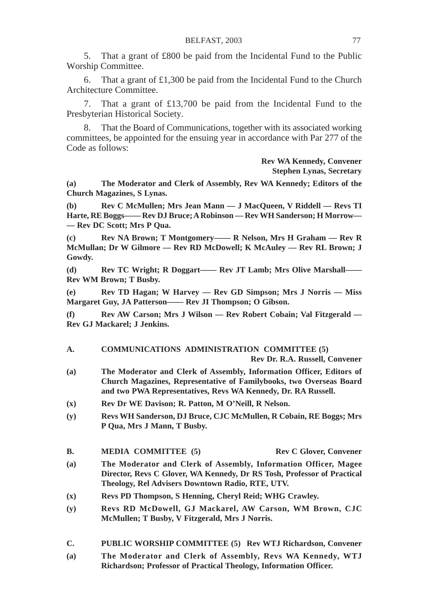5. That a grant of £800 be paid from the Incidental Fund to the Public Worship Committee.

6. That a grant of  $£1,300$  be paid from the Incidental Fund to the Church Architecture Committee.

7. That a grant of £13,700 be paid from the Incidental Fund to the Presbyterian Historical Society.

That the Board of Communications, together with its associated working committees, be appointed for the ensuing year in accordance with Par 277 of the Code as follows:

### **Rev WA Kennedy, Convener Stephen Lynas, Secretary**

**(a) The Moderator and Clerk of Assembly, Rev WA Kennedy; Editors of the Church Magazines, S Lynas.**

**(b) Rev C McMullen; Mrs Jean Mann — J MacQueen, V Riddell — Revs TI Harte, RE Boggs—— Rev DJ Bruce; A Robinson — Rev WH Sanderson; H Morrow— — Rev DC Scott; Mrs P Qua.**

**(c) Rev NA Brown; T Montgomery—— R Nelson, Mrs H Graham — Rev R McMullan; Dr W Gilmore — Rev RD McDowell; K McAuley — Rev RL Brown; J Gowdy.**

**(d) Rev TC Wright; R Doggart—— Rev JT Lamb; Mrs Olive Marshall—— Rev WM Brown; T Busby.**

**(e) Rev TD Hagan; W Harvey — Rev GD Simpson; Mrs J Norris — Miss Margaret Guy, JA Patterson—— Rev JI Thompson; O Gibson.**

**(f) Rev AW Carson; Mrs J Wilson — Rev Robert Cobain; Val Fitzgerald — Rev GJ Mackarel; J Jenkins.**

### **A. COMMUNICATIONS ADMINISTRATION COMMITTEE (5)**

**Rev Dr. R.A. Russell, Convener**

- **(a) The Moderator and Clerk of Assembly, Information Officer, Editors of Church Magazines, Representative of Familybooks, two Overseas Board and two PWA Representatives, Revs WA Kennedy, Dr. RA Russell.**
- **(x) Rev Dr WE Davison; R. Patton, M O'Neill, R Nelson.**
- **(y) Revs WH Sanderson, DJ Bruce, CJC McMullen, R Cobain, RE Boggs; Mrs P Qua, Mrs J Mann, T Busby.**
- **B. MEDIA COMMITTEE** (5) **Rev C Glover, Convener**
- **(a) The Moderator and Clerk of Assembly, Information Officer, Magee Director, Revs C Glover, WA Kennedy, Dr RS Tosh, Professor of Practical Theology, Rel Advisers Downtown Radio, RTE, UTV.**
- **(x) Revs PD Thompson, S Henning, Cheryl Reid; WHG Crawley.**
- **(y) Revs RD McDowell, GJ Mackarel, AW Carson, WM Brown, CJC McMullen; T Busby, V Fitzgerald, Mrs J Norris.**
- **C. PUBLIC WORSHIP COMMITTEE (5) Rev WTJ Richardson, Convener**
- **(a) The Moderator and Clerk of Assembly, Revs WA Kennedy, WTJ Richardson; Professor of Practical Theology, Information Officer.**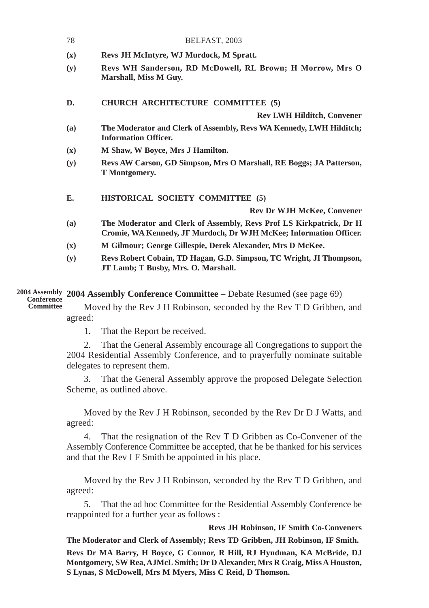|            | 78             | BELFAST, 2003                                                                                                                             |
|------------|----------------|-------------------------------------------------------------------------------------------------------------------------------------------|
|            | (x)            | Revs JH McIntyre, WJ Murdock, M Spratt.                                                                                                   |
|            | (y)            | Revs WH Sanderson, RD McDowell, RL Brown; H Morrow, Mrs O<br>Marshall, Miss M Guy.                                                        |
|            | D.             | CHURCH ARCHITECTURE COMMITTEE (5)                                                                                                         |
|            |                | <b>Rev LWH Hilditch, Convener</b>                                                                                                         |
|            | (a)            | The Moderator and Clerk of Assembly, Revs WA Kennedy, LWH Hilditch;<br><b>Information Officer.</b>                                        |
|            | $(\mathbf{x})$ | M Shaw, W Boyce, Mrs J Hamilton.                                                                                                          |
|            | (y)            | Revs AW Carson, GD Simpson, Mrs O Marshall, RE Boggs; JA Patterson,<br>T Montgomery.                                                      |
|            | E.             | HISTORICAL SOCIETY COMMITTEE (5)                                                                                                          |
|            |                | <b>Rev Dr WJH McKee, Convener</b>                                                                                                         |
|            | (a)            | The Moderator and Clerk of Assembly, Revs Prof LS Kirkpatrick, Dr H<br>Cromie, WA Kennedy, JF Murdoch, Dr WJH McKee; Information Officer. |
|            | $(\mathbf{x})$ | M Gilmour; George Gillespie, Derek Alexander, Mrs D McKee.                                                                                |
|            | (y)            | Revs Robert Cobain, TD Hagan, G.D. Simpson, TC Wright, JI Thompson,<br>JT Lamb; T Busby, Mrs. O. Marshall.                                |
| Conference |                | 2004 Assembly 2004 Assembly Conference Committee - Debate Resumed (see page 69)                                                           |

Moved by the Rev J H Robinson, seconded by the Rev T D Gribben, and agreed: **Conference Committee**

1. That the Report be received.

2. That the General Assembly encourage all Congregations to support the 2004 Residential Assembly Conference, and to prayerfully nominate suitable delegates to represent them.

3. That the General Assembly approve the proposed Delegate Selection Scheme, as outlined above.

Moved by the Rev J H Robinson, seconded by the Rev Dr D J Watts, and agreed:

4. That the resignation of the Rev T D Gribben as Co-Convener of the Assembly Conference Committee be accepted, that he be thanked for his services and that the Rev I F Smith be appointed in his place.

Moved by the Rev J H Robinson, seconded by the Rev T D Gribben, and agreed:

5. That the ad hoc Committee for the Residential Assembly Conference be reappointed for a further year as follows :

**Revs JH Robinson, IF Smith Co-Conveners**

**The Moderator and Clerk of Assembly; Revs TD Gribben, JH Robinson, IF Smith. Revs Dr MA Barry, H Boyce, G Connor, R Hill, RJ Hyndman, KA McBride, DJ Montgomery, SW Rea, AJMcL Smith; Dr D Alexander, Mrs R Craig, Miss A Houston, S Lynas, S McDowell, Mrs M Myers, Miss C Reid, D Thomson.**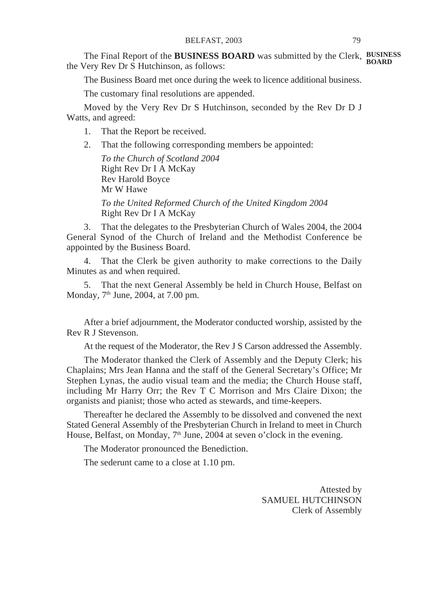The Final Report of the **BUSINESS BOARD** was submitted by the Clerk, **BUSINESS** the Very Rev Dr S Hutchinson, as follows: **BOARD**

The Business Board met once during the week to licence additional business.

The customary final resolutions are appended.

Moved by the Very Rev Dr S Hutchinson, seconded by the Rev Dr D J Watts, and agreed:

- 1. That the Report be received.
- 2. That the following corresponding members be appointed:

*To the Church of Scotland 2004* Right Rev Dr I A McKay Rev Harold Boyce Mr W Hawe

*To the United Reformed Church of the United Kingdom 2004* Right Rev Dr I A McKay

3. That the delegates to the Presbyterian Church of Wales 2004, the 2004 General Synod of the Church of Ireland and the Methodist Conference be appointed by the Business Board.

4. That the Clerk be given authority to make corrections to the Daily Minutes as and when required.

5. That the next General Assembly be held in Church House, Belfast on Monday, 7<sup>th</sup> June, 2004, at 7.00 pm.

After a brief adjournment, the Moderator conducted worship, assisted by the Rev R J Stevenson.

At the request of the Moderator, the Rev J S Carson addressed the Assembly.

The Moderator thanked the Clerk of Assembly and the Deputy Clerk; his Chaplains; Mrs Jean Hanna and the staff of the General Secretary's Office; Mr Stephen Lynas, the audio visual team and the media; the Church House staff, including Mr Harry Orr; the Rev T C Morrison and Mrs Claire Dixon; the organists and pianist; those who acted as stewards, and time-keepers.

Thereafter he declared the Assembly to be dissolved and convened the next Stated General Assembly of the Presbyterian Church in Ireland to meet in Church House, Belfast, on Monday, 7<sup>th</sup> June, 2004 at seven o'clock in the evening.

The Moderator pronounced the Benediction.

The sederunt came to a close at 1.10 pm.

Attested by SAMUEL HUTCHINSON Clerk of Assembly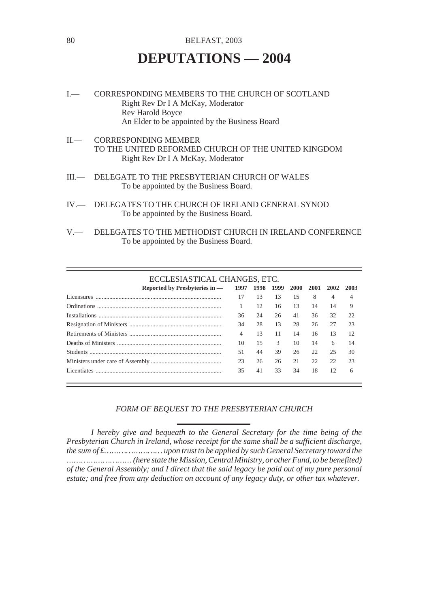# 80 BELFAST, 2003

# **DEPUTATIONS — 2004**

- I.— CORRESPONDING MEMBERS TO THE CHURCH OF SCOTLAND Right Rev Dr I A McKay, Moderator Rev Harold Boyce An Elder to be appointed by the Business Board
- II.— CORRESPONDING MEMBER TO THE UNITED REFORMED CHURCH OF THE UNITED KINGDOM Right Rev Dr I A McKay, Moderator
- III.— DELEGATE TO THE PRESBYTERIAN CHURCH OF WALES To be appointed by the Business Board.
- IV.— DELEGATES TO THE CHURCH OF IRELAND GENERAL SYNOD To be appointed by the Business Board.
- V.— DELEGATES TO THE METHODIST CHURCH IN IRELAND CONFERENCE To be appointed by the Business Board.

### ECCLESIASTICAL CHANGES, ETC.

| Reported by Presbyteries in - 1997 1998 1999 2000 2001 |    |    |    |    |    | 2002 | 2003 |
|--------------------------------------------------------|----|----|----|----|----|------|------|
| Licensures                                             | 17 | 13 | 13 | 15 | 8  | 4    |      |
|                                                        |    | 12 | 16 | 13 | 14 | 14   | 9    |
|                                                        | 36 | 24 | 26 | 41 | 36 | 32   | 22   |
|                                                        | 34 | 28 | 13 | 28 | 26 | 27   | 23   |
|                                                        | 4  | 13 | 11 | 14 | 16 | 13   | 12   |
|                                                        | 10 | 15 | 3. | 10 | 14 | 6    | 14   |
|                                                        | 51 | 44 | 39 | 26 | 22 | 25   | 30   |
|                                                        | 23 | 26 | 26 | 21 | 22 | 22   | 23   |
| Licentiates                                            | 35 | 41 | 33 | 34 | 18 | 12   | 6    |

### *FORM OF BEQUEST TO THE PRESBYTERIAN CHURCH*

*I hereby give and bequeath to the General Secretary for the time being of the Presbyterian Church in Ireland, whose receipt for the same shall be a sufficient discharge, the sum of £…………………… upon trust to be applied by such General Secretary toward the ……………………… (here state the Mission, Central Ministry, or other Fund, to be benefited) of the General Assembly; and I direct that the said legacy be paid out of my pure personal estate; and free from any deduction on account of any legacy duty, or other tax whatever.*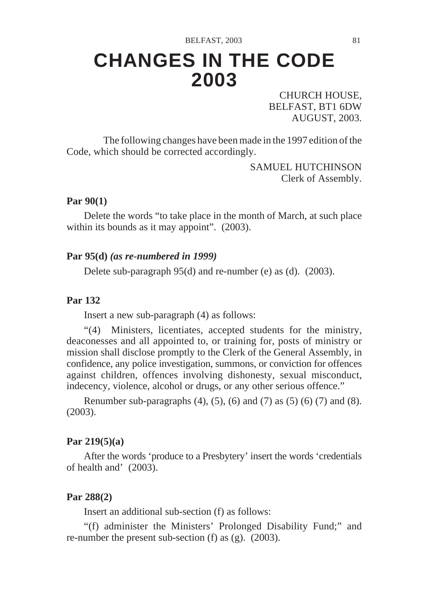# **CHANGES IN THE CODE 2003**

CHURCH HOUSE, BELFAST, BT1 6DW AUGUST, 2003.

The following changes have been made in the 1997 edition of the Code, which should be corrected accordingly.

> SAMUEL HUTCHINSON Clerk of Assembly.

### **Par 90(1)**

Delete the words "to take place in the month of March, at such place within its bounds as it may appoint".  $(2003)$ .

## **Par 95(d)** *(as re-numbered in 1999)*

Delete sub-paragraph 95(d) and re-number (e) as (d). (2003).

# **Par 132**

Insert a new sub-paragraph (4) as follows:

"(4) Ministers, licentiates, accepted students for the ministry, deaconesses and all appointed to, or training for, posts of ministry or mission shall disclose promptly to the Clerk of the General Assembly, in confidence, any police investigation, summons, or conviction for offences against children, offences involving dishonesty, sexual misconduct, indecency, violence, alcohol or drugs, or any other serious offence."

Renumber sub-paragraphs  $(4)$ ,  $(5)$ ,  $(6)$  and  $(7)$  as  $(5)$   $(6)$   $(7)$  and  $(8)$ . (2003).

### **Par 219(5)(a)**

After the words 'produce to a Presbytery' insert the words 'credentials of health and' (2003).

## **Par 288(2)**

Insert an additional sub-section (f) as follows:

"(f) administer the Ministers' Prolonged Disability Fund;" and re-number the present sub-section (f) as (g). (2003).